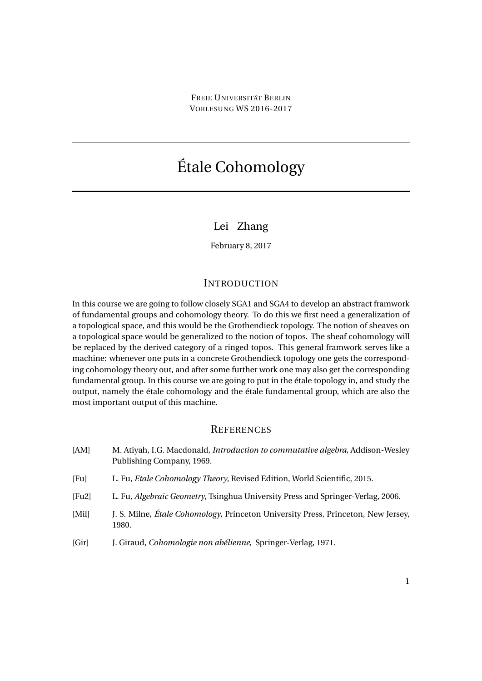# <span id="page-0-0"></span>Étale Cohomology

## Lei Zhang

February 8, 2017

### **INTRODUCTION**

In this course we are going to follow closely SGA1 and SGA4 to develop an abstract framwork of fundamental groups and cohomology theory. To do this we first need a generalization of a topological space, and this would be the Grothendieck topology. The notion of sheaves on a topological space would be generalized to the notion of topos. The sheaf cohomology will be replaced by the derived category of a ringed topos. This general framwork serves like a machine: whenever one puts in a concrete Grothendieck topology one gets the corresponding cohomology theory out, and after some further work one may also get the corresponding fundamental group. In this course we are going to put in the étale topology in, and study the output, namely the étale cohomology and the étale fundamental group, which are also the most important output of this machine.

### **REFERENCES**

<span id="page-0-1"></span>

| [AM]   | M. Atiyah, I.G. Macdonald, <i>Introduction to commutative algebra</i> , Addison-Wesley<br>Publishing Company, 1969. |
|--------|---------------------------------------------------------------------------------------------------------------------|
| [Fu]   | L. Fu, <i>Etale Cohomology Theory</i> , Revised Edition, World Scientific, 2015.                                    |
| [Fu2]  | L. Fu, Algebraic Geometry, Tsinghua University Press and Springer-Verlag, 2006.                                     |
| [Mill] | J. S. Milne, Étale Cohomology, Princeton University Press, Princeton, New Jersey,<br>1980.                          |
| [Gir]  | J. Giraud, Cohomologie non abélienne, Springer-Verlag, 1971.                                                        |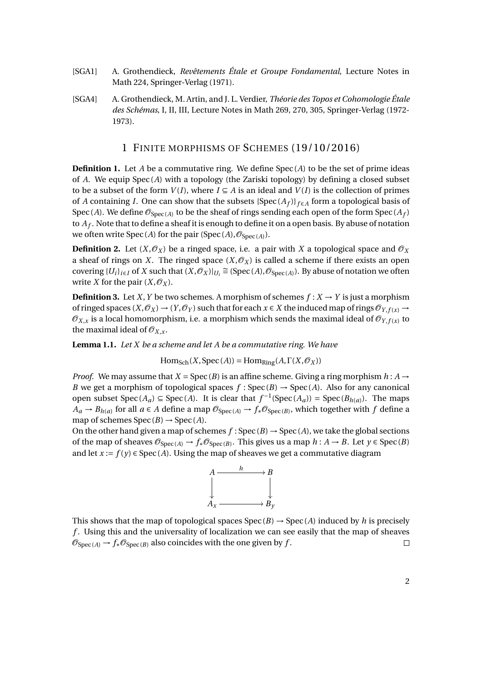- <span id="page-1-0"></span>[SGA1] A. Grothendieck, *Revêtements Étale et Groupe Fondamental*, Lecture Notes in Math 224, Springer-Verlag (1971).
- <span id="page-1-1"></span>[SGA4] A. Grothendieck, M. Artin, and J. L. Verdier, *Théorie des Topos et Cohomologie Étale des Schémas*, I, II, III, Lecture Notes in Math 269, 270, 305, Springer-Verlag (1972- 1973).

### 1 FINITE MORPHISMS OF SCHEMES (19/10/2016)

**Definition 1.** Let *A* be a commutative ring. We define Spec(*A*) to be the set of prime ideas of *A*. We equip Spec (*A*) with a topology (the Zariski topology) by defining a closed subset to be a subset of the form  $V(I)$ , where  $I \subseteq A$  is an ideal and  $V(I)$  is the collection of primes of *A* containing *I*. One can show that the subsets  $\{Spec(A_f)\}_{f \in A}$  form a topological basis of Spec (*A*). We define  $\mathscr{O}_{\text{Spec}(A)}$  to be the sheaf of rings sending each open of the form  $\text{Spec}(A_f)$ to *A<sup>f</sup>* . Note that to define a sheaf it is enough to define it on a open basis. By abuse of notation we often write  $Spec(A)$  for the pair  $(Spec(A), \mathcal{O}_{Spec(A)}).$ 

**Definition 2.** Let  $(X, \mathcal{O}_X)$  be a ringed space, i.e. a pair with *X* a topological space and  $\mathcal{O}_X$ a sheaf of rings on *X*. The ringed space  $(X, \mathcal{O}_X)$  is called a scheme if there exists an open covering  $\{U_i\}_{i\in I}$  of *X* such that  $(X, \mathcal{O}_X)|_{U_i} \cong (\text{Spec}(A), \mathcal{O}_{\text{Spec}(A)})$ . By abuse of notation we often write *X* for the pair  $(X, \mathcal{O}_X)$ .

**Definition 3.** Let *X*, *Y* be two schemes. A morphism of schemes  $f: X \rightarrow Y$  is just a morphism of ringed spaces  $(X, \mathcal{O}_X) \to (Y, \mathcal{O}_Y)$  such that for each  $x \in X$  the induced map of rings  $\mathcal{O}_{Y, f(x)} \to$  $\mathscr{O}_{X,x}$  is a local homomorphism, i.e. a morphism which sends the maximal ideal of  $\mathscr{O}_{Y,f(x)}$  to the maximal ideal of  $\mathcal{O}_{X,x}$ .

**Lemma 1.1.** *Let X be a scheme and let A be a commutative ring. We have*

$$
\mathrm{Hom}_{\mathsf{Sch}}(X,\mathrm{Spec}\,(A))=\mathrm{Hom}_{\mathsf{Ring}}(A,\Gamma(X,\mathcal{O}_X))
$$

*Proof.* We may assume that  $X = \text{Spec}(B)$  is an affine scheme. Giving a ring morphism  $h : A \rightarrow$ *B* we get a morphism of topological spaces  $f : \text{Spec}(B) \to \text{Spec}(A)$ . Also for any canonical open subset  $Spec(A_a) \subseteq Spec(A)$ . It is clear that  $f^{-1}(Spec(A_a)) = Spec(B_{h(a)})$ . The maps *A*<sup>*a*</sup> → *B*<sup>*h*</sup>(*a*) for all *a* ∈ *A* define a map  $\mathcal{O}_{Spec(A)}$  →  $f_*\mathcal{O}_{Spec(B)}$ , which together with *f* define a map of schemes  $Spec(B) \rightarrow Spec(A)$ .

On the other hand given a map of schemes  $f:Spec(B) \rightarrow Spec(A)$ , we take the global sections of the map of sheaves  $\mathcal{O}_{Spec(A)} \to f_* \mathcal{O}_{Spec(B)}$ . This gives us a map  $h : A \to B$ . Let  $y \in Spec(B)$ and let  $x := f(y) \in \text{Spec}(A)$ . Using the map of sheaves we get a commutative diagram



This shows that the map of topological spaces  $Spec(B) \rightarrow Spec(A)$  induced by *h* is precisely *f* . Using this and the universality of localization we can see easily that the map of sheaves  $\mathcal{O}_{\text{Spec}(A)} \to f_* \mathcal{O}_{\text{Spec}(B)}$  also coincides with the one given by f.  $\Box$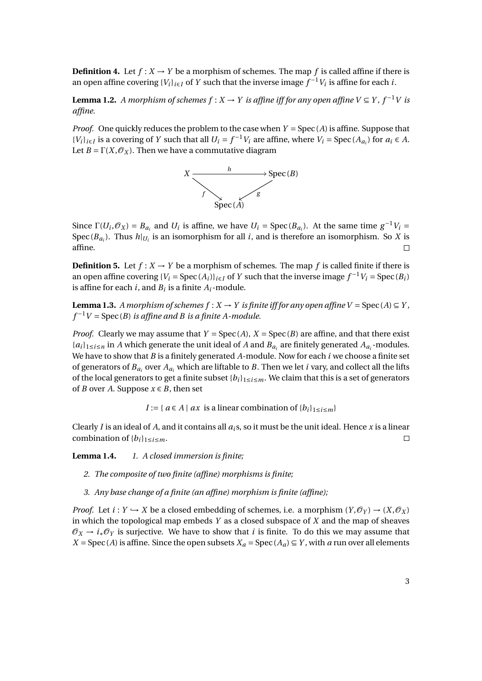**Definition 4.** Let  $f: X \to Y$  be a morphism of schemes. The map f is called affine if there is an open affine covering  ${V_i}_{i \in I}$  of *Y* such that the inverse image  $f^{-1}V_i$  is affine for each *i*.

**Lemma 1.2.** *A morphism of schemes*  $f : X \to Y$  *is affine iff for any open affine*  $V ⊆ Y$ *, f*<sup>-1</sup>*V is affine.*

*Proof.* One quickly reduces the problem to the case when *Y* = Spec (*A*) is affine. Suppose that  ${V_i}_{i \in I}$  is a covering of Y such that all  $U_i = f^{-1}V_i$  are affine, where  $V_i = \text{Spec}(A_{a_i})$  for  $a_i \in A$ . Let  $B = \Gamma(X, \mathcal{O}_X)$ . Then we have a commutative diagram



Since  $\Gamma(U_i, \mathcal{O}_X) = B_{a_i}$  and  $U_i$  is affine, we have  $U_i = \text{Spec}(B_{a_i})$ . At the same time  $g^{-1}V_i =$ Spec  $(B_{a_i})$ . Thus  $h|_{U_i}$  is an isomorphism for all *i*, and is therefore an isomorphism. So *X* is affine.

**Definition 5.** Let  $f: X \to Y$  be a morphism of schemes. The map f is called finite if there is an open affine covering  ${V_i = \text{Spec}(A_i)}_{i \in I}$  of *Y* such that the inverse image  $f^{-1}V_i = \text{Spec}(B_i)$ is affine for each  $i$ , and  $B_i$  is a finite  $A_i$ -module.

**Lemma 1.3.** *A morphism of schemes*  $f: X \to Y$  *is finite iff for any open affine*  $V = Spec(A) \subseteq Y$ *,*  $f^{-1}V = \text{Spec}(B)$  *is affine and B is a finite A-module.* 

*Proof.* Clearly we may assume that  $Y = Spec(A), X = Spec(B)$  are affine, and that there exist  ${a_i}$ <sub>1≤*i*≤*n*</sub> in *A* which generate the unit ideal of *A* and *B*<sub>*a*<sup>*i*</sup></sub> are finitely generated *A*<sub>*a*<sup>*i*</sup></sub>-modules. We have to show that *B* is a finitely generated *A*-module. Now for each *i* we choose a finite set of generators of  $B_a$  over  $A_a$  which are liftable to *B*. Then we let *i* vary, and collect all the lifts of the local generators to get a finite subset  ${b_i}_{i}$ <sub>1 $\le i \le m$ . We claim that this is a set of generators</sub> of *B* over *A*. Suppose  $x \in B$ , then set

*I* := {  $a \in A \mid ax$  is a linear combination of { $b_i$ }<sub>1≤*i*≤*m*</sub>}

Clearly *I* is an ideal of *A*, and it contains all  $a_i$ s, so it must be the unit ideal. Hence *x* is a linear combination of  ${b_i}_{1 \leq i \leq m}$ .  $\Box$ 

**Lemma 1.4.** *1. A closed immersion is finite;*

- *2. The composite of two finite (affine) morphisms is finite;*
- *3. Any base change of a finite (an affine) morphism is finite (affine);*

*Proof.* Let  $i: Y \hookrightarrow X$  be a closed embedding of schemes, i.e. a morphism  $(Y, \mathcal{O}_Y) \to (X, \mathcal{O}_X)$ in which the topological map embeds *Y* as a closed subspace of *X* and the map of sheaves  $\mathcal{O}_X \rightarrow i_* \mathcal{O}_Y$  is surjective. We have to show that *i* is finite. To do this we may assume that *X* = Spec (*A*) is affine. Since the open subsets  $X_a$  = Spec ( $A_a$ )  $\subseteq$  *Y*, with *a* run over all elements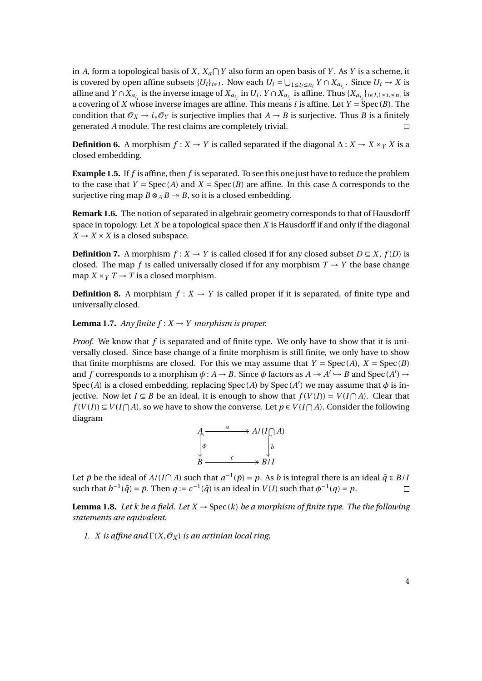in *A*, form a topological basis of *X*,  $X_a \cap Y$  also form an open basis of *Y*. As *Y* is a scheme, it is covered by open affine subsets  $\{U_i\}_{i \in I}$ . Now each  $U_i = \bigcup_{1 \leq t_i \leq n_i} Y \cap X_{a_{t_i}}$ . Since  $U_i \to X$  is affine and  $Y \cap X_{a_{t_i}}$  is the inverse image of  $X_{a_{t_i}}$  in  $U_i$ ,  $Y \cap X_{a_{t_i}}$  is affine. Thus  $\{X_{a_{t_i}}\}_{i \in I, 1 \le t_i \le n_i}$  is a covering of *X* whose inverse images are affine. This means *i* is affine. Let *Y* = Spec (*B*). The condition that  $\mathcal{O}_X \to i_* \mathcal{O}_Y$  is surjective implies that  $A \to B$  is surjective. Thus *B* is a finitely generated *A* module. The rest claims are completely trivial.  $\Box$ 

**Definition 6.** A morphism  $f : X \to Y$  is called separated if the diagonal  $\Delta : X \to X \times_Y X$  is a closed embedding.

**Example 1.5.** If *f* is affine, then *f* is separated. To see this one just have to reduce the problem to the case that *Y* = Spec(*A*) and *X* = Spec(*B*) are affine. In this case  $\Delta$  corresponds to the surjective ring map  $B \otimes_A B \rightarrow B$ , so it is a closed embedding.

**Remark 1.6.** The notion of separated in algebraic geometry corresponds to that of Hausdorff space in topology. Let *X* be a topological space then *X* is Hausdorff if and only if the diagonal  $X \rightarrow X \times X$  is a closed subspace.

**Definition 7.** A morphism  $f: X \to Y$  is called closed if for any closed subset  $D \subseteq X$ ,  $f(D)$  is closed. The map *f* is called universally closed if for any morphism  $T \rightarrow Y$  the base change map  $X \times_Y T \to T$  is a closed morphism.

**Definition 8.** A morphism  $f: X \rightarrow Y$  is called proper if it is separated, of finite type and universally closed.

**Lemma 1.7.** *Any finite*  $f: X \rightarrow Y$  *morphism is proper.* 

*Proof.* We know that *f* is separated and of finite type. We only have to show that it is universally closed. Since base change of a finite morphism is still finite, we only have to show that finite morphisms are closed. For this we may assume that  $Y = Spec(A), X = Spec(B)$ and *f* corresponds to a morphism  $\phi$  :  $A \rightarrow B$ . Since  $\phi$  factors as  $A \rightarrow A' \rightarrow B$  and Spec  $(A') \rightarrow$ Spec (*A*) is a closed embedding, replacing Spec (*A*) by Spec (*A'*) we may assume that  $\phi$  is in*jective.* Now let *I* ⊆ *B* be an ideal, it is enough to show that  $f(V(I)) = V(I ∩ A)$ . Clear that *f* (*V*(*I*)) ⊆ *V*(*I* $\cap$  *A*), so we have to show the converse. Let *p* ∈ *V*(*I* $\cap$  *A*). Consider the following diagram

$$
A \xrightarrow{a} A/(I \cap A)
$$
  
\n
$$
\downarrow^{b} \qquad \qquad \downarrow^{b}
$$
  
\n
$$
B \xrightarrow{c} B/I
$$

Let  $\bar{p}$  be the ideal of  $A/(I\cap A)$  such that  $a^{-1}(\bar{p}) = p$ . As *b* is integral there is an ideal  $\bar{q} \in B/I$ such that  $b^{-1}(\bar{q}) = \bar{p}$ . Then  $q := c^{-1}(\bar{q})$  is an ideal in  $V(I)$  such that  $\phi^{-1}(q) = p$ .  $\Box$ 

**Lemma 1.8.** Let k be a field. Let  $X \to \text{Spec}(k)$  be a morphism of finite type. The the following *statements are equivalent.*

*1. X is affine and*  $\Gamma(X, \mathcal{O}_X)$  *is an artinian local ring*;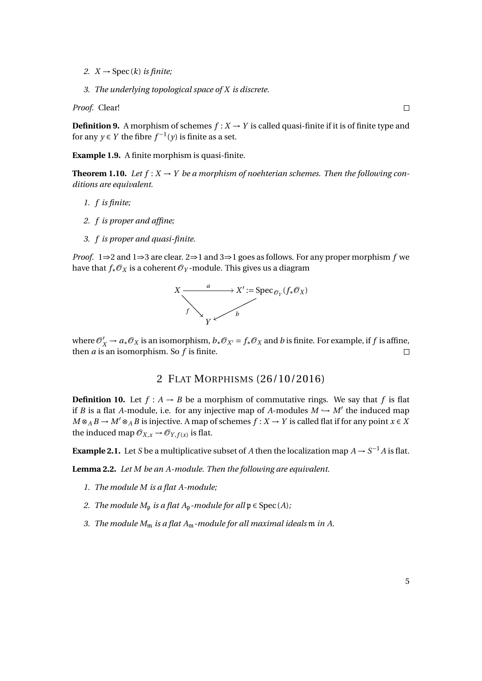- 2.  $X \rightarrow \text{Spec}(k)$  *is finite*;
- *3. The underlying topological space of X is discrete.*

*Proof.* Clear!

**Definition 9.** A morphism of schemes  $f: X \to Y$  is called quasi-finite if it is of finite type and for any  $y \in Y$  the fibre  $f^{-1}(y)$  is finite as a set.

**Example 1.9.** A finite morphism is quasi-finite.

**Theorem 1.10.** Let  $f: X \to Y$  be a morphism of noehterian schemes. Then the following con*ditions are equivalent.*

- *1. f is finite;*
- *2. f is proper and affine;*
- *3. f is proper and quasi-finite.*

*Proof.* 1⇒2 and 1⇒3 are clear. 2⇒1 and 3⇒1 goes as follows. For any proper morphism *f* we have that  $f_*\mathcal{O}_X$  is a coherent  $\mathcal{O}_Y$ -module. This gives us a diagram



where  $\mathcal{O}_X' \to a_* \mathcal{O}_X$  is an isomorphism,  $b_* \mathcal{O}_{X'} = f_* \mathcal{O}_X$  and  $b$  is finite. For example, if  $f$  is affine, then *a* is an isomorphism. So *f* is finite.

### 2 FLAT MORPHISMS (26/10/2016)

**Definition 10.** Let  $f: A \rightarrow B$  be a morphism of commutative rings. We say that f is flat if *B* is a flat *A*-module, i.e. for any injective map of *A*-modules  $M \hookrightarrow M'$  the induced map  $M \otimes_A B \to M' \otimes_A B$  is injective. A map of schemes  $f : X \to Y$  is called flat if for any point  $x \in X$ the induced map  $\mathcal{O}_{X,x} \to \mathcal{O}_{Y,f(x)}$  is flat.

**Example 2.1.** Let *S* be a multiplicative subset of *A* then the localization map  $A \rightarrow S^{-1}A$  is flat.

**Lemma 2.2.** *Let M be an A-module. Then the following are equivalent.*

- *1. The module M is a flat A-module;*
- *2. The module*  $M_p$  *is a flat*  $A_p$ *-module for all*  $p \in Spec(A)$ *;*
- *3. The module*  $M_m$  *is a flat*  $A_m$ -module for all maximal ideals  $m$  in A.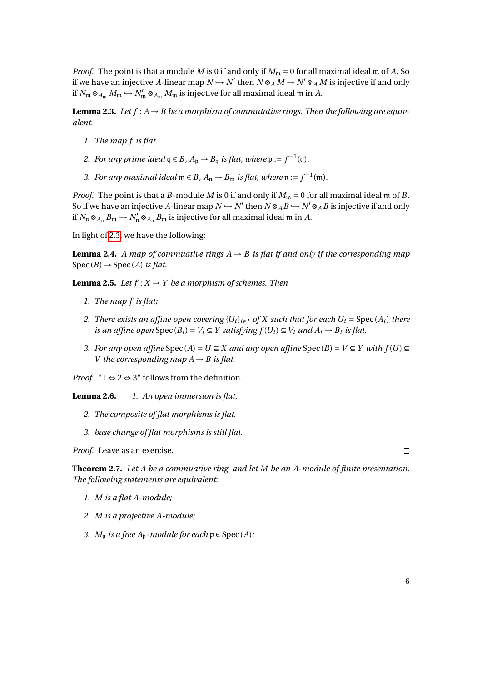*Proof.* The point is that a module *M* is 0 if and only if  $M_m = 0$  for all maximal ideal m of *A*. So if we have an injective *A*-linear map  $N \hookrightarrow N'$  then  $N \otimes_A M \to N' \otimes_A M$  is injective if and only if  $N_{\mathfrak{m}} \otimes_{A_{\mathfrak{m}}} M_{\mathfrak{m}} \hookrightarrow N'_{\mathfrak{m}} \otimes_{A_{\mathfrak{m}}} M_{\mathfrak{m}}$  is injective for all maximal ideal  $\mathfrak{m}$  in  $A$ .  $\Box$ 

<span id="page-5-0"></span>**Lemma 2.3.** Let  $f : A \rightarrow B$  be a morphism of commutative rings. Then the following are equiv*alent.*

- *1. The map f is flat.*
- *2. For any prime ideal*  $q ∈ B$ *,*  $A_p → B_q$  *is flat, where*  $p := f^{-1}(q)$ *.*
- 3. For any maximal ideal  $\mathfrak{m} \in B$ ,  $A_{\mathfrak{n}} \to B_{\mathfrak{m}}$  is flat, where  $\mathfrak{n} := f^{-1}(\mathfrak{m})$ .

*Proof.* The point is that a *B*-module *M* is 0 if and only if  $M_m = 0$  for all maximal ideal m of *B*. So if we have an injective A-linear map  $N \hookrightarrow N'$  then  $N \otimes_A B \hookrightarrow N' \otimes_A B$  is injective if and only if  $N_n \otimes_{A_n} B_m \hookrightarrow N'_n \otimes_{A_n} B_m$  is injective for all maximal ideal  $\mathfrak m$  in  $A$ .  $\Box$ 

In light of [2.3,](#page-5-0) we have the following:

**Lemma 2.4.** *A map of commuative rings*  $A \rightarrow B$  *is flat if and only if the corresponding map*  $Spec(B) \rightarrow Spec(A)$  *is flat.* 

**Lemma 2.5.** *Let*  $f: X \to Y$  *be a morphism of schemes. Then* 

- *1. The map f is flat;*
- *2. There exists an affine open covering*  ${U_i}_{i \in I}$  *of X such that for each*  $U_i = \text{Spec}(A_i)$  *there is an affine open*  $Spec(B_i) = V_i \subseteq Y$  *satisfying*  $f(U_i) \subseteq V_i$  *and*  $A_i \rightarrow B_i$  *is flat.*
- *3. For any open affine*  $Spec(A) = U \subseteq X$  *and any open affine*  $Spec(B) = V \subseteq Y$  *with*  $f(U) \subseteq Y$ *V* the corresponding map  $A \rightarrow B$  is flat.

*Proof.* " $1 \Leftrightarrow 2 \Leftrightarrow 3$ " follows from the definition.

**Lemma 2.6.** *1. An open immersion is flat.*

- *2. The composite of flat morphisms is flat.*
- *3. base change of flat morphisms is still flat.*

*Proof.* Leave as an exercise.

<span id="page-5-1"></span>**Theorem 2.7.** *Let A be a commuative ring, and let M be an A-module of finite presentation. The following statements are equivalent:*

- *1. M is a flat A-module;*
- *2. M is a projective A-module;*
- *3. M*<sub>p</sub> *is a free*  $A_p$ *-module for each*  $p \in Spec(A)$ *;*

 $\Box$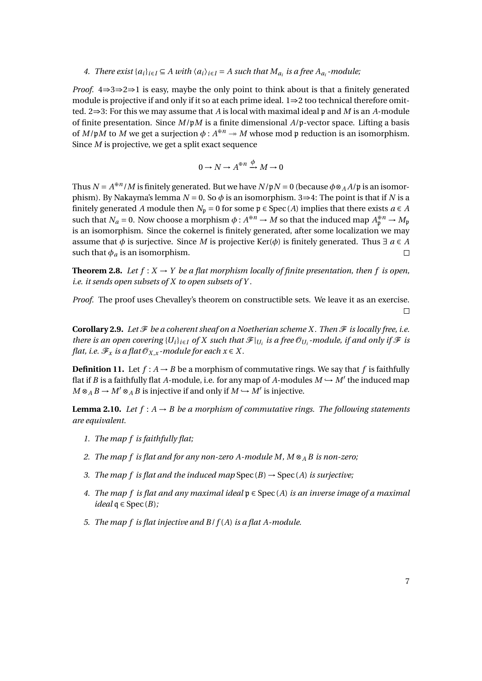*4. There exist*  $\{a_i\}_{i\in I} \subseteq A$  *with*  $\langle a_i \rangle_{i\in I} = A$  *such that*  $M_{a_i}$  *is a free*  $A_{a_i}$ *-module*;

*Proof.* 4⇒3⇒2⇒1 is easy, maybe the only point to think about is that a finitely generated module is projective if and only if it so at each prime ideal. 1⇒2 too technical therefore omitted. 2⇒3: For this we may assume that *A* is local with maximal ideal p and *M* is an *A*-module of finite presentation. Since *M*/p*M* is a finite dimensional *A*/p-vector space. Lifting a basis of  $M/\mathfrak{p}M$  to  $M$  we get a surjection  $\phi: A^{\oplus n} \to M$  whose mod  $\mathfrak{p}$  reduction is an isomorphism. Since *M* is projective, we get a split exact sequence

$$
0\to N\to A^{\oplus n}\xrightarrow{\phi} M\to 0
$$

Thus  $N = A^{\oplus n}/M$  is finitely generated. But we have  $N/\mathfrak{p}N = 0$  (because  $\phi \otimes_A A/\mathfrak{p}$  is an isomorphism). By Nakayma's lemma  $N = 0$ . So  $\phi$  is an isomorphism. 3⇒4: The point is that if *N* is a finitely generated *A* module then  $N_p = 0$  for some  $p \in Spec(A)$  implies that there exists  $a \in A$ such that  $N_a = 0$ . Now choose a morphism  $\phi : A^{\oplus n} \to M$  so that the induced map  $A^{\oplus n}_p \to M_p$ is an isomorphism. Since the cokernel is finitely generated, after some localization we may assume that  $\phi$  is surjective. Since *M* is projective Ker( $\phi$ ) is finitely generated. Thus  $\exists a \in A$ such that  $\phi_a$  is an isomorphism.  $\Box$ 

**Theorem 2.8.** Let  $f: X \to Y$  be a flat morphism locally of finite presentation, then f is open, *i.e. it sends open subsets of X to open subsets of Y .*

*Proof.* The proof uses Chevalley's theorem on constructible sets. We leave it as an exercise.  $\Box$ 

**Corollary 2.9.** Let  $\mathcal F$  be a coherent sheaf on a Noetherian scheme X. Then  $\mathcal F$  is locally free, i.e. *there is an open covering*  $\{U_i\}_{i\in I}$  *of* X such that  $\mathcal{F}|_{U_i}$  *is a free*  $\mathcal{O}_{U_i}$ -module, if and only if  $\mathcal F$  is *flat, i.e.*  $\mathcal{F}_x$  *is a flat*  $\mathcal{O}_{X,x}$ *-module for each*  $x \in X$ *.* 

**Definition 11.** Let  $f: A \rightarrow B$  be a morphism of commutative rings. We say that f is faithfully flat if *B* is a faithfully flat *A*-module, i.e. for any map of *A*-modules  $M \hookrightarrow M'$  the induced map  $M \otimes_A B \to M' \otimes_A B$  is injective if and only if  $M \hookrightarrow M'$  is injective.

<span id="page-6-0"></span>**Lemma 2.10.** *Let*  $f : A \rightarrow B$  *be a morphism of commutative rings. The following statements are equivalent.*

- *1. The map f is faithfully flat;*
- *2. The map f is flat and for any non-zero A-module M, M* ⊗*<sup>A</sup> B is non-zero;*
- *3. The map f is flat and the induced map*  $Spec(B) \rightarrow Spec(A)$  *is surjective*;
- *4. The map f is flat and any maximal ideal* p ∈ Spec (*A*) *is an inverse image of a maximal*  $ideal \neq$  Spec  $(B)$ ;
- *5. The map f is flat injective and B*/*f* (*A*) *is a flat A-module.*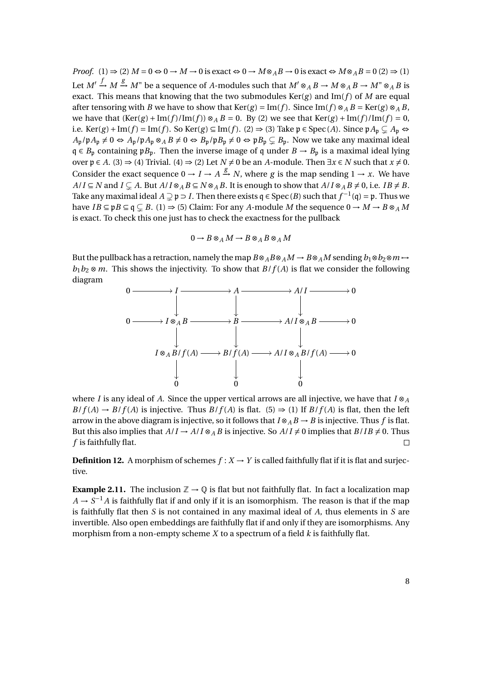*Proof.* (1)  $\Rightarrow$  (2)  $M = 0 \Leftrightarrow 0 \rightarrow M \rightarrow 0$  is exact  $\Leftrightarrow 0 \rightarrow M \otimes_A B \rightarrow 0$  is exact  $\Leftrightarrow M \otimes_A B = 0$  (2)  $\Rightarrow$  (1) Let  $M' \xrightarrow{f} M \xrightarrow{g} M''$  be a sequence of *A*-modules such that  $M' \otimes_A B \to M \otimes_A B \to M'' \otimes_A B$  is exact. This means that knowing that the two submodules  $Ker(g)$  and  $Im(f)$  of *M* are equal after tensoring with *B* we have to show that Ker(*g*) = Im(*f*). Since Im(*f*)  $\otimes_A B$  = Ker(*g*)  $\otimes_A B$ , we have that  $(Ker(g) + Im(f)/Im(f)) \otimes_A B = 0$ . By (2) we see that  $Ker(g) + Im(f)/Im(f) = 0$ , i.e. Ker(*g*) + Im(*f*) = Im(*f*). So Ker(*g*) ⊆ Im(*f*). (2)  $\Rightarrow$  (3) Take  $\mathfrak{p} \in \text{Spec}(A)$ . Since  $\mathfrak{p} A_{\mathfrak{p}} \subsetneq A_{\mathfrak{p}} \Leftrightarrow$  $A_p/\mathfrak{p} A_p \neq 0 \Leftrightarrow A_p/\mathfrak{p} A_p \otimes_A B \neq 0 \Leftrightarrow B_p/\mathfrak{p} B_p \neq 0 \Leftrightarrow \mathfrak{p} B_p \subsetneq B_p$ . Now we take any maximal ideal q ∈ *B*<sup>p</sup> containing p*B*p. Then the inverse image of q under *B* → *B*<sup>p</sup> is a maximal ideal lying over  $p \in A$ . (3)  $\Rightarrow$  (4) Trivial. (4)  $\Rightarrow$  (2) Let *N*  $\neq$  0 be an *A*-module. Then  $\exists x \in N$  such that  $x \neq 0$ . Consider the exact sequence  $0 \to I \to A \xrightarrow{g} N$ , where *g* is the map sending  $1 \to x$ . We have  $A/I \subseteq N$  and  $I \subseteq A$ . But  $A/I \otimes_A B \subseteq N \otimes_A B$ . It is enough to show that  $A/I \otimes_A B \neq 0$ , i.e.  $IB \neq B$ . Take any maximal ideal  $A \supsetneq \mathfrak{p} \supseteq I$ . Then there exists  $\mathfrak{q} \in \text{Spec}(B)$  such that  $f^{-1}(\mathfrak{q}) = \mathfrak{p}$ . Thus we have  $IB \subseteq pB \subseteq q \subseteq B$ . (1)  $\Rightarrow$  (5) Claim: For any *A*-module *M* the sequence  $0 \rightarrow M \rightarrow B \otimes_A M$ is exact. To check this one just has to check the exactness for the pullback

$$
0 \to B \otimes_A M \to B \otimes_A B \otimes_A M
$$

But the pullback has a retraction, namely the map  $B \otimes_A B \otimes_A M \to B \otimes_A M$  sending  $b_1 \otimes b_2 \otimes m \mapsto$  $b_1b_2 \otimes m$ . This shows the injectivity. To show that  $B/f(A)$  is flat we consider the following diagram



where *I* is any ideal of *A*. Since the upper vertical arrows are all injective, we have that  $I \otimes_A I$  $B/f(A) \rightarrow B/f(A)$  is injective. Thus  $B/f(A)$  is flat. (5)  $\Rightarrow$  (1) If  $B/f(A)$  is flat, then the left arrow in the above diagram is injective, so it follows that  $I \otimes_A B \to B$  is injective. Thus f is flat. But this also implies that  $A/I \rightarrow A/I \otimes_A B$  is injective. So  $A/I \neq 0$  implies that  $B/IB \neq 0$ . Thus *f* is faithfully flat.  $\Box$ 

**Definition 12.** A morphism of schemes  $f: X \rightarrow Y$  is called faithfully flat if it is flat and surjective.

**Example 2.11.** The inclusion  $\mathbb{Z} \to \mathbb{Q}$  is flat but not faithfully flat. In fact a localization map  $A \rightarrow S^{-1}A$  is faithfully flat if and only if it is an isomorphism. The reason is that if the map is faithfully flat then *S* is not contained in any maximal ideal of *A*, thus elements in *S* are invertible. Also open embeddings are faithfully flat if and only if they are isomorphisms. Any morphism from a non-empty scheme *X* to a spectrum of a field *k* is faithfully flat.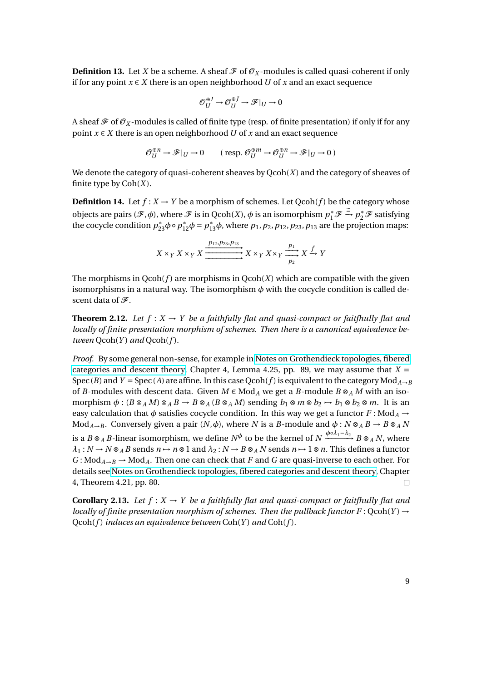**Definition 13.** Let *X* be a scheme. A sheaf  $\mathcal F$  of  $\mathcal O_X$ -modules is called quasi-coherent if only if for any point  $x \in X$  there is an open neighborhood *U* of *x* and an exact sequence

$$
\mathcal{O}_U^{\oplus I} \to \mathcal{O}_U^{\oplus J} \to \mathcal{F}|_U \to 0
$$

A sheaf  $\mathcal F$  of  $\mathcal O_X$ -modules is called of finite type (resp. of finite presentation) if only if for any point  $x \in X$  there is an open neighborhood *U* of *x* and an exact sequence

$$
\mathcal{O}_U^{\oplus n} \to \mathcal{F}|_U \to 0 \qquad (\text{ resp. } \mathcal{O}_U^{\oplus m} \to \mathcal{O}_U^{\oplus n} \to \mathcal{F}|_U \to 0)
$$

We denote the category of quasi-coherent sheaves by Qcoh(*X*) and the category of sheaves of finite type by Coh(*X*).

**Definition 14.** Let  $f: X \to Y$  be a morphism of schemes. Let  $Qcoh(f)$  be the category whose objects are pairs  $(\mathscr{F}, \phi)$ , where  $\mathscr{F}$  is in Qcoh(*X*),  $\phi$  is an isomorphism  $p_1^* \mathscr{F}$  $\stackrel{\cong}{\rightarrow} p_2^* \mathcal{F}$  satisfying the cocycle condition  $p_{23}^* \phi \circ p_{12}^* \phi = p_{13}^* \phi$ , where  $p_1, p_2, p_{12}, p_{23}, p_{13}$  are the projection maps:

$$
X \times_Y X \times_Y X \xrightarrow{p_{12}, p_{23}, p_{13}} X \times_Y X \times_Y \xrightarrow{p_1} X \xrightarrow{f} Y
$$

The morphisms in  $Qcoh(f)$  are morphisms in  $Qcoh(X)$  which are compatible with the given isomorphisms in a natural way. The isomorphism  $\phi$  with the cocycle condition is called descent data of  $\mathcal{F}$ .

<span id="page-8-0"></span>**Theorem 2.12.** Let  $f: X \to Y$  be a faithfully flat and quasi-compact or faitfhully flat and *locally of finite presentation morphism of schemes. Then there is a canonical equivalence be* $tween Qcoh(Y)$  *and*  $Qcoh(f)$ *.* 

*Proof.* By some general non-sense, for example in [Notes on Grothendieck topologies, fibered](http://homepage.sns.it/vistoli/descent.pdf) [categories and descent theory,](http://homepage.sns.it/vistoli/descent.pdf) Chapter 4, Lemma 4.25, pp. 89, we may assume that  $X =$ Spec (*B*) and *Y* = Spec (*A*) are affine. In this case Qcoh(*f*) is equivalent to the category Mod<sub>*A*→*B*</sub> of *B*-modules with descent data. Given *M* ∈ Mod<sub>*A*</sub> we get a *B*-module *B* ⊗<sub>*A</sub>M* with an iso-</sub> morphism  $\phi$  : ( $B \otimes_A M$ )  $\otimes_A B \to B \otimes_A (B \otimes_A M)$  sending  $b_1 \otimes m \otimes b_2 \mapsto b_1 \otimes b_2 \otimes m$ . It is an easy calculation that  $\phi$  satisfies cocycle condition. In this way we get a functor  $F : Mod_A \rightarrow$ Mod<sub>*A*→</sub>*B*. Conversely given a pair  $(N, \phi)$ , where *N* is a *B*-module and  $\phi : N \otimes_A B \to B \otimes_A N$ is a  $B \otimes_A B$ -linear isomorphism, we define  $N^\phi$  to be the kernel of  $N \xrightarrow{\phi \circ \lambda_1 - \lambda_2} B \otimes_A N$ , where  $\lambda_1: N \to N \otimes_A B$  sends  $n \to n \otimes 1$  and  $\lambda_2: N \to B \otimes_A N$  sends  $n \to 1 \otimes n$ . This defines a functor  $G: Mod_{A\rightarrow B} \rightarrow Mod_A$ . Then one can check that *F* and *G* are quasi-inverse to each other. For details see [Notes on Grothendieck topologies, fibered categories and descent theory,](http://homepage.sns.it/vistoli/descent.pdf) Chapter 4, Theorem 4.21, pp. 80.  $\Box$ 

**Corollary 2.13.** Let  $f: X \to Y$  be a faithfully flat and quasi-compact or faitfhully flat and *locally of finite presentation morphism of schemes. Then the pullback functor F* :  $Qcoh(Y) \rightarrow$ Qcoh(*f* ) *induces an equivalence between* Coh(*Y* ) *and* Coh(*f* )*.*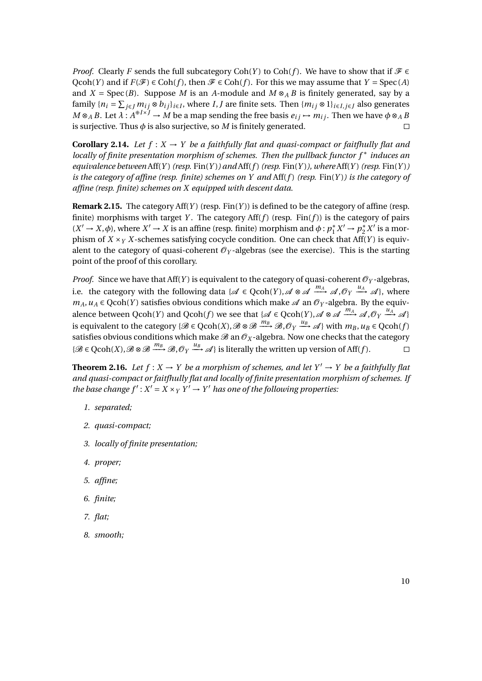*Proof.* Clearly *F* sends the full subcategory Coh(*Y*) to Coh(*f*). We have to show that if  $\mathcal{F} \in$ Qcoh(*Y*) and if  $F(\mathcal{F}) \in \text{Coh}(f)$ , then  $\mathcal{F} \in \text{Coh}(f)$ . For this we may assume that  $Y = \text{Spec}(A)$ and *X* = Spec(*B*). Suppose *M* is an *A*-module and  $M \otimes_A B$  is finitely generated, say by a family  $\{n_i = \sum_{j \in J} m_{ij} \otimes b_{ij}\}_{i \in I}$ , where *I*, *J* are finite sets. Then  $\{m_{ij} \otimes 1\}_{i \in I, j \in J}$  also generates  $M \otimes_A B$ . Let  $\lambda : A^{\oplus I \times J} \to M$  be a map sending the free basis  $e_{ij} \mapsto m_{ij}$ . Then we have  $\phi \otimes_A B$ is surjective. Thus  $\phi$  is also surjective, so  $M$  is finitely generated.  $\Box$ 

**Corollary 2.14.** Let  $f: X \to Y$  be a faithfully flat and quasi-compact or faitfhully flat and *locally of finite presentation morphism of schemes. Then the pullback functor f* <sup>∗</sup> *induces an*  $equivalence$   $between$   $Aff(Y)$   $(resp.$   $Fin(Y))$   $and$   $Aff(f)$   $(resp.$   $Fin(Y))$ *, where*  $Aff(Y)$   $(resp.$   $Fin(Y))$ *is the category of affine (resp. finite) schemes on Y and* Aff(*f* ) *(resp.* Fin(*Y* )*) is the category of affine (resp. finite) schemes on X equipped with descent data.*

**Remark 2.15.** The category  $Aff(Y)$  (resp.  $Fin(Y)$ ) is defined to be the category of affine (resp. finite) morphisms with target *Y*. The category  $Aff(f)$  (resp. Fin(*f*)) is the category of pairs  $(X' \rightarrow X, \phi)$ , where  $X' \rightarrow X$  is an affine (resp. finite) morphism and  $\phi : p_1^*$  $p_1^* X' \to p_2^*$  $\sum_{2}^{8} X'$  is a morphism of  $X \times_Y X$ -schemes satisfying cocycle condition. One can check that Aff(*Y*) is equivalent to the category of quasi-coherent  $\mathcal{O}_Y$ -algebras (see the exercise). This is the starting point of the proof of this corollary.

*Proof.* Since we have that Aff(*Y*) is equivalent to the category of quasi-coherent  $\mathcal{O}_Y$ -algebras, i.e. the category with the following data { $\mathscr{A} \in \text{Qcoh}(Y)$ ,  $\mathscr{A} \otimes \mathscr{A} \xrightarrow{m_A} \mathscr{A}$ ,  $\mathscr{O}_Y \xrightarrow{u_A} \mathscr{A}$ }, where  $m_A, u_A \in \text{Qcoh}(Y)$  satisfies obvious conditions which make  $\mathscr A$  an  $\mathscr O_Y$ -algebra. By the equivalence between  $Qcoh(Y)$  and  $Qcoh(f)$  we see that  $\{\mathscr{A} \in Qcoh(Y), \mathscr{A} \otimes \mathscr{A} \xrightarrow{m_A} \mathscr{A}, \mathscr{O}_Y \xrightarrow{u_A} \mathscr{A}\}$ is equivalent to the category { $\mathscr{B} \in {\rm Qcoh}(X)$ ,  $\mathscr{B} \otimes \mathscr{B} \xrightarrow{m_B} \mathscr{B}$ ,  $\mathscr{O}_Y \xrightarrow{u_B} \mathscr{A}$ } with  $m_B, u_B \in {\rm Qcoh}(f)$ satisfies obvious conditions which make  $\mathscr{B}$  an  $\mathscr{O}_X$ -algebra. Now one checks that the category  $\{\mathscr{B} \in \text{Qcoh}(X), \mathscr{B} \otimes \mathscr{B} \xrightarrow{m_B} \mathscr{B}, \mathscr{O}_Y \xrightarrow{u_B} \mathscr{A}\}$  is literally the written up version of Aff(*f*).  $\Box$ 

<span id="page-9-0"></span>**Theorem 2.16.** *Let*  $f: X \to Y$  *be a morphism of schemes, and let*  $Y' \to Y$  *be a faithfully flat and quasi-compact or faitfhully flat and locally of finite presentation morphism of schemes. If the base change*  $f' : X' = X \times_Y Y' \rightarrow Y'$  *has one of the following properties.* 

- *1. separated;*
- *2. quasi-compact;*
- *3. locally of finite presentation;*
- *4. proper;*
- *5. affine;*
- *6. finite;*
- *7. flat;*
- *8. smooth;*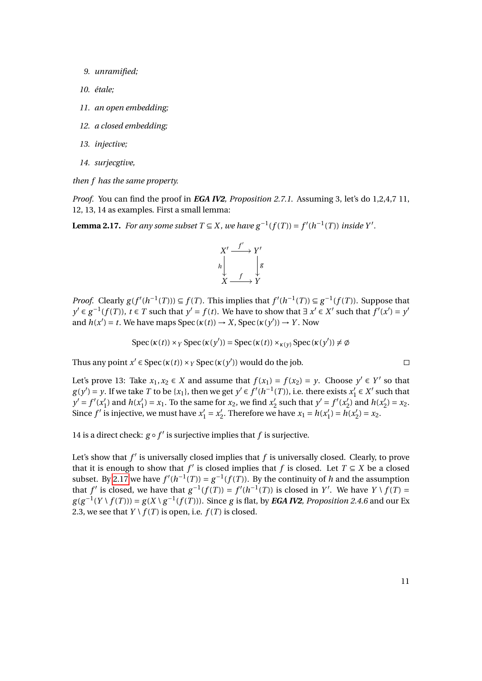- *9. unramified;*
- *10. étale;*
- *11. an open embedding;*
- *12. a closed embedding;*
- *13. injective;*
- *14. surjecgtive,*

*then f has the same property.*

*Proof.* You can find the proof in *EGA IV2, Proposition 2.7.1*. Assuming 3, let's do 1,2,4,7 11, 12, 13, 14 as examples. First a small lemma:

<span id="page-10-0"></span>**Lemma 2.17.** *For any some subset*  $T \subseteq X$ *, we have*  $g^{-1}(f(T)) = f'(h^{-1}(T))$  *inside*  $Y'$ *.* 



*Proof.* Clearly  $g(f'(h^{-1}(T))) \subseteq f(T)$ . This implies that  $f'(h^{-1}(T)) \subseteq g^{-1}(f(T))$ . Suppose that  $y' \in g^{-1}(f(T))$ ,  $t \in T$  such that  $y' = f(t)$ . We have to show that  $\exists x' \in X'$  such that  $f'(x') = y'$ and  $h(x') = t$ . We have maps Spec ( $\kappa(t)$ )  $\rightarrow X$ , Spec ( $\kappa(y')$ )  $\rightarrow Y$ . Now

$$
Spec(\kappa(t)) \times_Y Spec(\kappa(y')) = Spec(\kappa(t)) \times_{\kappa(y)} Spec(\kappa(y')) \neq \emptyset
$$

Thus any point  $x' \in \text{Spec}(\kappa(t)) \times_Y \text{Spec}(\kappa(y'))$  would do the job.

Let's prove 13: Take  $x_1, x_2 \in X$  and assume that  $f(x_1) = f(x_2) = y$ . Choose  $y' \in Y'$  so that  $g(y') = y$ . If we take *T* to be {*x*<sub>1</sub>}, then we get  $y' \in f'(h^{-1}(T))$ , i.e. there exists *x*<sup>1</sup>  $\frac{1}{1} \in X'$  such that  $y' = f'(x_1')$  $n'_1$ ) and  $h(x'_1)$  $x_1'$ ) =  $x_1$ . To the same for  $x_2$ , we find  $x_2'$  $y' = f'(x'_2)$  $\binom{1}{2}$  and  $h(x)$  $x_2'$ ) =  $x_2$ . Since  $f'$  is injective, we must have  $x'_1 = x'_2$ <sup>2</sup>. Therefore we have  $x_1 = h(x_1)$  $\hat{h}'_1$ ) =  $\hat{h}(x)$  $x_2'$ ) =  $x_2$ .

14 is a direct check:  $g \circ f'$  is surjective implies that  $f$  is surjective.

Let's show that  $f'$  is universally closed implies that  $f$  is universally closed. Clearly, to prove that it is enough to show that *f'* is closed implies that *f* is closed. Let  $T \subseteq X$  be a closed subset. By [2.17](#page-10-0) we have  $f'(h^{-1}(T)) = g^{-1}(f(T))$ . By the continuity of *h* and the assumption that *f'* is closed, we have that  $g^{-1}(f(T)) = f'(h^{-1}(T))$  is closed in *Y'*. We have  $Y \setminus f(T) =$  $g(g^{-1}(Y \setminus f(T))) = g(X \setminus g^{-1}(f(T)))$ . Since *g* is flat, by *EGA IV2, Proposition 2.4.6* and our Ex 2.3, we see that  $Y \setminus f(T)$  is open, i.e.  $f(T)$  is closed.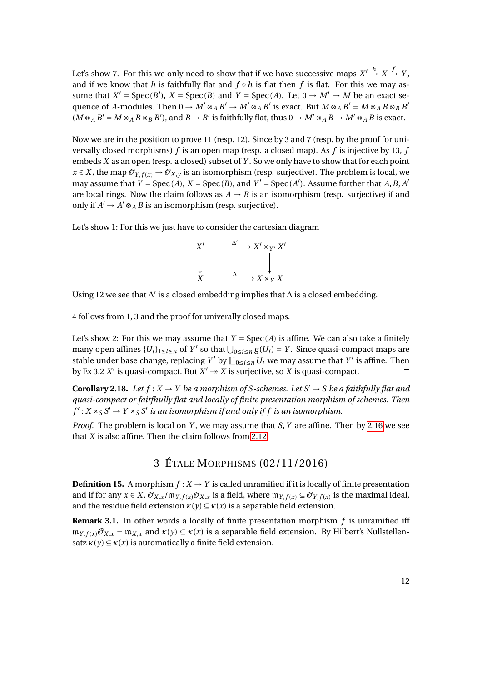Let's show 7. For this we only need to show that if we have successive maps  $X' \stackrel{h}{\rightarrow} X \stackrel{f}{\rightarrow} Y$ , and if we know that *h* is faithfully flat and  $f \circ h$  is flat then *f* is flat. For this we may assume that  $X' = \text{Spec}(B')$ ,  $X = \text{Spec}(B)$  and  $Y = \text{Spec}(A)$ . Let  $0 \to M' \to M$  be an exact sequence of *A*-modules. Then  $0 \to M' \otimes_A B' \to M' \otimes_A B'$  is exact. But  $M \otimes_A B' = M \otimes_A B \otimes_B B'$  $(M \otimes_A B' = M \otimes_A B \otimes_B B')$ , and  $B \to B'$  is faithfully flat, thus  $0 \to M' \otimes_A B \to M' \otimes_A B$  is exact.

Now we are in the position to prove 11 (resp. 12). Since by 3 and 7 (resp. by the proof for universally closed morphisms) *f* is an open map (resp. a closed map). As *f* is injective by 13, *f* embeds *X* as an open (resp. a closed) subset of *Y* . So we only have to show that for each point  $x \in X$ , the map  $\mathcal{O}_{Y, f(x)} \to \mathcal{O}_{X, y}$  is an isomorphism (resp. surjective). The problem is local, we may assume that  $Y = \text{Spec}(A)$ ,  $X = \text{Spec}(B)$ , and  $Y' = \text{Spec}(A')$ . Assume further that  $A, B, A'$ are local rings. Now the claim follows as  $A \rightarrow B$  is an isomorphism (resp. surjective) if and only if  $A' \to A' \otimes_A B$  is an isomorphism (resp. surjective).

Let's show 1: For this we just have to consider the cartesian diagram



Using 12 we see that  $\Delta'$  is a closed embedding implies that  $\Delta$  is a closed embedding.

4 follows from 1, 3 and the proof for univerally closed maps.

Let's show 2: For this we may assume that  $Y = \text{Spec}(A)$  is affine. We can also take a finitely many open affines  ${U_i}_{1 \le i \le n}$  of  $Y'$  so that  $\bigcup_{0 \le i \le n} g(U_i) = Y$ . Since quasi-compact maps are stable under base change, replacing *Y'* by  $\prod_{0 \le i \le n} U_i$  we may assume that *Y'* is affine. Then by Ex 3.2  $X'$  is quasi-compact. But  $X' \rightarrow X$  is surjective, so  $X$  is quasi-compact.

**Corollary 2.18.** Let  $f: X \to Y$  be a morphism of S-schemes. Let  $S' \to S$  be a faithfully flat and *quasi-compact or faitfhully flat and locally of finite presentation morphism of schemes. Then*  $f': X \times_S S' \to Y \times_S S'$  is an isomorphism if and only if f is an isomorphism.

*Proof.* The problem is local on *Y* , we may assume that *S*,*Y* are affine. Then by [2.16](#page-9-0) we see that *X* is also affine. Then the claim follows from [2.12.](#page-8-0)  $\Box$ 

# 3 ÉTALE MORPHISMS (02/11/2016)

**Definition 15.** A morphism  $f: X \to Y$  is called unramified if it is locally of finite presentation and if for any  $x \in X$ ,  $\mathcal{O}_{X,x}/\mathfrak{m}_{Y,f(x)}\mathcal{O}_{X,x}$  is a field, where  $\mathfrak{m}_{Y,f(x)} \subseteq \mathcal{O}_{Y,f(x)}$  is the maximal ideal, and the residue field extension  $\kappa(\gamma) \subseteq \kappa(x)$  is a separable field extension.

**Remark 3.1.** In other words a locally of finite presentation morphism *f* is unramified iff  $m_{Y, f(x)} \mathcal{O}_{X, x} = m_{X, x}$  and  $\kappa(y) \subseteq \kappa(x)$  is a separable field extension. By Hilbert's Nullstellensatz  $\kappa(y) \subseteq \kappa(x)$  is automatically a finite field extension.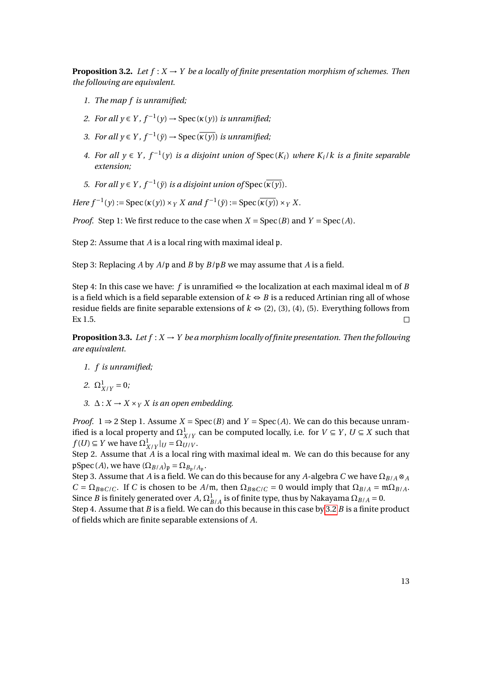<span id="page-12-0"></span>**Proposition 3.2.** Let  $f: X \to Y$  be a locally of finite presentation morphism of schemes. Then *the following are equivalent.*

- *1. The map f is unramified;*
- *2. For all*  $y \in Y$ ,  $f^{-1}(y) \rightarrow \text{Spec}(\kappa(y))$  *is unramified*;
- *3. For all*  $y \in Y$ ,  $f^{-1}(\bar{y}) \rightarrow \text{Spec}(\overline{\kappa(y)})$  *is unramified*;
- *4.* For all  $y \in Y$ ,  $f^{-1}(y)$  is a disjoint union of Spec( $K_i$ ) where  $K_i/k$  is a finite separable *extension;*
- *5. For all*  $y \in Y$ ,  $f^{-1}(\bar{y})$  *is a disjoint union of* Spec  $(\overline{\kappa(y)})$ *.*

*Here*  $f^{-1}(y)$  := Spec ( $\kappa(y)$ ) × *Y X* and  $f^{-1}(\bar{y})$  := Spec ( $\overline{\kappa(y)}$ ) × *Y X*.

*Proof.* Step 1: We first reduce to the case when  $X = \text{Spec}(B)$  and  $Y = \text{Spec}(A)$ .

Step 2: Assume that *A* is a local ring with maximal ideal p.

Step 3: Replacing *A* by *A*/p and *B* by *B*/p*B* we may assume that *A* is a field.

Step 4: In this case we have: *f* is unramified  $\Leftrightarrow$  the localization at each maximal ideal m of *B* is a field which is a field separable extension of  $k \Leftrightarrow B$  is a reduced Artinian ring all of whose residue fields are finite separable extensions of  $k \Leftrightarrow (2)$ , (3), (4), (5). Everything follows from Ex 1.5.

**Proposition 3.3.** Let  $f: X \to Y$  be a morphism locally of finite presentation. Then the following *are equivalent.*

- *1. f is unramified;*
- 2.  $\Omega^1_{X/Y} = 0$ ;
- *3.*  $\Delta$  *: X* → *X* × *y X is an open embedding.*

*Proof.* 1  $\Rightarrow$  2 Step 1. Assume *X* = Spec(*B*) and *Y* = Spec(*A*). We can do this because unramified is a local property and  $\Omega^1_{X/Y}$  can be computed locally, i.e. for  $V \subseteq Y$ ,  $U \subseteq X$  such that  $f(U) \subseteq Y$  we have  $\Omega^1_{X/Y}|_U = \Omega^1_{U/Y}$ .

Step 2. Assume that *A* is a local ring with maximal ideal m. We can do this because for any  $\mathfrak{pSpec}(A)$ , we have  $(\Omega_{B/A})_{\mathfrak{p}} = \Omega_{B_{\mathfrak{p}}/A_{\mathfrak{p}}}$ .

Step 3. Assume that *A* is a field. We can do this because for any *A*-algebra *C* we have  $\Omega_{B/A} \otimes_A$  $C = \Omega_{B\otimes C/C}$ . If *C* is chosen to be *A*/m, then  $\Omega_{B\otimes C/C} = 0$  would imply that  $\Omega_{B/A} = \mathfrak{m}\Omega_{B/A}$ . Since *B* is finitely generated over *A*,  $\Omega^1_{B/A}$  is of finite type, thus by Nakayama  $\Omega_{B/A} = 0$ .

Step 4. Assume that *B* is a field. We can do this because in this case by [3.2](#page-12-0) *B* is a finite product of fields which are finite separable extensions of *A*.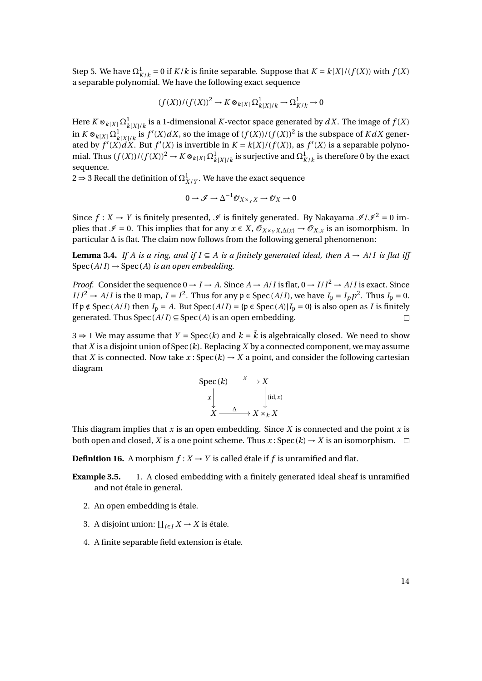Step 5. We have  $\Omega^1_{K/k} = 0$  if  $K/k$  is finite separable. Suppose that  $K = k[X]/(f(X))$  with  $f(X)$ a separable polynomial. We have the following exact sequence

$$
(f(X))/(f(X))^2 \to K \otimes_{k[X]} \Omega^1_{k[X]/k} \to \Omega^1_{K/k} \to 0
$$

Here  $K \otimes_{k[X]} \Omega^1_{k[X]/k}$  is a 1-dimensional  $K$ -vector space generated by  $dX.$  The image of  $f(X)$ in  $K \otimes_{k[X]} \Omega^1_{k[X]/k}$  is  $f'(X)dX$ , so the image of  $(f(X))/(f(X))^2$  is the subspace of  $KdX$  generated by  $f'(X)dX$ . But  $f'(X)$  is invertible in  $K = k[X]/(f(X))$ , as  $f'(X)$  is a separable polynomial. Thus  $(f(X))/(f(X))^2 \to K \otimes_{k[X]} \Omega^1_{k[X]/k}$  is surjective and  $\Omega^1_{K/k}$  is therefore 0 by the exact sequence.

 $2$  ⇒ 3 Recall the definition of  $Ω^1_{X/Y}$ . We have the exact sequence

$$
0 \to \mathcal{I} \to \Delta^{-1} \mathcal{O}_{X \times_Y X} \to \mathcal{O}_X \to 0
$$

Since  $f: X \to Y$  is finitely presented,  $\mathcal{I}$  is finitely generated. By Nakayama  $\mathcal{I}/\mathcal{I}^2 = 0$  implies that  $\mathcal{I} = 0$ . This implies that for any  $x \in X$ ,  $\mathcal{O}_{X \times_Y X, \Delta(x)} \to \mathcal{O}_{X, x}$  is an isomorphism. In particular ∆ is flat. The claim now follows from the following general phenomenon:

**Lemma 3.4.** *If A is a ring, and if*  $I \subseteq A$  *is a finitely generated ideal, then*  $A → A/I$  *is flat iff*  $Spec (A/I) \rightarrow Spec (A)$  *is an open embedding.* 

*Proof.* Consider the sequence  $0 \rightarrow I \rightarrow A$ . Since  $A \rightarrow A/I$  is flat,  $0 \rightarrow I/I^2 \rightarrow A/I$  is exact. Since  $I/I^2 \to A/I$  is the 0 map,  $I = I^2$ . Thus for any  $\mathfrak{p} \in \text{Spec}(A/I)$ , we have  $I_{\mathfrak{p}} = I_p p^2$ . Thus  $I_{\mathfrak{p}} = 0$ . If  $\mathfrak{p} \notin \text{Spec}(A/I)$  then *I*<sub>p</sub> = *A*. But Spec(*A*/*I*) = { $\mathfrak{p} \in \text{Spec}(A)|I_{\mathfrak{p}} = 0$ } is also open as *I* is finitely generated. Thus  $Spec (A/I) \subseteq Spec (A)$  is an open embedding.

3  $\Rightarrow$  1 We may assume that *Y* = Spec(*k*) and *k* =  $\overline{k}$  is algebraically closed. We need to show that *X* is a disjoint union of Spec (*k*). Replacing *X* by a connected component, we may assume that *X* is connected. Now take  $x:Spec(k) \rightarrow X$  a point, and consider the following cartesian diagram

$$
\begin{array}{ccc}\n\text{Spec}(k) & \xrightarrow{x} & X \\
x & \downarrow & \downarrow \\
X & \xrightarrow{\Delta} & X \times_k X\n\end{array}
$$

This diagram implies that *x* is an open embedding. Since *X* is connected and the point *x* is both open and closed, *X* is a one point scheme. Thus *x* : Spec  $(k) \rightarrow X$  is an isomorphism.  $\Box$ 

**Definition 16.** A morphism  $f: X \to Y$  is called étale if  $f$  is unramified and flat.

- **Example 3.5.** 1. A closed embedding with a finitely generated ideal sheaf is unramified and not étale in general.
	- 2. An open embedding is étale.
	- 3. A disjoint union:  $\prod_{i \in I} X \to X$  is étale.
	- 4. A finite separable field extension is étale.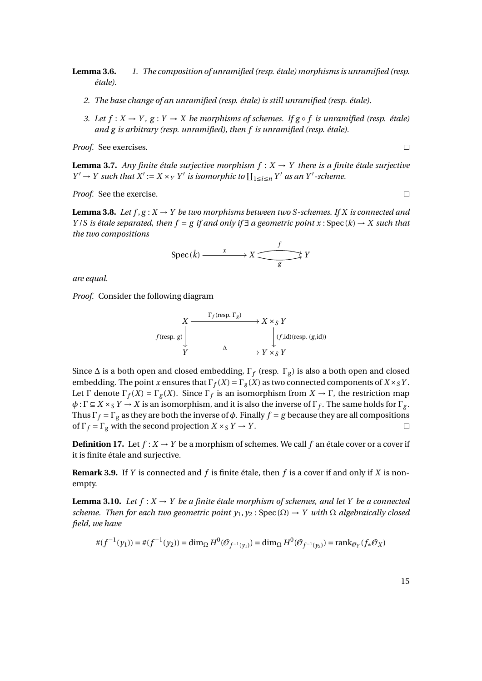**Lemma 3.6.** *1. The composition of unramified (resp. étale) morphisms is unramified (resp. étale).*

- *2. The base change of an unramified (resp. étale) is still unramified (resp. étale).*
- *3. Let*  $f$  :  $X$  →  $Y$ ,  $g$  :  $Y$  →  $X$  *be morphisms of schemes. If*  $g \circ f$  *is unramified (resp. étale) and g is arbitrary (resp. unramified), then f is unramified (resp. étale).*

*Proof.* See exercises.

 $\Box$ 

 $\Box$ 

**Lemma 3.7.** *Any finite étale surjective morphism*  $f : X \rightarrow Y$  *there is a finite étale surjective*  $Y' \to Y$  such that  $X' := X \times_Y Y'$  is isomorphic to  $\coprod_{1 \le i \le n} Y'$  as an Y'-scheme.

*Proof.* See the exercise.

**Lemma 3.8.** Let  $f, g: X \to Y$  be two morphisms between two S-schemes. If X is connected and *Y* /*S is étale separated, then f* = *g if and only if* ∃ *a geometric point x* : Spec (*k*) → *X such that the two compositions*

$$
\text{Spec}(\bar{k}) \xrightarrow{x} X \xrightarrow{f} Y
$$

*are equal.*

*Proof.* Consider the following diagram

*X*  $f$  (resp. *g*)  $\frac{\Gamma_f(\text{resp. }\Gamma_g)}{X \times_S Y}$  $\downarrow$  *Y* →  $\qquad$   $\qquad$   $\qquad$   $\downarrow$  *Y* × *S Y Y* → *S Y* 

Since  $\Delta$  is a both open and closed embedding,  $\Gamma_f$  (resp.  $\Gamma_g$ ) is also a both open and closed embedding. The point *x* ensures that  $\Gamma_f(X) = \Gamma_g(X)$  as two connected components of  $X \times_S Y$ . Let  $\Gamma$  denote  $\Gamma_f(X) = \Gamma_g(X)$ . Since  $\Gamma_f$  is an isomorphism from  $X \to \Gamma$ , the restriction map  $\phi: \Gamma \subseteq X \times_S Y \to X$  is an isomorphism, and it is also the inverse of  $\Gamma_f$ . The same holds for  $\Gamma_g$ . Thus  $\Gamma_f = \Gamma_g$  as they are both the inverse of  $\phi$ . Finally  $f = g$  because they are all compositions of  $\Gamma_f = \Gamma_g$  with the second projection  $X \times_S Y \to Y$ .  $\Box$ 

**Definition 17.** Let  $f: X \to Y$  be a morphism of schemes. We call f an étale cover or a cover if it is finite étale and surjective.

**Remark 3.9.** If *Y* is connected and *f* is finite étale, then *f* is a cover if and only if *X* is nonempty.

**Lemma 3.10.** *Let*  $f : X \to Y$  *be a finite étale morphism of schemes, and let*  $Y$  *be a connected scheme. Then for each two geometric point*  $y_1, y_2$ *: Spec*  $(\Omega) \rightarrow Y$  *with*  $\Omega$  *algebraically closed field, we have*

$$
\#(f^{-1}(y_1)) = \#(f^{-1}(y_2)) = \dim_{\Omega} H^0(\mathcal{O}_{f^{-1}(y_1)}) = \dim_{\Omega} H^0(\mathcal{O}_{f^{-1}(y_2)}) = \text{rank}_{\mathcal{O}_Y}(f_*\mathcal{O}_X)
$$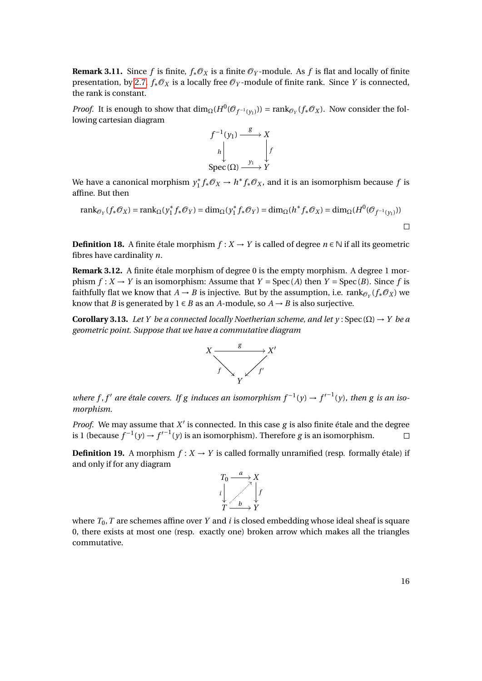**Remark 3.11.** Since *f* is finite,  $f_*\mathcal{O}_X$  is a finite  $\mathcal{O}_Y$ -module. As *f* is flat and locally of finite presentation, by [2.7,](#page-5-1)  $f_*\mathcal{O}_X$  is a locally free  $\mathcal{O}_Y$ -module of finite rank. Since *Y* is connected, the rank is constant.

*Proof.* It is enough to show that  $\dim_{\Omega}(H^0(\mathcal{O}_{f^{-1}(y_1)})) = \text{rank}_{\mathcal{O}_Y}(f_*\mathcal{O}_X)$ . Now consider the following cartesian diagram



We have a canonical morphism  $y_1^*$  $\int_{1}^{*} f_* \mathcal{O}_X \to h^* f_* \mathcal{O}_X$ , and it is an isomorphism because  $f$  is affine. But then

$$
\operatorname{rank}_{\mathcal{O}_Y}(f_*\mathcal{O}_X) = \operatorname{rank}_{\Omega}(y_1^* f_*\mathcal{O}_Y) = \dim_{\Omega}(y_1^* f_*\mathcal{O}_Y) = \dim_{\Omega}(h^* f_*\mathcal{O}_X) = \dim_{\Omega}(H^0(\mathcal{O}_{f^{-1}(y_1)}))
$$

**Definition 18.** A finite étale morphism  $f: X \to Y$  is called of degree  $n \in \mathbb{N}$  if all its geometric fibres have cardinality *n*.

**Remark 3.12.** A finite étale morphism of degree 0 is the empty morphism. A degree 1 morphism  $f: X \to Y$  is an isomorphism: Assume that  $Y = \text{Spec}(A)$  then  $Y = \text{Spec}(B)$ . Since f is faithfully flat we know that  $A \to B$  is injective. But by the assumption, i.e.  $\text{rank}_{\mathcal{O}_Y}(f_*\mathcal{O}_X)$  we know that *B* is generated by  $1 \in B$  as an *A*-module, so  $A \rightarrow B$  is also surjective.

<span id="page-15-0"></span>**Corollary 3.13.** *Let Y be a connected locally Noetherian scheme, and let y* : Spec ( $\Omega$ )  $\rightarrow$  *Y be a geometric point. Suppose that we have a commutative diagram*



*where f*, *f'* are étale covers. If g induces an isomorphism  $f^{-1}(y) \to f'^{-1}(y)$ , then g is an iso*morphism.*

*Proof.* We may assume that  $X'$  is connected. In this case  $g$  is also finite étale and the degree is 1 (because  $f^{-1}(y) \to f'^{-1}(y)$  is an isomorphism). Therefore *g* is an isomorphism.  $\Box$ 

**Definition 19.** A morphism  $f: X \to Y$  is called formally unramified (resp. formally étale) if and only if for any diagram



where  $T_0$ ,  $T$  are schemes affine over  $Y$  and  $i$  is closed embedding whose ideal sheaf is square 0, there exists at most one (resp. exactly one) broken arrow which makes all the triangles commutative.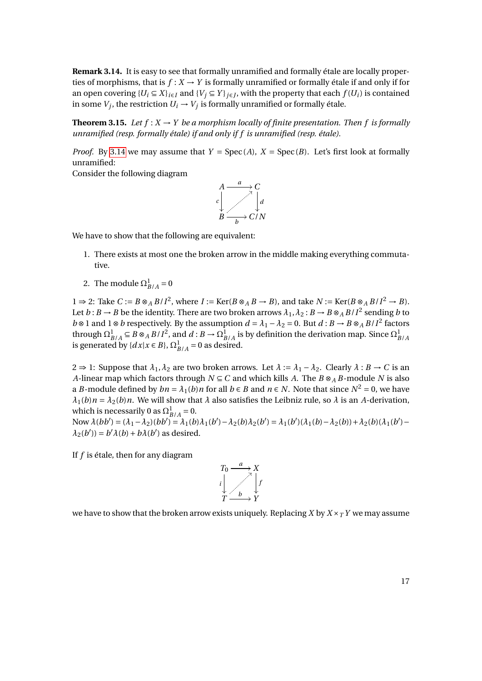<span id="page-16-0"></span>**Remark 3.14.** It is easy to see that formally unramified and formally étale are locally properties of morphisms, that is  $f: X \to Y$  is formally unramified or formally étale if and only if for an open covering  $\{U_i \subseteq X\}_{i \in I}$  and  $\{V_j \subseteq Y\}_{j \in J}$ , with the property that each  $f(U_i)$  is contained in some  $V_j$ , the restriction  $U_i \rightarrow V_j$  is formally unramified or formally étale.

**Theorem 3.15.** *Let*  $f : X \to Y$  *be a morphism locally of finite presentation. Then f is formally unramified (resp. formally étale) if and only if f is unramified (resp. étale).*

*Proof.* By [3.14](#page-16-0) we may assume that  $Y = \text{Spec}(A)$ ,  $X = \text{Spec}(B)$ . Let's first look at formally unramified:

Consider the following diagram



We have to show that the following are equivalent:

- 1. There exists at most one the broken arrow in the middle making everything commutative.
- 2. The module  $\Omega_{B/A}^1 = 0$

 $1 \Rightarrow 2$ : Take *C* := *B* ⊗<sub>*A</sub> B*/*I*<sup>2</sup>, where *I* := Ker(*B* ⊗<sub>*A*</sub> *B* → *B*), and take *N* := Ker(*B* ⊗<sub>*A*</sub> *B*/*I*<sup>2</sup> → *B*).</sub> Let  $b: B \to B$  be the identity. There are two broken arrows  $\lambda_1, \lambda_2: B \to B \otimes_A B/I^2$  sending  $b$  to *b* ⊗ 1 and 1 ⊗ *b* respectively. By the assumption  $d = \lambda_1 - \lambda_2 = 0$ . But  $d : B \to B \otimes_A B/I^2$  factors through  $\Omega^1_{B/A} \subseteq B \otimes_A B/I^2$ , and  $d : B \to \Omega^1_{B/A}$  is by definition the derivation map. Since  $\Omega^1_{B/A}$ is generated by  $\{dx | x \in B\}$ ,  $\Omega^1_{B/A} = 0$  as desired.

2 ⇒ 1: Suppose that  $\lambda_1, \lambda_2$  are two broken arrows. Let  $\lambda := \lambda_1 - \lambda_2$ . Clearly  $\lambda : B \to C$  is an *A*-linear map which factors through  $N \subseteq C$  and which kills *A*. The  $B \otimes_A B$ -module *N* is also a *B*-module defined by  $bn = \lambda_1(b)n$  for all  $b \in B$  and  $n \in N$ . Note that since  $N^2 = 0$ , we have  $\lambda_1(b)n = \lambda_2(b)n$ . We will show that  $\lambda$  also satisfies the Leibniz rule, so  $\lambda$  is an *A*-derivation, which is necessarily 0 as  $\Omega_{B/A}^1 = 0$ .

Now  $\lambda(bb') = (\lambda_1 - \lambda_2)(bb') = \lambda_1(b)\lambda_1(b') - \lambda_2(b)\lambda_2(b') = \lambda_1(b')(\lambda_1(b) - \lambda_2(b)) + \lambda_2(b)(\lambda_1(b') \lambda_2(b')$ ) =  $b'\lambda(b) + b\lambda(b')$  as desired.

If *f* is étale, then for any diagram



we have to show that the broken arrow exists uniquely. Replacing *X* by  $X \times T$ *Y* we may assume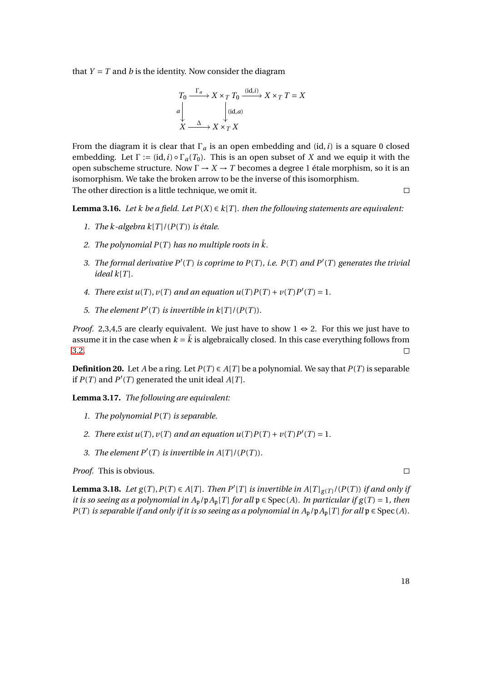that  $Y = T$  and *b* is the identity. Now consider the diagram

$$
T_0 \xrightarrow{\Gamma_a} X \times_T T_0 \xrightarrow{\text{(id, } i)} X \times_T T = X
$$
  
\n
$$
a \downarrow \qquad \qquad \downarrow \text{(id, } a)
$$
  
\n
$$
X \xrightarrow{\Delta} X \times_T X
$$

From the diagram it is clear that  $\Gamma_a$  is an open embedding and (id, *i*) is a square 0 closed embedding. Let  $\Gamma := (\text{id}, i) \circ \Gamma_a(T_0)$ . This is an open subset of *X* and we equip it with the open subscheme structure. Now Γ → *X* → *T* becomes a degree 1 étale morphism, so it is an isomorphism. We take the broken arrow to be the inverse of this isomorphism. The other direction is a little technique, we omit it.  $\Box$ 

**Lemma 3.16.** *Let k be a field. Let*  $P(X) \in k[T]$ *. then the following statements are equivalent:* 

- *1. The k-algebra k*[ $T$ ]/( $P(T)$ ) *is étale.*
- 2. The polynomial  $P(T)$  has no multiple roots in  $\overline{k}$ .
- 3. The formal derivative  $P'(T)$  is coprime to  $P(T)$ , i.e.  $P(T)$  and  $P'(T)$  generates the trivial  $i$ *deal*  $k[T]$ *.*
- *4. There exist u(T),*  $v(T)$  *and an equation*  $u(T)P(T) + v(T)P'(T) = 1$ *.*
- 5. *The element*  $P'(T)$  *is invertible in*  $k[T]/(P(T))$ *.*

*Proof.* 2,3,4,5 are clearly equivalent. We just have to show  $1 \Leftrightarrow 2$ . For this we just have to assume it in the case when  $k = k$  is algebraically closed. In this case everything follows from [3.2.](#page-12-0)  $\Box$ 

**Definition 20.** Let *A* be a ring. Let  $P(T) \in A[T]$  be a polynomial. We say that  $P(T)$  is separable if  $P(T)$  and  $P'(T)$  generated the unit ideal  $A[T]$ .

**Lemma 3.17.** *The following are equivalent:*

- *1. The polynomial P*(*T* ) *is separable.*
- 2. *There exist u(T),*  $v(T)$  *and an equation*  $u(T)P(T) + v(T)P'(T) = 1$ *.*
- *3. The element*  $P'(T)$  *is invertible in*  $A[T]/(P(T))$ *.*

*Proof.* This is obvious.

<span id="page-17-0"></span>**Lemma 3.18.** Let  $g(T), P(T) \in A[T]$ . Then  $P'[T]$  is invertible in  $A[T]_{g(T)}/(P(T))$  if and only if *it is so seeing as a polynomial in*  $A_p/pA_p[T]$  *for all*  $p \in Spec(A)$ *. In particular if*  $g(T) = 1$ *, then P*(*T*) *is separable if and only if it is so seeing as a polynomial in*  $A_p/pA_p[T]$  *for all*  $p \in Spec(A)$ *.*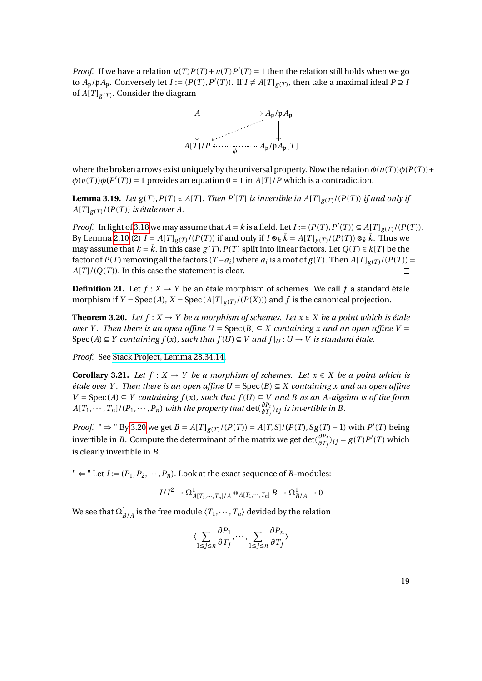*Proof.* If we have a relation  $u(T)P(T) + v(T)P'(T) = 1$  then the relation still holds when we go to  $A_p/pA_p$ . Conversely let  $I := (P(T), P'(T))$ . If  $I \neq A[T]_{g(T)}$ , then take a maximal ideal  $P \supseteq I$ of  $A[T]_{g(T)}$ . Consider the diagram



where the broken arrows exist uniquely by the universal property. Now the relation  $\phi(u(T))\phi(P(T))+\phi(v(T))$  $\phi(v(T))\phi(P'(T)) = 1$  provides an equation  $0 = 1$  in  $A[T]/P$  which is a contradiction.  $\Box$ 

**Lemma 3.19.** Let  $g(T), P(T) \in A[T]$ . Then  $P'[T]$  is invertible in  $A[T]_{g(T)}/(P(T))$  if and only if  $A[T]_{g(T)}$ /( $P(T)$ ) *is étale over A.* 

*Proof.* In light of [3.18](#page-17-0) we may assume that  $A = k$  is a field. Let  $I := (P(T), P'(T)) \subseteq A[T]_{g(T)}/(P(T))$ . By Lemma [2.10](#page-6-0) (2)  $I = A[T]_{g(T)}/(P(T))$  if and only if  $I \otimes_k \bar{k} = A[T]_{g(T)}/(P(T)) \otimes_k \bar{k}$ . Thus we may assume that  $k = \bar{k}$ . In this case  $g(T)$ ,  $P(T)$  split into linear factors. Let  $Q(T) \in k[T]$  be the factor of  $P(T)$  removing all the factors  $(T - a_i)$  where  $a_i$  is a root of  $g(T)$ . Then  $A[T]_{g(T)}/(P(T))$  =  $A[T]/(Q(T))$ . In this case the statement is clear.  $\Box$ 

**Definition 21.** Let  $f: X \to Y$  be an étale morphism of schemes. We call  $f$  a standard étale morphism if  $Y = \text{Spec}(A), X = \text{Spec}(A[T]_{g(T)}/(P(X)))$  and  $f$  is the canonical projection.

<span id="page-18-0"></span>**Theorem 3.20.** *Let*  $f: X → Y$  *be a morphism of schemes. Let*  $x ∈ X$  *be a point which is étale over Y. Then there is an open affine U* =  $Spec(B) \subseteq X$  *containing x and an open affine V* = Spec  $(A) \subseteq Y$  containing  $f(x)$ , such that  $f(U) \subseteq V$  and  $f|_U : U \to V$  is standard étale.

*Proof.* See [Stack Project, Lemma 28.34.14.](http://stacks.math.columbia.edu/tag/02GH)

<span id="page-18-1"></span>**Corollary 3.21.** *Let*  $f : X \to Y$  *be a morphism of schemes. Let*  $x \in X$  *be a point which is étale over Y. Then there is an open affine U* =  $Spec(B) ⊆ X$  *containing x and an open affine V* = Spec(*A*) ⊆ *Y* containing  $f(x)$ , such that  $f(U) ⊆ V$  and B as an A-algebra is of the form  $A[T_1,\cdots,T_n]/(P_1,\cdots,P_n)$  *with the property that*  $\det(\frac{\partial P_i}{\partial T_j})_{ij}$  *is invertible in B*.

*Proof.* " ⇒ " By [3.20](#page-18-0) we get  $B = A[T]_{g(T)}/(P(T)) = A[T, S]/(P(T), Sg(T) - 1)$  with  $P'(T)$  being invertible in *B*. Compute the determinant of the matrix we get  $\det(\frac{\partial P_i}{\partial T_j})_{ij} = g(T)P'(T)$  which is clearly invertible in *B*.

"  $\Leftarrow$  " Let *I* :=  $(P_1, P_2, \cdots, P_n)$ . Look at the exact sequence of *B*-modules:

$$
I/I^2 \to \Omega^1_{A[T_1,\cdots,T_n]/A} \otimes_{A[T_1,\cdots,T_n]} B \to \Omega^1_{B/A} \to 0
$$

We see that  $\Omega_{B/A}^1$  is the free module  $\langle T_1,\cdots,T_n\rangle$  devided by the relation

$$
\langle \sum_{1 \le j \le n} \frac{\partial P_1}{\partial T_j}, \cdots, \sum_{1 \le j \le n} \frac{\partial P_n}{\partial T_j} \rangle
$$

19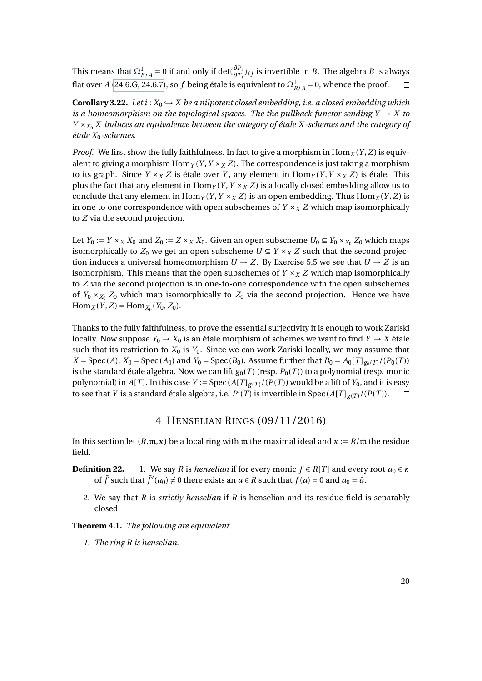This means that  $\Omega^1_{B/A} = 0$  if and only if  $\det(\frac{\partial P_i}{\partial T_j})_{i,j}$  is invertible in *B*. The algebra *B* is always flat over *A* [\(24.6.G, 24.6.7\)](http://math.stanford.edu/~vakil/216blog/FOAGjun1113public.pdf), so *f* being étale is equivalent to  $\Omega^1_{B/A} = 0$ , whence the proof.

**Corollary 3.22.** *Let i* :  $X_0 \rightarrow X$  *be a nilpotent closed embedding, i.e. a closed embedding which is a homeomorphism on the topological spaces. The the pullback functor sending*  $Y \rightarrow X$  to *Y* ×*X*<sup>0</sup> *X induces an equivalence between the category of étale X -schemes and the category of étale X*0*-schemes.*

*Proof.* We first show the fully faithfulness. In fact to give a morphism in  $\text{Hom}_X(Y, Z)$  is equivalent to giving a morphism  $\text{Hom}_Y(Y, Y \times_X Z)$ . The correspondence is just taking a morphism to its graph. Since  $Y \times_X Z$  is étale over *Y*, any element in  $\text{Hom}_Y(Y, Y \times_X Z)$  is étale. This plus the fact that any element in  $\text{Hom}_Y(Y, Y \times_X Z)$  is a locally closed embedding allow us to conclude that any element in  $\text{Hom}_Y(Y, Y \times_X Z)$  is an open embedding. Thus  $\text{Hom}_X(Y, Z)$  is in one to one correspondence with open subschemes of  $Y \times_X Z$  which map isomorphically to *Z* via the second projection.

Let  $Y_0 := Y \times_X X_0$  and  $Z_0 := Z \times_X X_0$ . Given an open subscheme  $U_0 \subseteq Y_0 \times_{X_0} Z_0$  which maps isomorphically to  $Z_0$  we get an open subscheme  $U \subseteq Y \times_X Z$  such that the second projection induces a universal homeomorphism  $U \rightarrow Z$ . By Exercise 5.5 we see that  $U \rightarrow Z$  is an isomorphism. This means that the open subschemes of  $Y \times_X Z$  which map isomorphically to *Z* via the second projection is in one-to-one correspondence with the open subschemes of  $Y_0 \times_{X_0} Z_0$  which map isomorphically to  $Z_0$  via the second projection. Hence we have  $\text{Hom}_X(Y, Z) = \text{Hom}_{X_0}(Y_0, Z_0).$ 

Thanks to the fully faithfulness, to prove the essential surjectivity it is enough to work Zariski locally. Now suppose  $Y_0 \to X_0$  is an étale morphism of schemes we want to find  $Y \to X$  étale such that its restriction to  $X_0$  is  $Y_0$ . Since we can work Zariski locally, we may assume that *X* = Spec (*A*), *X*<sub>0</sub> = Spec (*A*<sub>0</sub>) and *Y*<sub>0</sub> = Spec (*B*<sub>0</sub>). Assume further that *B*<sub>0</sub> = *A*<sub>0</sub>[*T*]<sub>*g*<sub>0</sub>(*T*)</sub>/(*P*<sub>0</sub>(*T*)) is the standard étale algebra. Now we can lift  $g_0(T)$  (resp.  $P_0(T)$ ) to a polynomial (resp. monic polynomial) in *A*[*T*]. In this case *Y* := Spec (*A*[*T*]<sub>*g*(*T*)</sub>/(*P*(*T*)) would be a lift of *Y*<sub>0</sub>, and it is easy to see that *Y* is a standard étale algebra, i.e.  $P'(T)$  is invertible in Spec (*A*[*T*]<sub>*g*(*T*)</sub>/(*P*(*T*)).  $\Box$ 

### 4 HENSELIAN RINGS (09/11/2016)

In this section let  $(R, m, \kappa)$  be a local ring with m the maximal ideal and  $\kappa := R/m$  the residue field.

- **Definition 22.** 1. We say *R* is *henselian* if for every monic  $f \in R[T]$  and every root  $a_0 \in \kappa$ of  $\bar{f}$  such that  $\bar{f}'(a_0) \neq 0$  there exists an  $a \in R$  such that  $f(a) = 0$  and  $a_0 = \bar{a}$ .
	- 2. We say that *R* is *strictly henselian* if *R* is henselian and its residue field is separably closed.

**Theorem 4.1.** *The following are equivalent.*

*1. The ring R is henselian.*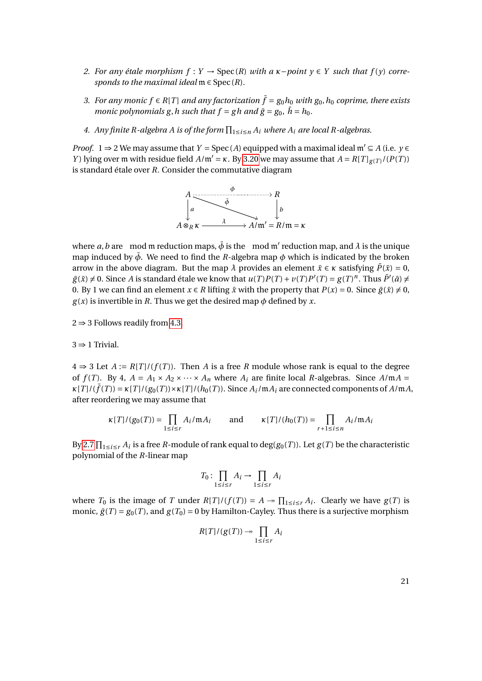- *2.* For any étale morphism  $f: Y \rightarrow \text{Spec}(R)$  with a  $\kappa$ −*point*  $\gamma \in Y$  such that  $f(\gamma)$  corre*sponds to the maximal ideal*  $m \in Spec(R)$ *.*
- *3. For any monic*  $f$  ∈  $R[T]$  *and any factorization*  $\bar{f}$  =  $g_0h_0$  *with*  $g_0$ ,  $h_0$  *coprime, there exists monic polynomials g, h such that*  $f = gh$  *and*  $\bar{g} = g_0$ ,  $\bar{h} = h_0$ .
- 4. Any finite R-algebra A is of the form  $\prod_{1 \le i \le n} A_i$  where  $A_i$  are local R-algebras.

*Proof.* 1  $\Rightarrow$  2 We may assume that *Y* = Spec(*A*) equipped with a maximal ideal  $m' \subseteq A$  (i.e. *y*  $\in$ *Y*) lying over m with residue field  $A/\mathfrak{m}' = \kappa$ . By [3.20](#page-18-0) we may assume that  $A = R[T]_{g(T)}/(P(T))$ is standard étale over *R*. Consider the commutative diagram



where a, b are mod m reduction maps,  $\bar{\phi}$  is the mod m' reduction map, and  $\lambda$  is the unique map induced by  $\bar{\phi}$ . We need to find the *R*-algebra map  $\phi$  which is indicated by the broken arrow in the above diagram. But the map  $\lambda$  provides an element  $\bar{x} \in \kappa$  satisfying  $\bar{P}(\bar{x}) = 0$ ,  $g(\bar{x}) \neq 0$ . Since *A* is standard étale we know that  $u(T)P(T) + v(T)P'(T) = g(T)^n$ . Thus  $\bar{P}'(\bar{a}) \neq 0$ 0. By 1 we can find an element  $x \in R$  lifting  $\bar{x}$  with the property that  $P(x) = 0$ . Since  $\bar{g}(\bar{x}) \neq 0$ ,  $g(x)$  is invertible in *R*. Thus we get the desired map  $\phi$  defined by *x*.

 $2 \Rightarrow 3$  Follows readily from [4.3.](#page-22-0)

 $3 \Rightarrow 1$  Trivial.

 $4$  ⇒ 3 Let *A* := *R*[*T*]/(*f*(*T*)). Then *A* is a free *R* module whose rank is equal to the degree of  $f(T)$ . By 4,  $A = A_1 \times A_2 \times \cdots \times A_n$  where  $A_i$  are finite local *R*-algebras. Since  $A/mA =$  $\kappa[T]/(\bar{f}(T)) = \kappa[T]/(g_0(T)) \times \kappa[T]/(h_0(T))$ . Since  $A_i/\mathfrak{m}A_i$  are connected components of  $A/\mathfrak{m}A$ , after reordering we may assume that

$$
\kappa[T]/(g_0(T)) = \prod_{1 \le i \le r} A_i / \mathfrak{m} A_i \quad \text{and} \quad \kappa[T]/(h_0(T)) = \prod_{r+1 \le i \le n} A_i / \mathfrak{m} A_i
$$

By [2.7](#page-5-1)  $\prod_{1\leq i\leq r} A_i$  is a free *R*-module of rank equal to  $\deg(g_0(T))$ . Let  $g(T)$  be the characteristic polynomial of the *R*-linear map

$$
T_0\colon \prod_{1\leq i\leq r}A_i\to \prod_{1\leq i\leq r}A_i
$$

where  $T_0$  is the image of *T* under  $R[T]/(f(T)) = A \rightarrow \prod_{1 \le i \le r} A_i$ . Clearly we have  $g(T)$  is monic,  $\bar{g}(T) = g_0(T)$ , and  $g(T_0) = 0$  by Hamilton-Cayley. Thus there is a surjective morphism

$$
R[T]/(g(T)) \to \prod_{1 \leq i \leq r} A_i
$$

21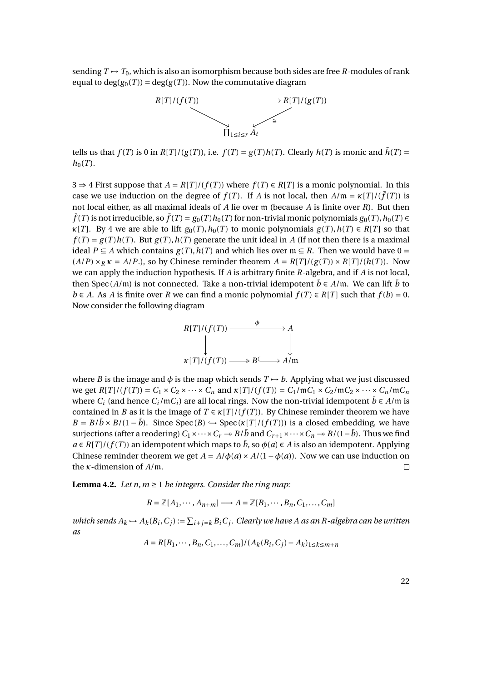sending  $T \mapsto T_0$ , which is also an isomorphism because both sides are free *R*-modules of rank equal to  $deg(g_0(T)) = deg(g(T))$ . Now the commutative diagram



tells us that  $f(T)$  is 0 in  $R[T]/(g(T))$ , i.e.  $f(T) = g(T)h(T)$ . Clearly  $h(T)$  is monic and  $\bar{h}(T) =$  $h_0(T)$ .

3 ⇒ 4 First suppose that  $A = R[T]/(f(T))$  where  $f(T) \in R[T]$  is a monic polynomial. In this case we use induction on the degree of  $f(T)$ . If *A* is not local, then  $A/\mathfrak{m} = \kappa[T]/(\bar{f}(T))$  is not local either, as all maximal ideals of *A* lie over m (because *A* is finite over *R*). But then  $\bar{f}(T)$  is not irreducible, so  $\bar{f}(T) = g_0(T)h_0(T)$  for non-trivial monic polynomials  $g_0(T)$ ,  $h_0(T) \in$ *κ*[*T*]. By 4 we are able to lift  $g_0(T)$ ,  $h_0(T)$  to monic polynomials  $g(T)$ ,  $h(T) \in R[T]$  so that  $f(T) = g(T)h(T)$ . But  $g(T)$ ,  $h(T)$  generate the unit ideal in *A* (If not then there is a maximal ideal *P* ⊆ *A* which contains  $g(T)$ ,  $h(T)$  and which lies over  $m \subseteq R$ . Then we would have 0 =  $(A/P) \times_R \kappa = A/P$ .), so by Chinese reminder theorem  $A = R[T]/(g(T)) \times R[T]/(h(T))$ . Now we can apply the induction hypothesis. If *A* is arbitrary finite *R*-algebra, and if *A* is not local, then Spec ( $A$ /m) is not connected. Take a non-trivial idempotent  $\bar{b} \in A$ /m. We can lift  $\bar{b}$  to *b* ∈ *A*. As *A* is finite over *R* we can find a monic polynomial  $f(T) \in R[T]$  such that  $f(b) = 0$ . Now consider the following diagram



where *B* is the image and  $\phi$  is the map which sends  $T \rightarrow b$ . Applying what we just discussed we get  $R[T]/(f(T)) = C_1 \times C_2 \times \cdots \times C_n$  and  $\kappa[T]/(f(T)) = C_1/mC_1 \times C_2/mC_2 \times \cdots \times C_n/mC_n$ where  $C_i$  (and hence  $C_i$ /m $C_i$ ) are all local rings. Now the non-trivial idempotent  $\bar{b} \in A/\mathfrak{m}$  is contained in *B* as it is the image of  $T \in \kappa[T]/(f(T))$ . By Chinese reminder theorem we have  $B = B/\bar{b} \times B/(1 - \bar{b})$ . Since Spec (*B*)  $\hookrightarrow$  Spec (*κ*[*T*]/(*f*(*T*))) is a closed embedding, we have surjections (after a reodering)  $C_1 \times \cdots \times C_r \to B/\bar{b}$  and  $C_{r+1} \times \cdots \times C_n \to B/(1-\bar{b})$ . Thus we find  $a \in R[T]/(f(T))$  an idempotent which maps to  $\bar{b}$ , so  $\phi(a) \in A$  is also an idempotent. Applying Chinese reminder theorem we get  $A = A/\phi(a) \times A/(1 - \phi(a))$ . Now we can use induction on the *κ*-dimension of *A*/m.  $\Box$ 

<span id="page-21-0"></span>**Lemma 4.2.** *Let n, m*  $\geq$  1 *be integers. Consider the ring map:* 

$$
R = \mathbb{Z}[A_1, \cdots, A_{n+m}] \longrightarrow A = \mathbb{Z}[B_1, \cdots, B_n, C_1, \dots, C_m]
$$

*which sends*  $A_k \mapsto A_k(B_i, C_j) := \sum_{i+j=k} B_i C_j$ . Clearly we have A as an R-algebra can be written *as*

$$
A = R[B_1, \cdots, B_n, C_1, \ldots, C_m]/(A_k(B_i, C_j) - A_k)_{1 \le k \le m+n}
$$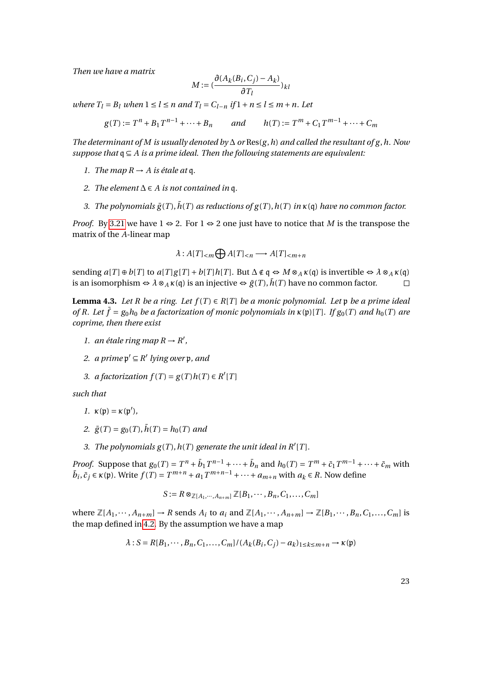*Then we have a matrix*

$$
M := (\frac{\partial (A_k(B_i, C_j) - A_k)}{\partial T_l})_{kl}
$$

*where*  $T_l = B_l$  *when*  $1 \leq l \leq n$  *and*  $T_l = C_{l-n}$  *if*  $1 + n \leq l \leq m+n$ *. Let* 

 $g(T) := T^n + B_1 T^{n-1} + \dots + B_n$  *and*  $h(T) := T^m + C_1 T^{m-1} + \dots + C_m$ 

*The determinant of M is usually denoted by* ∆ *or* Res(*g* ,*h*) *and called the resultant of g* ,*h. Now suppose that* q ⊆ *A is a prime ideal. Then the following statements are equivalent:*

- *1. The map*  $R \rightarrow A$  *is étale at* q.
- 2. *The element*  $\Delta$  ∈ *A is not contained in* q.
- *3. The polynomials*  $\bar{g}(T)$ ,  $\bar{h}(T)$  *as reductions of*  $g(T)$ ,  $h(T)$  *in*  $\kappa$ (q) *have no common factor.*

*Proof.* By [3.21](#page-18-1) we have 1 ⇔ 2. For 1 ⇔ 2 one just have to notice that *M* is the transpose the matrix of the *A*-linear map

$$
\lambda: A[T]_{\leq m} \bigoplus A[T]_{\leq n} \longrightarrow A[T]_{\leq m+n}
$$

sending  $a[T] \oplus b[T]$  to  $a[T]g[T] + b[T]h[T]$ . But  $\Delta \notin \mathfrak{q} \Leftrightarrow M \otimes_A \kappa(\mathfrak{q})$  is invertible  $\Leftrightarrow \lambda \otimes_A \kappa(\mathfrak{q})$ is an isomorphism  $\Leftrightarrow \lambda \otimes_A \kappa(\mathfrak{q})$  is an injective  $\Leftrightarrow \bar{g}(T), \bar{h}(T)$  have no common factor.

<span id="page-22-0"></span>**Lemma 4.3.** *Let R be a ring. Let*  $f(T) \in R[T]$  *be a monic polynomial. Let* p *be a prime ideal of R. Let*  $\bar{f} = g_0 h_0$  *be a factorization of monic polynomials in*  $\kappa(\mathfrak{p})[T]$ *. If*  $g_0(T)$  *and*  $h_0(T)$  *are coprime, then there exist*

- *1. an étale ring map*  $R \rightarrow R'$ ,
- 2. *a* prime  $p' \subseteq R'$  lying over  $p$ , and
- *3. a factorization*  $f(T) = g(T)h(T) \in R'[T]$

*such that*

$$
1. \ \kappa(\mathfrak{p}) = \kappa(\mathfrak{p}'),
$$

- *2.*  $\bar{g}(T) = g_0(T), \bar{h}(T) = h_0(T)$  and
- 3. The polynomials  $g(T)$ ,  $h(T)$  generate the unit ideal in  $R'[T]$ .

*Proof.* Suppose that  $g_0(T) = T^n + \overline{b}_1 T^{n-1} + \cdots + \overline{b}_n$  and  $h_0(T) = T^m + \overline{c}_1 T^{m-1} + \cdots + \overline{c}_m$  with  $\bar{b}_i, \bar{c}_j \in \kappa(\mathfrak{p})$ . Write  $f(T) = T^{m+n} + a_1 T^{m+n-1} + \cdots + a_{m+n}$  with  $a_k \in R$ . Now define

$$
S := R \otimes_{\mathbb{Z}[A_1, \cdots, A_{n+m}]} \mathbb{Z}[B_1, \cdots, B_n, C_1, \ldots, C_m]
$$

where  $\mathbb{Z}[A_1,\dots, A_{n+m}] \to R$  sends  $A_i$  to  $a_i$  and  $\mathbb{Z}[A_1,\dots, A_{n+m}] \to \mathbb{Z}[B_1,\dots, B_n, C_1,\dots, C_m]$  is the map defined in [4.2.](#page-21-0) By the assumption we have a map

$$
\lambda: S = R[B_1, \cdots, B_n, C_1, \ldots, C_m]/(A_k(B_i, C_j) - a_k)_{1 \leq k \leq m+n} \rightarrow \kappa(\mathfrak{p})
$$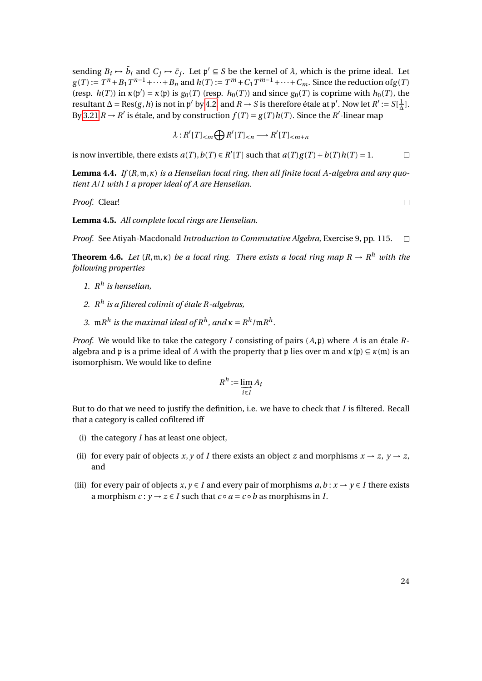sending  $B_i \mapsto \bar{b}_i$  and  $C_j \mapsto \bar{c}_j$ . Let  $\mathfrak{p}' \subseteq S$  be the kernel of  $\lambda$ , which is the prime ideal. Let  $g(T) := T^n + B_1 T^{n-1} + \cdots + B_n$  and  $h(T) := T^m + C_1 T^{m-1} + \cdots + C_m$ . Since the reduction of  $g(T)$ (resp.  $h(T)$ ) in  $\kappa(\mathfrak{p}') = \kappa(\mathfrak{p})$  is  $g_0(T)$  (resp.  $h_0(T)$ ) and since  $g_0(T)$  is coprime with  $h_0(T)$ , the resultant  $\Delta = \text{Res}(g, h)$  is not in p' by [4.2,](#page-21-0) and  $R \to S$  is therefore étale at p'. Now let  $R' := S[\frac{1}{\Delta}]$  $\frac{1}{\Delta}$ ]. By [3.21](#page-18-1)  $R \to R'$  is étale, and by construction  $f(T) = g(T)h(T)$ . Since the  $R'$ -linear map

$$
\lambda: R'[T]_{< m} \bigoplus R'[T]_{< n} \longrightarrow R'[T]_{< m+n}
$$

is now invertible, there exists  $a(T)$ ,  $b(T) \in R'[T]$  such that  $a(T)g(T) + b(T)h(T) = 1$ .  $\Box$ 

**Lemma 4.4.** *If* (*R*,m,*κ*) *is a Henselian local ring, then all finite local A-algebra and any quotient A*/*I with I a proper ideal of A are Henselian.*

*Proof.* Clear!

**Lemma 4.5.** *All complete local rings are Henselian.*

*Proof.* See Atiyah-Macdonald *Introduction to Commutative Algebra*, Exercise 9, pp. 115.  $\Box$ 

**Theorem 4.6.** Let  $(R, \mathfrak{m}, \kappa)$  be a local ring. There exists a local ring map  $R \to R^h$  with the *following properties*

- *1. R h is henselian,*
- *2. R h is a filtered colimit of étale R-algebras,*
- *3.* m $R^h$  is the maximal ideal of  $R^h$ , and  $\kappa = R^h / mR^h$ .

*Proof.* We would like to take the category *I* consisting of pairs  $(A, \mathfrak{p})$  where *A* is an étale *R*algebra and p is a prime ideal of *A* with the property that p lies over m and  $\kappa(\mathfrak{p}) \subseteq \kappa(\mathfrak{m})$  is an isomorphism. We would like to define

$$
R^h := \varinjlim_{i \in I} A_i
$$

But to do that we need to justify the definition, i.e. we have to check that *I* is filtered. Recall that a category is called cofiltered iff

- (i) the category *I* has at least one object,
- (ii) for every pair of objects *x*, *y* of *I* there exists an object *z* and morphisms  $x \rightarrow z$ ,  $y \rightarrow z$ , and
- (iii) for every pair of objects  $x, y \in I$  and every pair of morphisms  $a, b: x \rightarrow y \in I$  there exists a morphism  $c: y \rightarrow z \in I$  such that  $c \circ a = c \circ b$  as morphisms in *I*.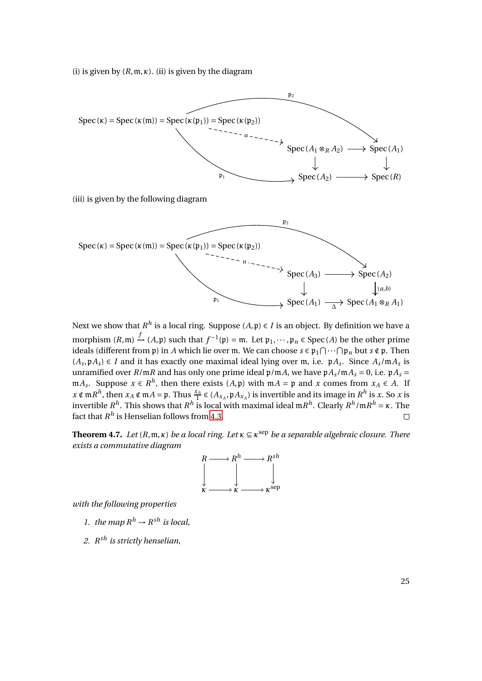(i) is given by  $(R, \mathfrak{m}, \kappa)$ . (ii) is given by the diagram



Next we show that  $R^h$  is a local ring. Suppose  $(A, \mathfrak{p}) \in I$  is an object. By definition we have a morphism  $(R, \mathfrak{m}) \xrightarrow{f} (A, \mathfrak{p})$  such that  $f^{-1}(\mathfrak{p}) = \mathfrak{m}$ . Let  $\mathfrak{p}_1, \dots, \mathfrak{p}_n \in \text{Spec}(A)$  be the other prime ideals (different from  $\mathfrak p$ ) in *A* which lie over m. We can choose  $s \in \mathfrak p_1 \cap \cdots \cap \mathfrak p_n$  but  $s \notin \mathfrak p$ . Then  $(A_s, \mathfrak{p}A_s)$  ∈ *I* and it has exactly one maximal ideal lying over m, i.e.  $\mathfrak{p}A_s$ . Since  $A_s/\mathfrak{m}A_s$  is unramified over  $R/\mathfrak{m}R$  and has only one prime ideal  $\mathfrak{p}/\mathfrak{m}A$ , we have  $\mathfrak{p}A_s/\mathfrak{m}A_s = 0$ , i.e.  $\mathfrak{p}A_s =$ m*A*<sub>*s*</sub>. Suppose *x* ∈ *R*<sup>*h*</sup>, then there exists (*A*, *p*) with m*A* = *p* and *x* comes from *x<sub>A</sub>* ∈ *A*. If  $x \notin \mathfrak{m}R^h$ , then  $x_A \notin \mathfrak{m}A = \mathfrak{p}$ . Thus  $\frac{x_A}{1} \in (A_{x_A}, \mathfrak{p}A_{x_A})$  is invertible and its image in  $R^h$  is x. So x is invertible  $R^h$ . This shows that  $R^h$  is local with maximal ideal  $\mathfrak{m} R^h$ . Clearly  $R^h/\mathfrak{m} R^h = \kappa$ . The fact that  $R^h$  is Henselian follows from [4.3.](#page-22-0)  $\Box$ 

**Theorem 4.7.** *Let*  $(R, \mathfrak{m}, \kappa)$  *be a local ring. Let*  $\kappa \subseteq \kappa^{\text{sep}}$  *be a separable algebraic closure. There exists a commutative diagram*



*with the following properties*

- *1. the map*  $R^h \rightarrow R^{sh}$  *is local,*
- *2. R sh is strictly henselian,*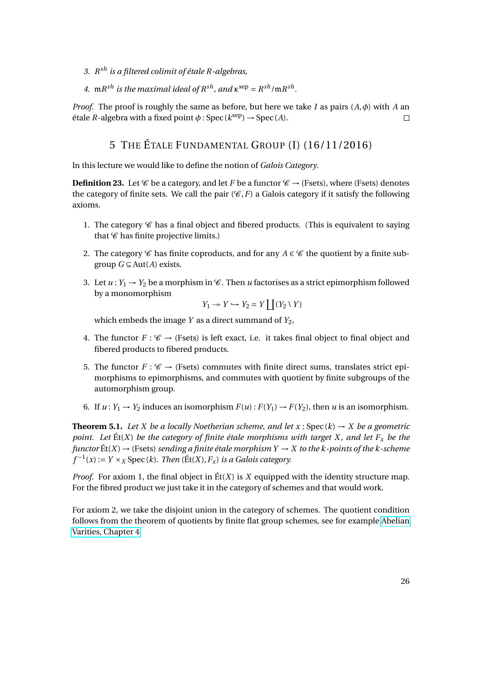- *3. R sh is a filtered colimit of étale R-algebras,*
- *4.*  $\mathfrak{m}R^{sh}$  *is the maximal ideal of*  $R^{sh}$ *, and*  $\kappa^{sep} = R^{sh}/\mathfrak{m}R^{sh}$ *.*

*Proof.* The proof is roughly the same as before, but here we take *I* as pairs (*A*,*φ*) with *A* an  $\text{étale } R \text{-algebra with a fixed point } \phi : \text{Spec } (k^{\text{sep}}) \to \text{Spec } (A).$  $\Box$ 

# 5 THE ÉTALE FUNDAMENTAL GROUP (I) (16/11/2016)

In this lecture we would like to define the notion of *Galois Category*.

**Definition 23.** Let  $\mathscr{C}$  be a category, and let *F* be a functor  $\mathscr{C} \rightarrow$  (Fsets), where (Fsets) denotes the category of finite sets. We call the pair  $(\mathscr{C}, F)$  a Galois category if it satisfy the following axioms.

- 1. The category  $\mathscr C$  has a final object and fibered products. (This is equivalent to saying that  $\mathscr C$  has finite projective limits.)
- 2. The category *C* has finite coproducts, and for any  $A \in C$  the quotient by a finite subgroup *G* ⊆ Aut(*A*) exists.
- 3. Let  $u: Y_1 \to Y_2$  be a morphism in  $\mathscr{C}$ . Then *u* factorises as a strict epimorphism followed by a monomorphism

$$
Y_1 \to Y \hookrightarrow Y_2 = Y \coprod (Y_2 \setminus Y)
$$

which embeds the image  $Y$  as a direct summand of  $Y_2$ ,

- 4. The functor  $F: \mathscr{C} \to (\text{Fsets})$  is left exact, i.e. it takes final object to final object and fibered products to fibered products.
- 5. The functor  $F: \mathscr{C} \to$  (Fsets) commutes with finite direct sums, translates strict epimorphisms to epimorphisms, and commutes with quotient by finite subgroups of the automorphism group.
- 6. If  $u: Y_1 \to Y_2$  induces an isomorphism  $F(u): F(Y_1) \to F(Y_2)$ , then *u* is an isomorphism.

**Theorem 5.1.** Let X be a locally Noetherian scheme, and let  $x : Spec(k) \rightarrow X$  be a geometric *point. Let*  $\text{Et}(X)$  *be the category of finite étale morphisms with target X, and let*  $F_x$  *be the functor*  $\text{Et}(X) \rightarrow$  (Fsets) *sending a finite étale morphism Y*  $\rightarrow$  *X to the k-points of the k-scheme*  $f^{-1}(x) := Y \times_X \text{Spec}(k)$ *. Then* (Ét(*X*),  $F_x$ ) *is a Galois category.* 

*Proof.* For axiom 1, the final object in Ét(*X*) is *X* equipped with the identity structure map. For the fibred product we just take it in the category of schemes and that would work.

For axiom 2, we take the disjoint union in the category of schemes. The quotient condition follows from the theorem of quotients by finite flat group schemes, see for example [Abelian](http://www.mi.fu-berlin.de/users/elenalavanda/BMoonen.pdf) [Varities, Chapter 4.](http://www.mi.fu-berlin.de/users/elenalavanda/BMoonen.pdf)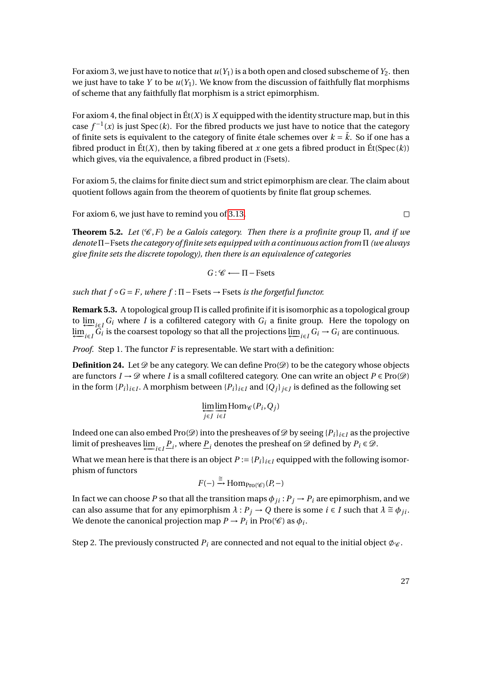For axiom 3, we just have to notice that  $u(Y_1)$  is a both open and closed subscheme of  $Y_2$ . then we just have to take *Y* to be *u*(*Y*1). We know from the discussion of faithfully flat morphisms of scheme that any faithfully flat morphism is a strict epimorphism.

For axiom 4, the final object in  $E(tX)$  is X equipped with the identity structure map, but in this case  $f^{-1}(x)$  is just Spec (*k*). For the fibred products we just have to notice that the category of finite sets is equivalent to the category of finite étale schemes over  $k = \bar{k}$ . So if one has a fibred product in  $\mathcal{E}t(X)$ , then by taking fibered at *x* one gets a fibred product in  $\mathcal{E}t(Spec (k))$ which gives, via the equivalence, a fibred product in (Fsets).

For axiom 5, the claims for finite diect sum and strict epimorphism are clear. The claim about quotient follows again from the theorem of quotients by finite flat group schemes.

For axiom 6, we just have to remind you of [3.13.](#page-15-0)

 $\Box$ 

**Theorem 5.2.** Let  $(\mathscr{C}, F)$  be a Galois category. Then there is a profinite group  $\Pi$ , and if we *denote* Π−Fsets *the category of finite sets equipped with a continuous action from* Π *(we always give finite sets the discrete topology), then there is an equivalence of categories*

$$
G: \mathscr{C} \longleftarrow \Pi-\text{Fsets}
$$

 $such that f ∘ G = F, where f : \Pi - \text{Fsets} → \text{Fsets} is the forgetful functor.$ 

**Remark 5.3.** A topological group Π is called profinite if it is isomorphic as a topological group to  $\lim_{i \to i} G_i$  where *I* is a cofiltered category with  $G_i$  a finite group. Here the topology on  $\lim_{i \in I} G_i$  is the coarsest topology so that all the projections  $\lim_{i \in I} G_i \to G_i$  are continuous.

*Proof.* Step 1. The functor *F* is representable. We start with a definition:

**Definition 24.** Let  $\mathcal{D}$  be any category. We can define Pro $(\mathcal{D})$  to be the category whose objects are functors  $I \to \mathcal{D}$  where *I* is a small cofiltered category. One can write an object  $P \in \text{Pro}(\mathcal{D})$ in the form  $\{P_i\}_{i\in I}$ . A morphism between  $\{P_i\}_{i\in I}$  and  $\{Q_j\}_{j\in J}$  is defined as the following set

$$
\varprojlim_{j\in J} \varinjlim_{i\in I} \mathrm{Hom}_{\mathscr{C}}(P_i, Q_j)
$$

Indeed one can also embed Pro( $\mathcal{D}$ ) into the presheaves of  $\mathcal{D}$  by seeing { $P_i$ }<sub>*i*∈*I*</sub> as the projective limit of presheaves  $\varprojlim_{i \in I} \underline{P}_i$ , where  $\underline{P}_i$  denotes the presheaf on  $\mathscr{D}$  defined by  $P_i \in \mathscr{D}$ .

What we mean here is that there is an object  $P := {P_i}_{i \in I}$  equipped with the following isomorphism of functors

$$
F(-) \xrightarrow{\cong} \operatorname{Hom}_{\operatorname{Pro}(\mathscr{C})}(P, -)
$$

In fact we can choose *P* so that all the transition maps  $\phi_{ji}$  :  $P_j \rightarrow P_i$  are epimorphism, and we can also assume that for any epimorphism  $\lambda : P_j \to Q$  there is some  $i \in I$  such that  $\lambda \cong \phi_{ji}$ . We denote the canonical projection map  $P \to P_i$  in Pro( $\mathscr{C}$ ) as  $\phi_i$ .

Step 2. The previously constructed  $P_i$  are connected and not equal to the initial object  $\phi_{\mathscr{C}}$ .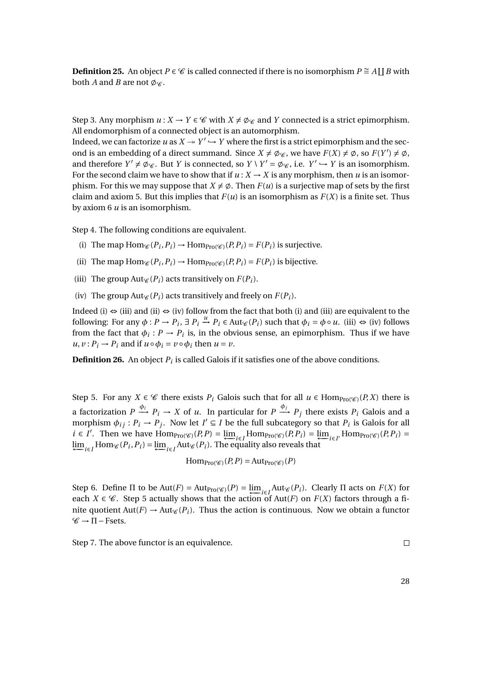**Definition 25.** An object  $P \in \mathcal{C}$  is called connected if there is no isomorphism  $P \cong A \coprod B$  with both *A* and *B* are not  $\phi_{\mathscr{C}}$ .

Step 3. Any morphism  $u : X \to Y \in \mathscr{C}$  with  $X \neq \emptyset_{\mathscr{C}}$  and *Y* connected is a strict epimorphism. All endomorphism of a connected object is an automorphism.

Indeed, we can factorize *u* as  $X \rightarrow Y' \rightarrow Y$  where the first is a strict epimorphism and the second is an embedding of a direct summand. Since  $X \neq \emptyset$  we have  $F(X) \neq \emptyset$ , so  $F(Y') \neq \emptyset$ , and therefore  $Y' \neq \emptyset$ . But *Y* is connected, so  $Y \setminus Y' = \emptyset$ . i.e.  $Y' \hookrightarrow Y$  is an isomorphism. For the second claim we have to show that if  $u: X \to X$  is any morphism, then *u* is an isomorphism. For this we may suppose that  $X \neq \emptyset$ . Then  $F(u)$  is a surjective map of sets by the first claim and axiom 5. But this implies that  $F(u)$  is an isomorphism as  $F(X)$  is a finite set. Thus by axiom 6 *u* is an isomorphism.

Step 4. The following conditions are equivalent.

- (i) The map  $Hom_{\mathcal{C}}(P_i, P_i) \to Hom_{Pro(\mathcal{C})}(P_i, P_i) = F(P_i)$  is surjective.
- (ii) The map  $\text{Hom}_{\mathcal{C}}(P_i, P_i) \to \text{Hom}_{\text{Pro}(\mathcal{C})}(P_i, P_i) = F(P_i)$  is bijective.
- (iii) The group  $Aut_{\mathscr{C}}(P_i)$  acts transitively on  $F(P_i)$ .
- (iv) The group  $Aut_{\mathscr{C}}(P_i)$  acts transitively and freely on  $F(P_i)$ .

Indeed (i)  $\Leftrightarrow$  (iii) and (ii)  $\Leftrightarrow$  (iv) follow from the fact that both (i) and (iii) are equivalent to the following: For any  $\phi: P \to P_i$ ,  $\exists P_i \stackrel{u}{\to} P_i \in \text{Aut}_{\mathscr{C}}(P_i)$  such that  $\phi_i = \phi \circ u$ . (iii)  $\Leftrightarrow$  (iv) follows from the fact that  $\phi_i$ :  $P \to P_i$  is, in the obvious sense, an epimorphism. Thus if we have  $u, v: P_i \rightarrow P_i$  and if  $u \circ \phi_i = v \circ \phi_i$  then  $u = v$ .

**Definition 26.** An object  $P_i$  is called Galois if it satisfies one of the above conditions.

Step 5. For any  $X \in \mathscr{C}$  there exists  $P_i$  Galois such that for all  $u \in \text{Hom}_{\text{Pro}(\mathscr{C})}(P,X)$  there is a factorization  $P \stackrel{\phi_i}{\longrightarrow} P_i \to X$  of *u*. In particular for  $P \stackrel{\phi_j}{\longrightarrow} P_j$  there exists  $P_i$  Galois and a morphism  $\phi_{ij}: P_i \to P_j$ . Now let  $I' \subseteq I$  be the full subcategory so that  $P_i$  is Galois for all  $i \in I'$ . Then we have  $\text{Hom}_{\text{Pro}}(\mathcal{C})}(P, P) = \underleftarrow{\lim}_{i \in I} \text{Hom}_{\text{Pro}}(\mathcal{C})}(P, P_i) = \underleftarrow{\lim}_{i \in I'} \text{Hom}_{\text{Pro}}(\mathcal{C})}(P, P_i) =$  $\lim_{i \in I}$  Hom<sub>*€*</sub>( $P_i$ , $P_i$ ) =  $\lim_{i \in I}$ Aut<sub>*€*</sub>( $P_i$ ). The equality also reveals that

$$
\mathrm{Hom}_{\mathrm{Pro}(\mathscr{C})}(P, P) = \mathrm{Aut}_{\mathrm{Pro}(\mathscr{C})}(P)
$$

Step 6. Define  $\Pi$  to be  $\text{Aut}(F) = \text{Aut}_{\text{Pro}(\mathscr{C})}(P) = \underleftarrow{\lim}_{i \in I} \text{Aut}_{\mathscr{C}}(P_i)$ . Clearly  $\Pi$  acts on  $F(X)$  for each  $X \in \mathscr{C}$ . Step 5 actually shows that the action of Aut(*F*) on  $F(X)$  factors through a finite quotient  $Aut(F) \to Aut_{\mathscr{C}}(P_i)$ . Thus the action is continuous. Now we obtain a functor  $\mathscr{C} \rightarrow \Pi - \text{Fsets}.$ 

Step 7. The above functor is an equivalence.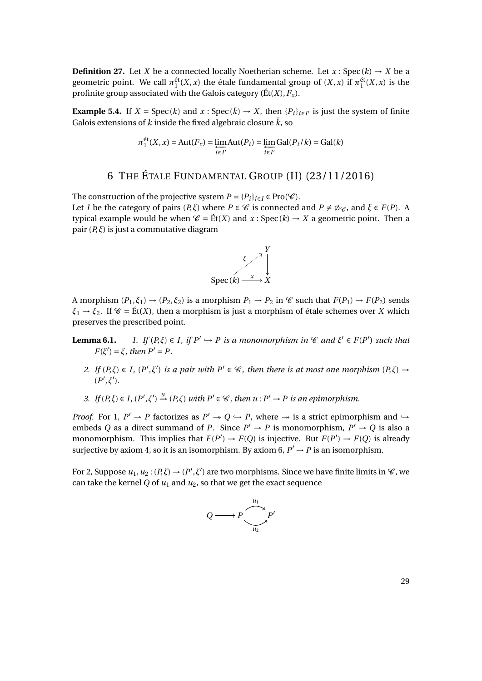**Definition 27.** Let *X* be a connected locally Noetherian scheme. Let  $x : Spec(k) \rightarrow X$  be a geometric point. We call  $\pi_1^{\text{\'et}}(X,x)$  the étale fundamental group of  $(X,x)$  if  $\pi_1^{\text{\'et}}(X,x)$  is the profinite group associated with the Galois category ( $\text{Et}(X)$ ,  $F_x$ ).

**Example 5.4.** If  $X = \text{Spec}(k)$  and  $x : \text{Spec}(\bar{k}) \to X$ , then  $\{P_i\}_{i \in I'}$  is just the system of finite Galois extensions of *k* inside the fixed algebraic closure  $\bar{k}$ , so

$$
\pi_1^{\text{\'et}}(X, x) = \text{Aut}(F_x) = \varprojlim_{i \in I'} \text{Aut}(P_i) = \varprojlim_{i \in I'} \text{Gal}(P_i / k) = \text{Gal}(k)
$$

# 6 THE ÉTALE FUNDAMENTAL GROUP (II) (23/11/2016)

The construction of the projective system  $P = \{P_i\}_{i \in I} \in \text{Pro}(\mathscr{C})$ . Let *I* be the category of pairs  $(P, \xi)$  where  $P \in \mathcal{C}$  is connected and  $P \neq \emptyset \mathcal{C}$ , and  $\xi \in F(P)$ . A typical example would be when  $\mathcal{C} = \text{Et}(X)$  and  $x : \text{Spec}(k) \to X$  a geometric point. Then a pair (*P*,*ξ*) is just a commutative diagram



A morphism  $(P_1, \xi_1) \rightarrow (P_2, \xi_2)$  is a morphism  $P_1 \rightarrow P_2$  in  $\mathscr C$  such that  $F(P_1) \rightarrow F(P_2)$  sends  $\xi_1 \rightarrow \xi_2$ . If  $\mathscr{C} = \text{Et}(X)$ , then a morphism is just a morphism of étale schemes over *X* which preserves the prescribed point.

- **Lemma 6.1.** *1. If*  $(P,\xi) \in I$ *, if*  $P' \hookrightarrow P$  *is a monomorphism in*  $\mathscr{C}$  *and*  $\xi' \in F(P')$  *such that*  $F(\xi') = \xi$ *, then*  $P' = P$ .
	- *2. If*  $(P,\xi) \in I$ ,  $(P',\xi')$  *is a pair with*  $P' \in \mathcal{C}$ *, then there is at most one morphism*  $(P,\xi) \rightarrow$  $(P', \xi').$

3. If 
$$
(P,\xi) \in I
$$
,  $(P',\xi') \xrightarrow{u} (P,\xi)$  with  $P' \in \mathcal{C}$ , then  $u: P' \to P$  is an epimorphism.

*Proof.* For 1,  $P' \rightarrow P$  factorizes as  $P' \rightarrow Q \rightarrow P$ , where  $\rightarrow$  is a strict epimorphism and  $\rightarrow$ embeds *Q* as a direct summand of *P*. Since  $P' \rightarrow P$  is monomorphism,  $P' \rightarrow Q$  is also a monomorphism. This implies that  $F(P') \to F(Q)$  is injective. But  $F(P') \to F(Q)$  is already surjective by axiom 4, so it is an isomorphism. By axiom 6,  $P' \rightarrow P$  is an isomorphism.

For 2, Suppose  $u_1, u_2: (P, \xi) \to (P', \xi')$  are two morphisms. Since we have finite limits in  $\mathscr{C}$ , we can take the kernel *Q* of  $u_1$  and  $u_2$ , so that we get the exact sequence

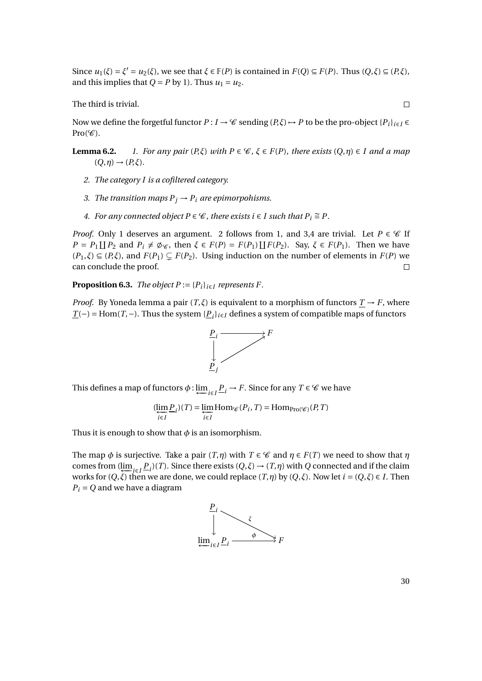Since  $u_1(\xi) = \xi' = u_2(\xi)$ , we see that  $\xi \in \mathbb{F}(P)$  is contained in  $F(Q) \subseteq F(P)$ . Thus  $(Q, \xi) \subseteq (P, \xi)$ , and this implies that  $Q = P$  by 1). Thus  $u_1 = u_2$ .

The third is trivial.

Now we define the forgetful functor  $P: I \to \mathscr{C}$  sending  $(P, \xi) \to P$  to be the pro-object  $\{P_i\}_{i \in I} \in$  $Pro(\mathscr{C}).$ 

- **Lemma 6.2.** *1. For any pair*  $(P,\xi)$  *with*  $P \in \mathcal{C}$ ,  $\xi \in F(P)$ , *there exists*  $(Q,\eta) \in I$  *and a map*  $(Q, \eta) \rightarrow (P, \xi)$ .
	- *2. The category I is a cofiltered category.*
	- *3. The transition maps*  $P_j \rightarrow P_i$  *are epimorpohisms.*
	- *4.* For any connected object  $P \in \mathcal{C}$ , there exists  $i \in I$  such that  $P_i \cong P$ .

*Proof.* Only 1 deserves an argument. 2 follows from 1, and 3,4 are trivial. Let  $P \in \mathcal{C}$  If  $P = P_1 \coprod P_2$  and  $P_i \neq \emptyset$  *i*, then  $\xi \in F(P) = F(P_1) \coprod F(P_2)$ . Say,  $\xi \in F(P_1)$ . Then we have  $(P_1,\xi) \subseteq (P,\xi)$ , and  $F(P_1) \subseteq F(P_2)$ . Using induction on the number of elements in  $F(P)$  we can conclude the proof.  $\Box$ 

**Proposition 6.3.** *The object P* :=  ${P_i}_{i \in I}$  *represents F.* 

*Proof.* By Yoneda lemma a pair  $(T, \xi)$  is equivalent to a morphism of functors  $T \rightarrow F$ , where *T*(−) = Hom(*T*,−). Thus the system { $P$ <sup>*i*</sup><sub>*i*</sub><sup>*i*</sup><sub>i∈*I*</sub></sub> defines a system of compatible maps of functors



This defines a map of functors  $\phi$  :  $\underline{\lim}_{i \in I} \underline{P}_i \to F$ . Since for any  $T \in \mathscr{C}$  we have

$$
(\underleftarrow{\lim}_{i\in I} \underline{P}_i)(T) = \underleftarrow{\lim}_{i\in I} \text{Hom}_{\mathcal{C}}(P_i, T) = \text{Hom}_{\text{Pro}(\mathcal{C})}(P, T)
$$

Thus it is enough to show that  $\phi$  is an isomorphism.

The map  $\phi$  is surjective. Take a pair  $(T, \eta)$  with  $T \in \mathcal{C}$  and  $\eta \in F(T)$  we need to show that  $\eta$ comes from  $(\underleftarrow{\lim}_{i\in I} \underline{P}_i)(T)$ . Since there exists  $(Q,\xi) \to (T,\eta)$  with *Q* connected and if the claim works for  $(Q, \xi)$  then we are done, we could replace  $(T, \eta)$  by  $(Q, \xi)$ . Now let  $i = (Q, \xi) \in I$ . Then  $P_i = Q$  and we have a diagram



30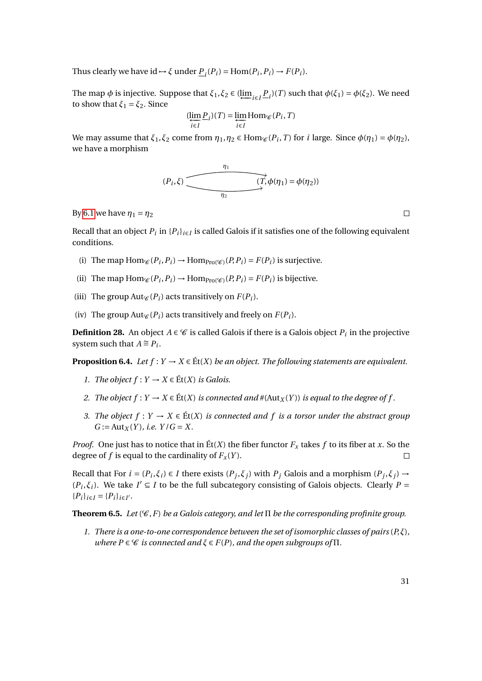Thus clearly we have  $id \rightarrow \xi$  under  $\underline{P}_i(P_i) = \text{Hom}(P_i, P_i) \rightarrow F(P_i)$ .

The map  $\phi$  is injective. Suppose that  $\xi_1, \xi_2 \in (\underleftarrow{\lim}_{i \in I} P_i)(T)$  such that  $\phi(\xi_1) = \phi(\xi_2)$ . We need to show that  $\xi_1 = \xi_2$ . Since

$$
(\underleftarrow{\lim}\limits_{i\in I} \underline{P}_i)(T) = \underleftarrow{\lim}\limits_{i\in I} \text{Hom}_{\mathcal{C}}(P_i, T)
$$

We may assume that  $\xi_1, \xi_2$  come from  $\eta_1, \eta_2 \in \text{Hom}_{\mathscr{C}}(P_i, T)$  for *i* large. Since  $\phi(\eta_1) = \phi(\eta_2)$ , we have a morphism

$$
(P_i,\xi)
$$
 
$$
(T,\phi(\eta_1) = \phi(\eta_2))
$$

By [6.1](#page-0-0) we have  $η_1 = η_2$ 

Recall that an object  $P_i$  in  $\{P_i\}_{i\in I}$  is called Galois if it satisfies one of the following equivalent conditions.

- (i) The map  $Hom_{\mathcal{C}}(P_i, P_i) \to Hom_{Pro(\mathcal{C})}(P_i, P_i) = F(P_i)$  is surjective.
- (ii) The map  $\text{Hom}_{\mathcal{C}}(P_i, P_i) \to \text{Hom}_{\text{Pro}(\mathcal{C})}(P_i, P_i) = F(P_i)$  is bijective.
- (iii) The group Aut<sub>*C*</sub> (*P*<sub>*i*</sub>) acts transitively on  $F(P_i)$ .
- (iv) The group Aut $\mathcal{C}(P_i)$  acts transitively and freely on  $F(P_i)$ .

**Definition 28.** An object  $A \in \mathcal{C}$  is called Galois if there is a Galois object  $P_i$  in the projective system such that  $A \cong P_i$ .

**Proposition 6.4.** *Let*  $f: Y \to X \in \text{Et}(X)$  *be an object. The following statements are equivalent.* 

- *1. The object*  $f: Y \to X \in \text{Ét}(X)$  *is Galois.*
- *2. The object*  $f: Y \to X \in \text{Et}(X)$  *is connected and*  $\#(\text{Aut}_X(Y))$  *is equal to the degree of*  $f$ .
- *3. The object*  $f: Y → X ∈ E(t|X)$  *is connected and*  $f$  *is a torsor under the abstract group*  $G := Aut_X(Y)$ *, i.e.*  $Y/G = X$ .

*Proof.* One just has to notice that in  $\mathbf{E}t(X)$  the fiber functor  $F_X$  takes f to its fiber at x. So the degree of *f* is equal to the cardinality of  $F_x(Y)$ .  $\Box$ 

Recall that For  $i = (P_i, \xi_i) \in I$  there exists  $(P_j, \xi_j)$  with  $P_j$  Galois and a morphism  $(P_j, \xi_j) \to$  $(P_i, \xi_i)$ . We take  $I' \subseteq I$  to be the full subcategory consisting of Galois objects. Clearly  $P =$  ${P_i}_{i \in I} = {P_i}_{i \in I}$ .

**Theorem 6.5.** *Let*  $(\mathscr{C}, F)$  *be a Galois category, and let*  $\Pi$  *be the corresponding profinite group.* 

*1. There is a one-to-one correspondence between the set of isomorphic classes of pairs* (*P*,*ξ*)*, where*  $P \in \mathcal{C}$  *is connected and*  $\xi \in F(P)$ *, and the open subgroups of*  $\Pi$ *.*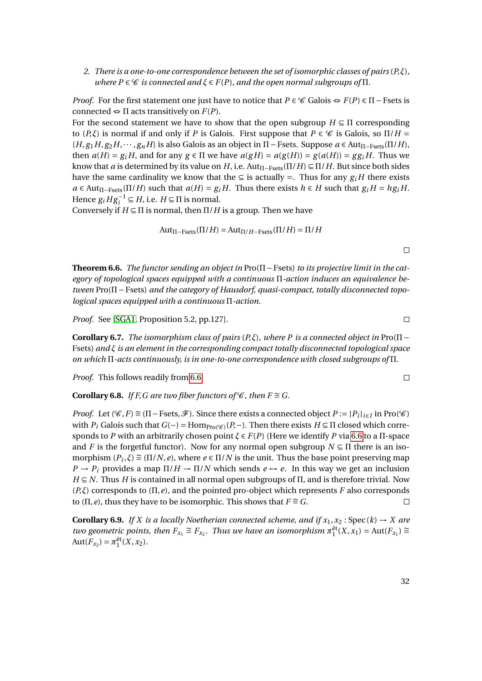*2. There is a one-to-one correspondence between the set of isomorphic classes of pairs* (*P*,*ξ*)*, where*  $P \in \mathcal{C}$  *is connected and*  $\xi \in F(P)$ *, and the open normal subgroups of*  $\Pi$ *.* 

*Proof.* For the first statement one just have to notice that  $P \in \mathcal{C}$  Galois  $\Leftrightarrow F(P) \in \Pi$  – Fsets is connected  $\Leftrightarrow$   $\Pi$  acts transitively on  $F(P)$ .

For the second statement we have to show that the open subgroup  $H \subseteq \Pi$  corresponding to  $(P,\xi)$  is normal if and only if *P* is Galois. First suppose that  $P \in \mathscr{C}$  is Galois, so  $\Pi/H =$  ${H, g_1H, g_2H, \cdots, g_nH}$  is also Galois as an object in  $\Pi$  − Fsets. Suppose  $a \in \text{Aut}_{\Pi-\text{Fsets}}(\Pi/H)$ , then  $a(H) = g_i H$ , and for any  $g \in \Pi$  we have  $a(gH) = a(g(H)) = g(a(H)) = gg_i H$ . Thus we know that *a* is determined by its value on *H*, i.e.  $Aut_{\Pi-Fsets}(\Pi/H) \subseteq \Pi/H$ . But since both sides have the same cardinality we know that the  $\subseteq$  is actually =. Thus for any  $g_i$  *H* there exists  $a \in \text{Aut}_{\Pi-\text{Fsets}}(\Pi/H)$  such that  $a(H) = g_i H$ . Thus there exists  $h \in H$  such that  $g_i H = hg_i H$ . Hence  $g_i H g_i^{-1} \subseteq H$ , i.e.  $H \subseteq \Pi$  is normal.

Conversely if  $H \subseteq \Pi$  is normal, then  $\Pi/H$  is a group. Then we have

$$
Aut_{\Pi-\text{Fsets}}(\Pi/H) = Aut_{\Pi/H-\text{Fsets}}(\Pi/H) = \Pi/H
$$

<span id="page-31-0"></span>**Theorem 6.6.** *The functor sending an object in* Pro(Π−Fsets) *to its projective limit in the category of topological spaces equipped with a continuous* Π*-action induces an equivalence between* Pro(Π−Fsets) *and the category of Hausdorf, quasi-compact, totally disconnected topological spaces equipped with a continuous* Π*-action.*

*Proof.* See [\[SGA1,](#page-1-0) Proposition 5.2, pp.127].

**Corollary 6.7.** *The isomorphism class of pairs*  $(P,\xi)$ *, where P is a connected object in* Pro( $\Pi$  – Fsets) *and ξ is an element in the corresponding compact totally disconnected topological space on which* Π*-acts continuously, is in one-to-one correspondence with closed subgroups of* Π*.*

*Proof.* This follows readily from [6.6.](#page-31-0)

**Corollary 6.8.** *If F, G are two fiber functors of*  $\mathcal{C}$ *, then*  $F \cong G$ *.* 

*Proof.* Let  $(\mathscr{C}, F) \cong (\Pi - \text{Fsets}, \mathscr{F})$ . Since there exists a connected object  $P := \{P_i\}_{i \in I}$  in Pro( $\mathscr{C}$ ) with *P<sub>i</sub>* Galois such that  $G(-) = \text{Hom}_{\text{Pro}(\mathcal{C})}(P, -)$ . Then there exists  $H \subseteq \Pi$  closed which corresponds to *P* with an arbitrarily chosen point *ξ* ∈ *F*(*P*) (Here we identify *P* via [6.6](#page-31-0) to a Π-space and *F* is the forgetful functor). Now for any normal open subgroup  $N \subseteq \Pi$  there is an isomorphism  $(P_i, \xi) \cong (\Pi/N, e)$ , where  $e \in \Pi/N$  is the unit. Thus the base point preserving map  $P \rightarrow P_i$  provides a map  $\Pi/H \rightarrow \Pi/N$  which sends  $e \rightarrow e$ . In this way we get an inclusion  $H \subseteq N$ . Thus *H* is contained in all normal open subgroups of  $\Pi$ , and is therefore trivial. Now (*P*,*ξ*) corresponds to (Π,*e*), and the pointed pro-object which represents *F* also corresponds to ( $\Pi$ , *e*), thus they have to be isomorphic. This shows that  $F \cong G$ .

**Corollary 6.9.** *If X is a locally Noetherian connected scheme, and if*  $x_1, x_2$ : Spec( $k$ )  $\rightarrow$  *X are two geometric points, then*  $F_{x_1} \cong F_{x_2}$ . Thus we have an isomorphism  $\pi_1^{\text{\'et}}(X, x_1) = \text{Aut}(F_{x_1}) \cong$  $Aut(F_{x_2}) = \pi_1^{\text{\'et}}(X, x_2)$ .

 $\Box$ 

 $\Box$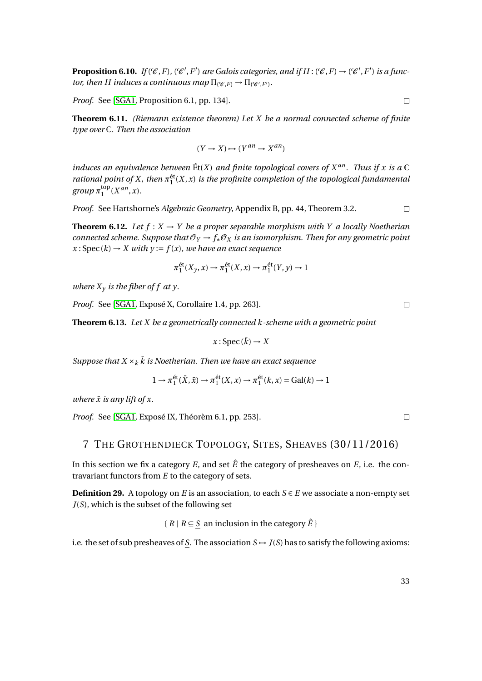**Proposition 6.10.** *If*  $(\mathscr{C}, F)$ ,  $(\mathscr{C}', F')$  are Galois categories, and if  $H : (\mathscr{C}, F) \to (\mathscr{C}', F')$  is a func*tor, then H induces a continuous map*  $\Pi_{(\mathscr{C},F)} \to \Pi_{(\mathscr{C}',F')}$ .

*Proof.* See [\[SGA1,](#page-1-0) Proposition 6.1, pp. 134].

**Theorem 6.11.** *(Riemann existence theorem) Let X be a normal connected scheme of finite type over* C*. Then the association*

$$
(Y \to X) \mapsto (Y^{an} \to X^{an})
$$

*induces an equivalence between*  $\mathbf{E}t(X)$  *and finite topological covers of*  $X^{an}$ *. Thus if* x *is a*  $\mathbb{C}$ *rational point of X, then*  $\pi_1^{\text{\'et}}(X, x)$  *is the profinite completion of the topological fundamental*  $group \pi_1^{\text{top}}$  $_{1}^{\text{top}}(X^{an},x)$ .

*Proof.* See Hartshorne's *Algebraic Geometry*, Appendix B, pp. 44, Theorem 3.2.  $\Box$ 

**Theorem 6.12.** Let  $f: X \to Y$  be a proper separable morphism with Y a locally Noetherian *connected scheme. Suppose that*  $\mathcal{O}_Y \to f_* \mathcal{O}_X$  *is an isomorphism. Then for any geometric point*  $x : \text{Spec}(k) \to X$  with  $y := f(x)$ , we have an exact sequence

$$
\pi_1^{\text{\'et}}(X_y, x) \to \pi_1^{\text{\'et}}(X, x) \to \pi_1^{\text{\'et}}(Y, y) \to 1
$$

*where*  $X<sub>y</sub>$  *is the fiber of f at y.* 

*Proof.* See [\[SGA1,](#page-1-0) Exposé X, Corollaire 1.4, pp. 263].

**Theorem 6.13.** *Let X be a geometrically connected k-scheme with a geometric point*

$$
x: \operatorname{Spec}(\bar{k}) \to X
$$

*Suppose that*  $X \times_k \overline{k}$  *is Noetherian. Then we have an exact sequence* 

$$
1 \to \pi_1^{\text{\'et}}(\bar{X}, \bar{x}) \to \pi_1^{\text{\'et}}(X, x) \to \pi_1^{\text{\'et}}(k, x) = \text{Gal}(k) \to 1
$$

*where*  $\bar{x}$  *is any lift of x.* 

*Proof.* See [\[SGA1,](#page-1-0) Exposé IX, Théorèm 6.1, pp. 253].

### 7 THE GROTHENDIECK TOPOLOGY, SITES, SHEAVES (30/11/2016)

In this section we fix a category  $E$ , and set  $\hat{E}$  the category of presheaves on  $E$ , i.e. the contravariant functors from *E* to the category of sets.

<span id="page-32-0"></span>**Definition 29.** A topology on *E* is an association, to each  $S \in E$  we associate a non-empty set *J*(*S*), which is the subset of the following set

 ${R \mid R \subseteq S}$  an inclusion in the category  $\hat{E}$ 

i.e. the set of sub presheaves of  $\underline{S}$ . The association  $S \rightarrow J(S)$  has to satisfy the following axioms:

 $\Box$ 

 $\Box$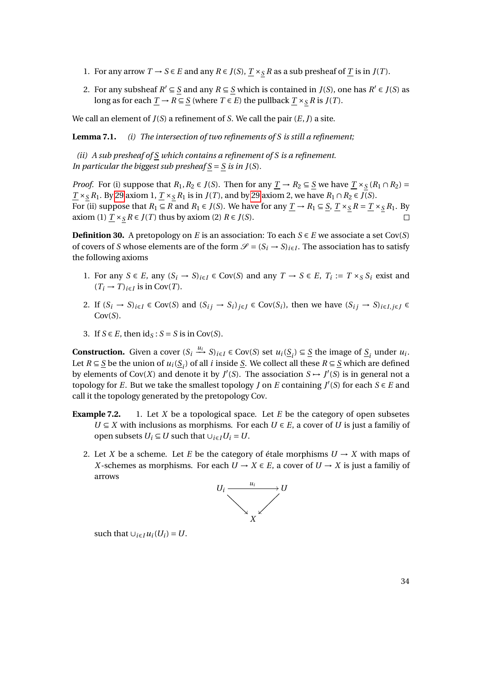- 1. For any arrow *T* → *S* ∈ *E* and any *R* ∈ *J*(*S*),  $\underline{T} \times_S R$  as a sub presheaf of  $\underline{T}$  is in *J*(*T*).
- 2. For any subsheaf  $R' \subseteq S$  and any  $R \subseteq S$  which is contained in  $J(S)$ , one has  $R' \in J(S)$  as long as for each  $\underline{T} \to R \subseteq \underline{S}$  (where  $T \in E$ ) the pullback  $\underline{T} \times_S R$  is  $J(T)$ .

We call an element of *J*(*S*) a refinement of *S*. We call the pair (*E*,*J*) a site.

**Lemma 7.1.** *(i) The intersection of two refinements of S is still a refinement;*

*(ii) A sub presheaf of S which contains a refinement of S is a refinement. In particular the biggest sub presheaf*  $S = S$  *is in J(S)*.

*Proof.* For (i) suppose that  $R_1, R_2 \in J(S)$ . Then for any  $\underline{T} \to R_2 \subseteq \underline{S}$  we have  $\underline{T} \times_S (R_1 \cap R_2) =$ *T* ×*S R*<sub>1</sub>. By [29](#page-32-0) axiom 1, *T* ×*S R*<sub>1</sub> is in *J*(*T*), and by 29 axiom 2, we have *R*<sub>1</sub> ∩ *R*<sub>2</sub> ∈ *J*(*S*). For (ii) suppose that  $R_1 \subseteq R$  and  $R_1 \in J(S)$ . We have for any  $\underline{T} \to R_1 \subseteq \underline{S}, \underline{T} \times_S R = \underline{T} \times_S R_1$ . By axiom (1)  $T \times_S R ∈ J(T)$  thus by axiom (2)  $R ∈ J(S)$ .  $\Box$ 

**Definition 30.** A pretopology on *E* is an association: To each  $S \in E$  we associate a set Cov(*S*) of covers of *S* whose elements are of the form  $\mathcal{S} = (S_i \rightarrow S)_{i \in I}$ . The association has to satisfy the following axioms

- 1. For any *S* ∈ *E*, any  $(S_i \rightarrow S)_{i \in I}$  ∈ Cov(*S*) and any *T* → *S* ∈ *E*, *T<sub>i</sub>* := *T* × *s S<sub>i</sub>* exist and  $(T_i \rightarrow T)_{i \in I}$  is in Cov(*T*).
- 2. If  $(S_i \to S)_{i \in I} \in Cov(S)$  and  $(S_{ij} \to S_i)_{i \in I} \in Cov(S_i)$ , then we have  $(S_{ij} \to S)_{i \in I, i \in I} \in Cov(S_i)$ Cov(*S*).
- 3. If  $S \in E$ , then  $ids : S = S$  is in Cov(S).

**Construction.** Given a cover  $(S_i \xrightarrow{u_i} S)_{i \in I} \in Cov(S)$  set  $u_i(\underline{S}_i) \subseteq \underline{S}$  the image of  $\underline{S}_i$  under  $u_i$ . Let  $R \subseteq \underline{S}$  be the union of  $u_i(\underline{S}_i)$  of all *i* inside  $\underline{S}$ . We collect all these  $R \subseteq \underline{S}$  which are defined by elements of Cov(*X*) and denote it by  $J'(S)$ . The association  $S \rightarrow J'(S)$  is in general not a topology for *E*. But we take the smallest topology *J* on *E* containing  $J'(S)$  for each  $S \in E$  and call it the topology generated by the pretopology Cov.

- **Example 7.2.** 1. Let *X* be a topological space. Let *E* be the category of open subsetes  $U \subseteq X$  with inclusions as morphisms. For each  $U \in E$ , a cover of *U* is just a familiy of open subsets  $U_i \subseteq U$  such that  $\cup_{i \in I} U_i = U$ .
	- 2. Let *X* be a scheme. Let *E* be the category of étale morphisms  $U \rightarrow X$  with maps of *X*-schemes as morphisms. For each  $U \rightarrow X \in E$ , a cover of  $U \rightarrow X$  is just a familiy of arrows



such that  $\bigcup_{i \in I} u_i(U_i) = U$ .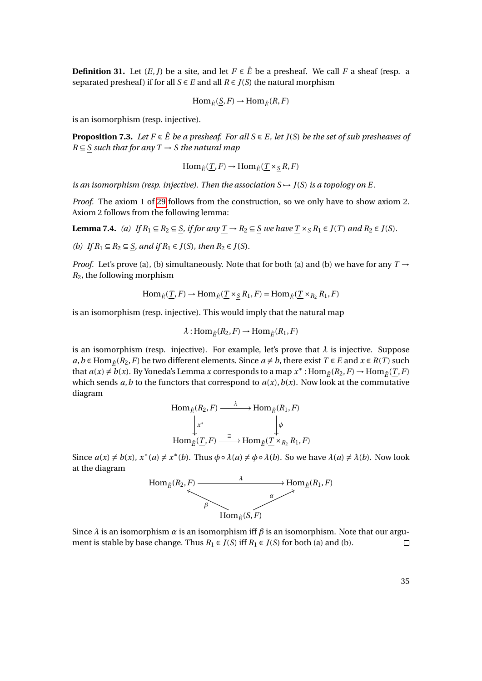**Definition 31.** Let  $(E, J)$  be a site, and let  $F \in \hat{E}$  be a presheaf. We call F a sheaf (resp. a separated presheaf) if for all  $S \in E$  and all  $R \in J(S)$  the natural morphism

$$
\text{Hom}_{\hat{E}}(\underline{S}, F) \to \text{Hom}_{\hat{E}}(R, F)
$$

is an isomorphism (resp. injective).

<span id="page-34-0"></span>**Proposition 7.3.** *Let*  $F \in \hat{E}$  *be a presheaf. For all*  $S \in E$ *, let*  $J(S)$  *be the set of sub presheaves of*  $R \subseteq S$  *such that for any*  $T \rightarrow S$  *the natural map* 

$$
\text{Hom}_{\hat{E}}(\underline{T}, F) \to \text{Hom}_{\hat{E}}(\underline{T} \times_{\underline{S}} R, F)
$$

*is an isomorphism (resp. injective). Then the association*  $S \rightarrow J(S)$  *is a topology on E.* 

*Proof.* The axiom 1 of [29](#page-32-0) follows from the construction, so we only have to show axiom 2. Axiom 2 follows from the following lemma:

**Lemma 7.4.** *(a) If*  $R_1 \subseteq R_2 \subseteq S$ *, if for any*  $\underline{T} \rightarrow R_2 \subseteq S$  *we have*  $\underline{T} \times_S R_1 \in J(T)$  *and*  $R_2 \in J(S)$ *.* 

*(b) If*  $R_1$  ⊆  $R_2$  ⊆ *S, and if*  $R_1$  ∈ *J*(*S*)*, then*  $R_2$  ∈ *J*(*S*)*.* 

*Proof.* Let's prove (a), (b) simultaneously. Note that for both (a) and (b) we have for any  $T \rightarrow$ *R*2, the following morphism

$$
\operatorname{Hom}_{\hat{E}}(\underline{T},F)\to \operatorname{Hom}_{\hat{E}}(\underline{T}\times_{\underline{S}} R_1,F)=\operatorname{Hom}_{\hat{E}}(\underline{T}\times_{R_2} R_1,F)
$$

is an isomorphism (resp. injective). This would imply that the natural map

$$
\lambda: \text{Hom}_{\hat{E}}(R_2, F) \to \text{Hom}_{\hat{E}}(R_1, F)
$$

is an isomorphism (resp. injective). For example, let's prove that  $\lambda$  is injective. Suppose *a*, *b* ∈ Hom<sub>*Ê*</sub>(*R*<sub>2</sub>, *F*) be two different elements. Since *a* ≠ *b*, there exist *T* ∈ *E* and *x* ∈ *R*(*T*) such that  $a(x) \neq b(x)$ . By Yoneda's Lemma *x* corresponds to a map  $x^*$ : Hom<sub> $\hat{E}(R_2, F) \to \text{Hom}_{\hat{E}}(\underline{T}, F)$ </sub> which sends  $a, b$  to the functors that correspond to  $a(x), b(x)$ . Now look at the commutative diagram

$$
\text{Hom}_{\hat{E}}(R_2, F) \xrightarrow{\lambda} \text{Hom}_{\hat{E}}(R_1, F)
$$
\n
$$
\downarrow^{x^*} \qquad \qquad \downarrow^{x^*} \qquad \downarrow^{x^*}
$$
\n
$$
\text{Hom}_{\hat{E}}(\underline{T}, F) \xrightarrow{\cong} \text{Hom}_{\hat{E}}(\underline{T} \times_{R_2} R_1, F)
$$

Since  $a(x) \neq b(x)$ ,  $x^*(a) \neq x^*(b)$ . Thus  $\phi \circ \lambda(a) \neq \phi \circ \lambda(b)$ . So we have  $\lambda(a) \neq \lambda(b)$ . Now look at the diagram



Since  $\lambda$  is an isomorphism  $\alpha$  is an isomorphism iff  $\beta$  is an isomorphism. Note that our argument is stable by base change. Thus  $R_1 \in J(S)$  iff  $R_1 \in J(S)$  for both (a) and (b).  $\Box$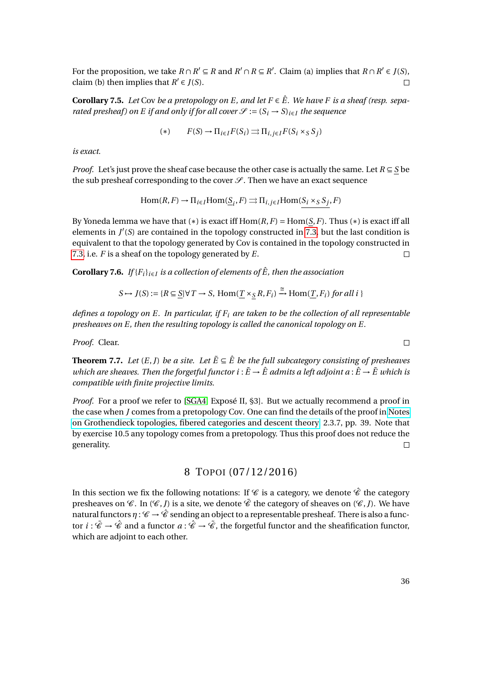For the proposition, we take  $R \cap R' \subseteq R$  and  $R' \cap R \subseteq R'$ . Claim (a) implies that  $R \cap R' \in J(S)$ , claim (b) then implies that  $R' \in J(S)$ .  $\Box$ 

**Corollary 7.5.** *Let* Cov *be a pretopology on E, and let*  $F \in \hat{E}$ *. We have* F *is a sheaf (resp. separated presheaf) on E if and only if for all cover*  $\mathcal{S} := (S_i \rightarrow S)_{i \in I}$  *the sequence* 

$$
(*) \qquad F(S) \to \Pi_{i \in I} F(S_i) \Longrightarrow \Pi_{i,j \in I} F(S_i \times_S S_j)
$$

*is exact.*

*Proof.* Let's just prove the sheaf case because the other case is actually the same. Let *R* ⊆ *S* be the sub presheaf corresponding to the cover  $\mathcal{S}$ . Then we have an exact sequence

$$
\text{Hom}(R, F) \to \Pi_{i \in I} \text{Hom}(\underline{S}_i, F) \rightrightarrows \Pi_{i,j \in I} \text{Hom}(S_i \times_S S_j, F)
$$

By Yoneda lemma we have that  $(*)$  is exact iff  $Hom(R, F) = Hom(S, F)$ . Thus  $(*)$  is exact iff all elements in  $J'(S)$  are contained in the topology constructed in [7.3,](#page-34-0) but the last condition is equivalent to that the topology generated by Cov is contained in the topology constructed in [7.3,](#page-34-0) i.e. *F* is a sheaf on the topology generated by *E*.  $\Box$ 

**Corollary 7.6.** *If* { $F_i$ }<sub>*i*∈*I*</sub> *is a collection of elements of*  $\hat{E}$ *, then the association* 

$$
S \rightarrow J(S) := \{ R \subseteq \underline{S} | \forall T \rightarrow S, \text{Hom}(\underline{T} \times_S R, F_i) \xrightarrow{\cong} \text{Hom}(\underline{T}, F_i) \text{ for all } i \}
$$

*defines a topology on E. In particular, if F<sup>i</sup> are taken to be the collection of all representable presheaves on E, then the resulting topology is called the canonical topology on E.*

*Proof.* Clear.

**Theorem 7.7.** *Let*  $(E, J)$  *be a site. Let*  $\tilde{E} \subseteq \hat{E}$  *be the full subcategory consisting of presheaves which are sheaves. Then the forgetful functor*  $i : E \to \hat{E}$  *admits a left adjoint a*:  $\hat{E} \to \tilde{E}$  which is *compatible with finite projective limits.*

*Proof.* For a proof we refer to [\[SGA4,](#page-1-1) Exposé II, §3]. But we actually recommend a proof in the case when *J* comes from a pretopology Cov. One can find the details of the proof in [Notes](http://homepage.sns.it/vistoli/descent.pdf) [on Grothendieck topologies, fibered categories and descent theory,](http://homepage.sns.it/vistoli/descent.pdf) 2.3.7, pp. 39. Note that by exercise 10.5 any topology comes from a pretopology. Thus this proof does not reduce the generality.  $\Box$ 

### 8 TOPOI (07/12/2016)

In this section we fix the following notations: If  $\mathscr C$  is a category, we denote  $\hat{\mathscr C}$  the category presheaves on  $\mathscr{C}$ . In  $(\mathscr{C}, I)$  is a site, we denote  $\tilde{\mathscr{C}}$  the category of sheaves on  $(\mathscr{C}, I)$ . We have natural functors  $\eta : \mathscr{C} \to \hat{\mathscr{C}}$  sending an object to a representable presheaf. There is also a functor  $i: \tilde{\mathscr{C}} \to \hat{\mathscr{C}}$  and a functor  $a: \hat{\mathscr{C}} \to \tilde{\mathscr{C}}$ , the forgetful functor and the sheafification functor, which are adjoint to each other.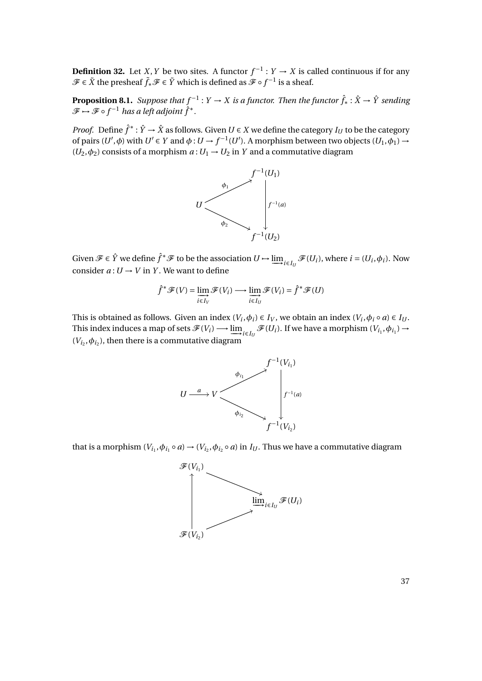**Definition 32.** Let *X*, *Y* be two sites. A functor  $f^{-1}: Y \to X$  is called continuous if for any  $\mathscr{F} \in \tilde{X}$  the presheaf  $\tilde{f}_* \mathscr{F} \in \tilde{Y}$  which is defined as  $\tilde{\mathscr{F}} \circ f^{-1}$  is a sheaf.

**Proposition 8.1.** Suppose that  $f^{-1}: Y \to X$  is a functor. Then the functor  $\hat{f}_* : \hat{X} \to \hat{Y}$  sending  $\mathscr{F} \mapsto \mathscr{F} \circ f^{-1}$  has a left adjoint  $\hat{f}^*$ .

*Proof.* Define  $\hat{f}^*$ :  $\hat{Y} \to \hat{X}$  as follows. Given  $U \in X$  we define the category  $I_U$  to be the category of pairs  $(U', \phi)$  with  $U' \in Y$  and  $\phi: U \to f^{-1}(U')$ . A morphism between two objects  $(U_1, \phi_1) \to$  $(U_2, \phi_2)$  consists of a morphism  $a: U_1 \rightarrow U_2$  in *Y* and a commutative diagram



Given  $\mathscr{F} \in \hat{Y}$  we define  $\hat{f}^* \mathscr{F}$  to be the association  $U \mapsto \underline{\lim}_{i \in I_U} \mathscr{F}(U_i)$ , where  $i = (U_i, \phi_i)$ . Now consider  $a: U \rightarrow V$  in *Y*. We want to define

$$
\hat{f}^* \mathscr{F}(V) = \lim_{i \in I_V} \mathscr{F}(V_i) \longrightarrow \lim_{i \in I_U} \mathscr{F}(V_i) = \hat{f}^* \mathscr{F}(U)
$$

This is obtained as follows. Given an index  $(V_i, \phi_i) \in I_V$ , we obtain an index  $(V_i, \phi_i \circ a) \in I_U$ . This index induces a map of sets  $\mathscr{F}(V_i) \longrightarrow \lim_{i \in I_U} \mathscr{F}(U_i)$ . If we have a morphism  $(V_{i_1}, \phi_{i_1}) \rightarrow$  $(V_{i_2}, \phi_{i_2})$ , then there is a commutative diagram



that is a morphism  $(V_{i_1}, \phi_{i_1} \circ a) \to (V_{i_2}, \phi_{i_2} \circ a)$  in  $I_U$ . Thus we have a commutative diagram

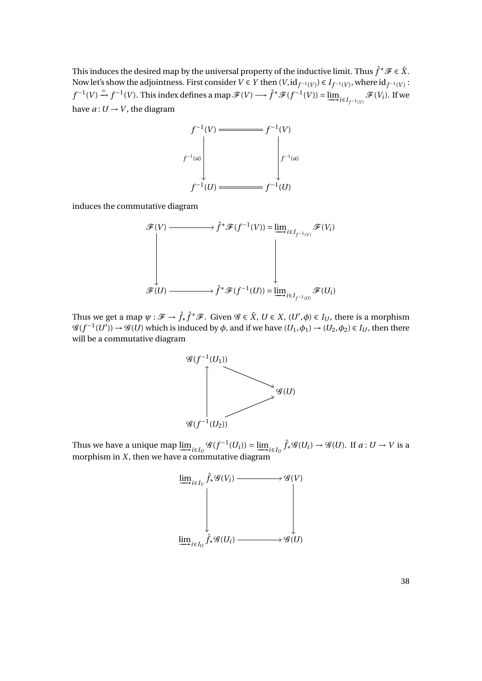This induces the desired map by the universal property of the inductive limit. Thus  $\hat{f}^*\mathscr{F} \in \hat{X}$ . Now let's show the adjointness. First consider  $V \in Y$  then  $(V, id_{f^{-1}(V)}) \in I_{f^{-1}(V)}$ , where  $id_{f^{-1}(V)}$ :  $f^{-1}(V) \stackrel{=}{\rightarrow} f^{-1}(V)$ . This index defines a map  $\mathscr{F}(V) \longrightarrow \hat{f}^* \mathscr{F}(f^{-1}(V)) = \lim_{i \in I_{f^{-1}(V)}} \mathscr{F}(V_i)$ . If we have  $a: U \rightarrow V$ , the diagram



induces the commutative diagram

$$
\mathscr{F}(V) \longrightarrow \hat{f}^* \mathscr{F}(f^{-1}(V)) = \underline{\lim}_{i \in I_{f^{-1}(V)}} \mathscr{F}(V_i)
$$
\n
$$
\downarrow \qquad \qquad \downarrow \qquad \qquad \downarrow
$$
\n
$$
\mathscr{F}(U) \longrightarrow \hat{f}^* \mathscr{F}(f^{-1}(U)) = \underline{\lim}_{i \in I_{f^{-1}(U)}} \mathscr{F}(U_i)
$$

Thus we get a map  $\psi: \mathscr{F} \to \hat{f}_* \hat{f}^* \mathscr{F}$ . Given  $\mathscr{G} \in \hat{X}$ ,  $U \in X$ ,  $(U', \phi) \in I_U$ , there is a morphism  $\mathscr{G}(f^{-1}(U')) \to \mathscr{G}(U)$  which is induced by  $\phi$ , and if we have  $(U_1, \phi_1) \to (U_2, \phi_2) \in I_U$ , then there will be a commutative diagram



Thus we have a unique map  $\underline{\lim}_{i \in I_U} \mathscr{G}(f^{-1}(U_i)) = \underline{\lim}_{i \in I_U} \hat{f}_* \mathscr{G}(U_i) \to \mathscr{G}(U)$ . If  $a: U \to V$  is a morphism in *X*, then we have a commutative diagram



38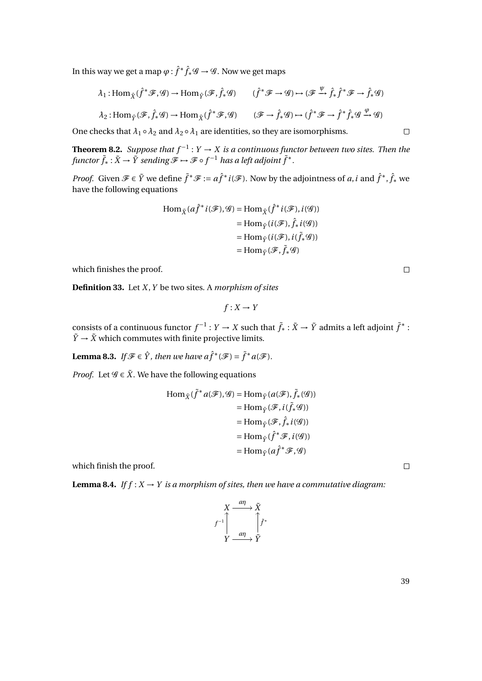In this way we get a map  $\varphi$  :  $\hat{f}^* \hat{f}_*{\mathscr G} \to {\mathscr G}.$  Now we get maps

$$
\lambda_1: \text{Hom}_{\hat{X}}(\hat{f}^* \mathcal{F}, \mathcal{G}) \to \text{Hom}_{\hat{Y}}(\mathcal{F}, \hat{f}_* \mathcal{G}) \qquad (\hat{f}^* \mathcal{F} \to \mathcal{G}) \to (\mathcal{F} \xrightarrow{\psi} \hat{f}_* \hat{f}^* \mathcal{F} \to \hat{f}_* \mathcal{G})
$$
  

$$
\lambda_2: \text{Hom}_{\hat{Y}}(\mathcal{F}, \hat{f}_* \mathcal{G}) \to \text{Hom}_{\hat{X}}(\hat{f}^* \mathcal{F}, \mathcal{G}) \qquad (\mathcal{F} \to \hat{f}_* \mathcal{G}) \to (\hat{f}^* \mathcal{F} \to \hat{f}^* \hat{f}_* \mathcal{G} \xrightarrow{\psi} \mathcal{G})
$$

One checks that  $\lambda_1 \circ \lambda_2$  and  $\lambda_2 \circ \lambda_1$  are identities, so they are isomorphisms.

**Theorem 8.2.** *Suppose that*  $f^{-1}: Y \to X$  *is a continuous functor between two sites. Then the*  $f$ unctor  $\tilde{f}_* : \tilde{X} \to \tilde{Y}$  sending  $\mathscr{F} \mapsto \mathscr{F} \circ f^{-1}$  has a left adjoint  $\tilde{f}^* .$ 

*Proof.* Given  $\mathcal{F} \in \tilde{Y}$  we define  $\tilde{f}^* \mathcal{F} := a\hat{f}^* i(\mathcal{F})$ . Now by the adjointness of *a*, *i* and  $\hat{f}^*$ ,  $\hat{f}_*$  we have the following equations

$$
\text{Hom}_{\tilde{X}}(a\hat{f}^*i(\mathcal{F}), \mathcal{G}) = \text{Hom}_{\hat{X}}(\hat{f}^*i(\mathcal{F}), i(\mathcal{G}))
$$
\n
$$
= \text{Hom}_{\hat{Y}}(i(\mathcal{F}), \hat{f}_*i(\mathcal{G}))
$$
\n
$$
= \text{Hom}_{\hat{Y}}(i(\mathcal{F}), i(\tilde{f}_*\mathcal{G}))
$$
\n
$$
= \text{Hom}_{\tilde{Y}}(\mathcal{F}, \tilde{f}_*\mathcal{G})
$$

which finishes the proof.

**Definition 33.** Let *X*,*Y* be two sites. A *morphism of sites*

$$
f: X \to Y
$$

consists of a continuous functor  $f^{-1}: Y \to X$  such that  $\tilde{f}_* : \tilde{X} \to \tilde{Y}$  admits a left adjoint  $\tilde{f}^*$  :  $\tilde{Y} \rightarrow \tilde{X}$  which commutes with finite projective limits.

**Lemma 8.3.** *If*  $\mathcal{F} \in \hat{Y}$ , then we have  $a\hat{f}^*(\mathcal{F}) = \tilde{f}^*a(\mathcal{F})$ .

*Proof.* Let  $\mathcal{G} \in \tilde{X}$ . We have the following equations

$$
\text{Hom}_{\tilde{X}}(\tilde{f}^*a(\mathcal{F}), \mathcal{G}) = \text{Hom}_{\tilde{Y}}(a(\mathcal{F}), \tilde{f}_*(\mathcal{G}))
$$
\n
$$
= \text{Hom}_{\hat{Y}}(\mathcal{F}, i(\tilde{f}_*\mathcal{G}))
$$
\n
$$
= \text{Hom}_{\hat{Y}}(\mathcal{F}, \hat{f}_*i(\mathcal{G}))
$$
\n
$$
= \text{Hom}_{\hat{Y}}(\hat{f}^*\mathcal{F}, i(\mathcal{G}))
$$
\n
$$
= \text{Hom}_{\tilde{Y}}(a\hat{f}^*\mathcal{F}, \mathcal{G})
$$

which finish the proof.

**Lemma 8.4.** *If*  $f: X \rightarrow Y$  *is a morphism of sites, then we have a commutative diagram:* 

$$
\begin{array}{ccc}\nX & \xrightarrow{a\eta} & \tilde{X} \\
f^{-1} & & \uparrow \hat{f}^* \\
Y & \xrightarrow{a\eta} & \tilde{Y}\n\end{array}
$$

39

 $\Box$ 

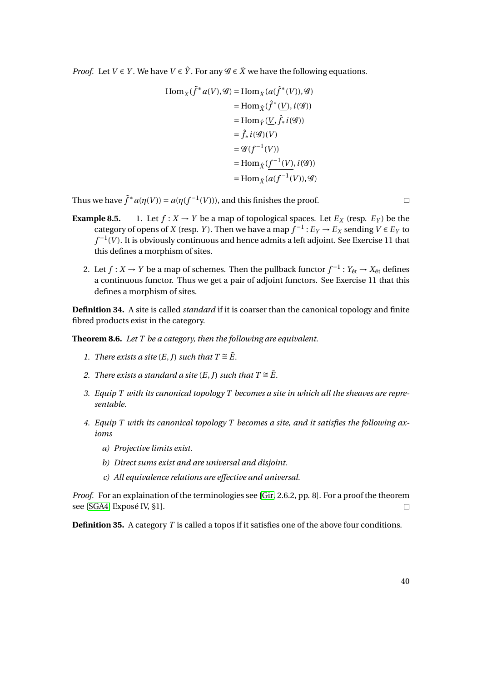*Proof.* Let  $V \in Y$ . We have  $V \in \hat{Y}$ . For any  $\mathscr{G} \in \tilde{X}$  we have the following equations.

$$
\begin{aligned} \text{Hom}_{\tilde{X}}(\tilde{f}^*a(\underline{V}), \mathcal{G}) &= \text{Hom}_{\tilde{X}}(a(\hat{f}^*(\underline{V})), \mathcal{G}) \\ &= \text{Hom}_{\hat{X}}(\hat{f}^*(\underline{V}), i(\mathcal{G})) \\ &= \text{Hom}_{\hat{Y}}(\underline{V}, \hat{f}_*i(\mathcal{G})) \\ &= \hat{f}_*i(\mathcal{G})(V) \\ &= \mathcal{G}(f^{-1}(V)) \\ &= \text{Hom}_{\hat{X}}(\underline{f^{-1}(V)}, i(\mathcal{G})) \\ &= \text{Hom}_{\tilde{X}}(a(\underline{f^{-1}(V)}), \mathcal{G}) \end{aligned}
$$

Thus we have  $\tilde{f}^* a(\eta(V)) = a(\eta(f^{-1}(V)))$ , and this finishes the proof.

- **Example 8.5.** 1. Let  $f : X \to Y$  be a map of topological spaces. Let  $E_X$  (resp.  $E_Y$ ) be the category of opens of *X* (resp. *Y*). Then we have a map  $f^{-1}: E_Y \to E_X$  sending  $V \in E_Y$  to *f*<sup>-1</sup>(*V*). It is obviously continuous and hence admits a left adjoint. See Exercise 11 that this defines a morphism of sites.
	- 2. Let *f* : *X* → *Y* be a map of schemes. Then the pullback functor  $f^{-1}$  :  $Y_{\text{\'et}}$  →  $X_{\text{\'et}}$  defines a continuous functor. Thus we get a pair of adjoint functors. See Exercise 11 that this defines a morphism of sites.

**Definition 34.** A site is called *standard* if it is coarser than the canonical topology and finite fibred products exist in the category.

**Theorem 8.6.** *Let T be a category, then the following are equivalent.*

- *1. There exists a site*  $(E, J)$  *such that*  $T \cong \tilde{E}$ *.*
- *2. There exists a standard a site*  $(E, J)$  *such that*  $T \cong \tilde{E}$ *.*
- *3. Equip T with its canonical topology T becomes a site in which all the sheaves are representable.*
- *4. Equip T with its canonical topology T becomes a site, and it satisfies the following axioms*
	- *a) Projective limits exist.*
	- *b) Direct sums exist and are universal and disjoint.*
	- *c) All equivalence relations are effective and universal.*

*Proof.* For an explaination of the terminologies see [\[Gir,](#page-0-1) 2.6.2, pp. 8]. For a proof the theorem see [\[SGA4,](#page-1-1) Exposé IV, §1].  $\Box$ 

**Definition 35.** A category *T* is called a topos if it satisfies one of the above four conditions.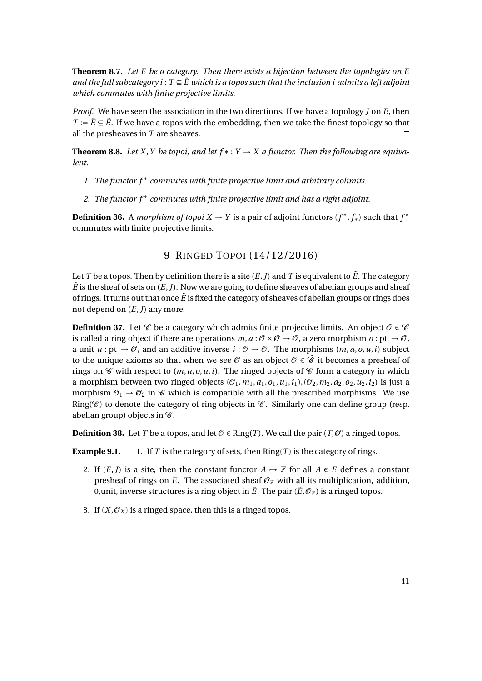**Theorem 8.7.** *Let E be a category. Then there exists a bijection between the topologies on E and the full subcategory i* :  $T \subseteq \hat{E}$  which is a topos such that the inclusion i admits a left adjoint *which commutes with finite projective limits.*

*Proof.* We have seen the association in the two directions. If we have a topology *J* on *E*, then *T* :=  $\overline{E}$  ⊆  $\overline{E}$ . If we have a topos with the embedding, then we take the finest topology so that all the presheaves in *T* are sheaves.  $\Box$ 

**Theorem 8.8.** Let X, Y be topoi, and let  $f * : Y \to X$  a functor. Then the following are equiva*lent.*

- *1. The functor f* <sup>∗</sup> *commutes with finite projective limit and arbitrary colimits.*
- *2. The functor f* <sup>∗</sup> *commutes with finite projective limit and has a right adjoint.*

**Definition 36.** A *morphism of topoi*  $X \to Y$  is a pair of adjoint functors  $(f^*, f^*)$  such that  $f^*$ commutes with finite projective limits.

# 9 RINGED TOPOI (14/12/2016)

Let *T* be a topos. Then by definition there is a site  $(E, J)$  and *T* is equivalent to  $\tilde{E}$ . The category  $\tilde{E}$  is the sheaf of sets on  $(E, J)$ . Now we are going to define sheaves of abelian groups and sheaf of rings. It turns out that once  $\tilde{E}$  is fixed the category of sheaves of abelian groups or rings does not depend on (*E*,*J*) any more.

**Definition 37.** Let  $\mathscr C$  be a category which admits finite projective limits. An object  $\mathscr O \in \mathscr C$ is called a ring object if there are operations  $m, a : \mathcal{O} \times \mathcal{O} \to \mathcal{O}$ , a zero morphism  $o : pt \to \mathcal{O}$ , a unit  $u : pt \to \mathcal{O}$ , and an additive inverse  $i : \mathcal{O} \to \mathcal{O}$ . The morphisms  $(m, a, o, u, i)$  subject to the unique axioms so that when we see  $\mathcal O$  as an object  $\mathcal O \in \mathcal C$  it becomes a presheaf of rings on  $\mathscr C$  with respect to  $(m, a, o, u, i)$ . The ringed objects of  $\mathscr C$  form a category in which a morphism between two ringed objects  $(\mathcal{O}_1, m_1, a_1, o_1, u_1, i_1), (\mathcal{O}_2, m_2, a_2, o_2, u_2, i_2)$  is just a morphism  $\mathcal{O}_1 \rightarrow \mathcal{O}_2$  in  $\mathcal C$  which is compatible with all the prescribed morphisms. We use Ring( $\mathscr{C}$ ) to denote the category of ring objects in  $\mathscr{C}$ . Similarly one can define group (resp. abelian group) objects in  $\mathscr{C}$ .

**Definition 38.** Let *T* be a topos, and let  $\mathcal{O} \in \text{Ring}(T)$ . We call the pair  $(T, \mathcal{O})$  a ringed topos.

**Example 9.1.** 1. If *T* is the category of sets, then  $\text{Ring}(T)$  is the category of rings.

- 2. If  $(E, J)$  is a site, then the constant functor  $A \rightarrow \mathbb{Z}$  for all  $A \in E$  defines a constant presheaf of rings on *E*. The associated sheaf  $\mathcal{O}_{\mathbb{Z}}$  with all its multiplication, addition, 0, unit, inverse structures is a ring object in  $\tilde{E}$ . The pair  $(\tilde{E}, \mathcal{O}_{\mathbb{Z}})$  is a ringed topos.
- 3. If  $(X, \mathcal{O}_X)$  is a ringed space, then this is a ringed topos.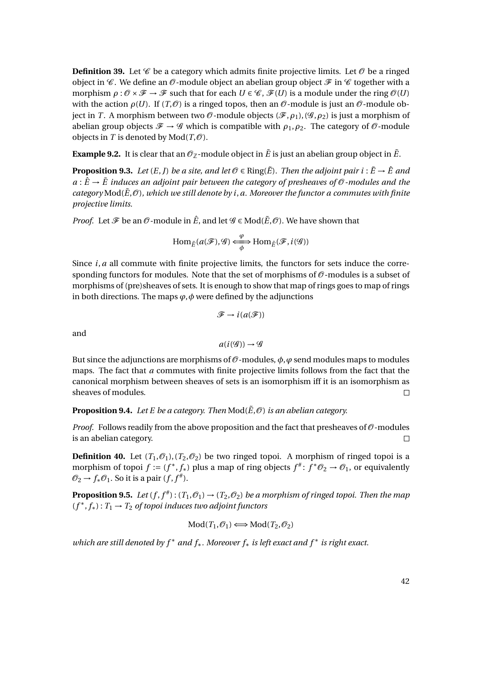**Definition 39.** Let  $\mathscr{C}$  be a category which admits finite projective limits. Let  $\mathscr{O}$  be a ringed object in  $\mathscr C$ . We define an  $\mathscr O$ -module object an abelian group object  $\mathscr F$  in  $\mathscr C$  together with a morphism  $\rho : \mathcal{O} \times \mathcal{F} \to \mathcal{F}$  such that for each  $U \in \mathcal{C}$ ,  $\mathcal{F}(U)$  is a module under the ring  $\mathcal{O}(U)$ with the action  $\rho(U)$ . If  $(T,\mathcal{O})$  is a ringed topos, then an  $\mathcal{O}$ -module is just an  $\mathcal{O}$ -module object in *T*. A morphism between two  $\mathcal{O}$ -module objects ( $\mathcal{F}, \rho_1$ ), ( $\mathcal{G}, \rho_2$ ) is just a morphism of abelian group objects  $\mathcal{F} \to \mathcal{G}$  which is compatible with  $\rho_1, \rho_2$ . The category of  $\mathcal{O}$ -module objects in *T* is denoted by  $Mod(T, \mathcal{O})$ .

**Example 9.2.** It is clear that an  $\mathcal{O}_{\mathbb{Z}}$ -module object in  $\tilde{E}$  is just an abelian group object in  $\tilde{E}$ .

<span id="page-41-0"></span>**Proposition 9.3.** *Let*  $(E, J)$  *be a site, and let*  $\mathcal{O} \in \text{Ring}(\tilde{E})$ *. Then the adjoint pair i* :  $\tilde{E} \rightarrow \hat{E}$  *and*  $a: \hat{E} \to \tilde{E}$  induces an adjoint pair between the category of presheaves of  $\mathcal{O}$ -modules and the *category*  $\text{Mod}(\tilde{E}, \mathcal{O})$ *, which we still denote by i, a. Moreover the functor a commutes with finite projective limits.*

*Proof.* Let  $\mathcal F$  be an  $\mathcal O$ -module in  $\hat E$ , and let  $\mathcal G \in Mod(\tilde E,\mathcal O)$ . We have shown that

$$
\text{Hom}_{\tilde{E}}(a(\mathcal{F}), \mathcal{G}) \xrightarrow{\varphi} \text{Hom}_{\hat{E}}(\mathcal{F}, i(\mathcal{G}))
$$

Since  $i$ ,  $a$  all commute with finite projective limits, the functors for sets induce the corresponding functors for modules. Note that the set of morphisms of  $\mathcal O$ -modules is a subset of morphisms of (pre)sheaves of sets. It is enough to show that map of rings goes to map of rings in both directions. The maps  $\varphi$ ,  $\varphi$  were defined by the adjunctions

$$
\mathscr{F} \to i(a(\mathscr{F}))
$$

and

$$
a(i(\mathcal{G})) \rightarrow \mathcal{G}
$$

But since the adjunctions are morphisms of  $\mathcal O$ -modules,  $\phi$ ,  $\phi$  send modules maps to modules maps. The fact that *a* commutes with finite projective limits follows from the fact that the canonical morphism between sheaves of sets is an isomorphism iff it is an isomorphism as sheaves of modules.  $\Box$ 

#### **Proposition 9.4.** Let E be a category. Then  $\text{Mod}(\tilde{E}, \mathcal{O})$  *is an abelian category.*

*Proof.* Follows readily from the above proposition and the fact that presheaves of  $\mathcal{O}$ -modules is an abelian category.  $\Box$ 

**Definition 40.** Let  $(T_1, \mathcal{O}_1), (T_2, \mathcal{O}_2)$  be two ringed topoi. A morphism of ringed topoi is a morphism of topoi  $f := (f^*, f_*)$  plus a map of ring objects  $f^* : f^* \mathcal{O}_2 \to \mathcal{O}_1$ , or equivalently  $\mathcal{O}_2 \rightarrow f_* \mathcal{O}_1$ . So it is a pair  $(f, f^*)$ .

**Proposition 9.5.** Let  $(f, f^*)$ :  $(T_1, \mathcal{O}_1) \rightarrow (T_2, \mathcal{O}_2)$  be a morphism of ringed topoi. Then the map (*f* ∗ , *f*∗) : *T*<sup>1</sup> → *T*<sup>2</sup> *of topoi induces two adjoint functors*

$$
Mod(T_1, \mathcal{O}_1) \Longleftrightarrow Mod(T_2, \mathcal{O}_2)
$$

*which are still denoted by f* <sup>∗</sup> *and f*∗*. Moreover f*<sup>∗</sup> *is left exact and f* <sup>∗</sup> *is right exact.*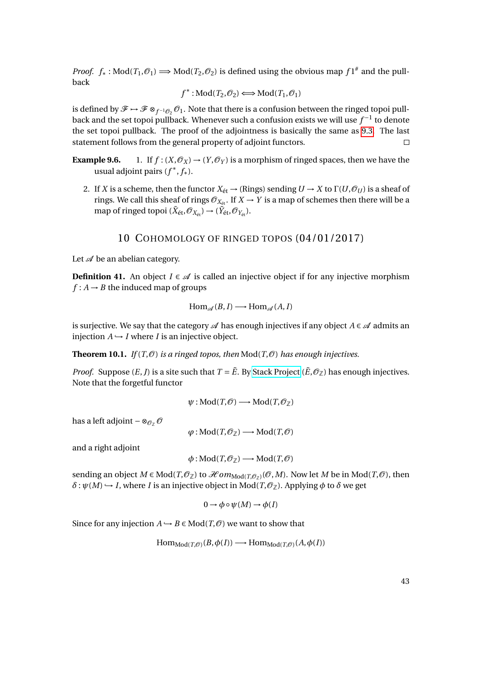*Proof.*  $f_*$ : Mod $(T_1, \mathcal{O}_1) \Longrightarrow Mod(T_2, \mathcal{O}_2)$  is defined using the obvious map  $f1^{\#}$  and the pullback

$$
f^*: \text{Mod}(T_2, \mathcal{O}_2) \Longleftrightarrow \text{Mod}(T_1, \mathcal{O}_1)
$$

is defined by  $\mathscr{F} \mapsto \mathscr{F} \otimes_{f^{-1}\mathscr{O}_2} \mathscr{O}_1$ . Note that there is a confusion between the ringed topoi pullback and the set topoi pullback. Whenever such a confusion exists we will use  $f^{-1}$  to denote the set topoi pullback. The proof of the adjointness is basically the same as [9.3.](#page-41-0) The last statement follows from the general property of adjoint functors.  $\Box$ 

**Example 9.6.** 1. If  $f: (X, \mathcal{O}_X) \to (Y, \mathcal{O}_Y)$  is a morphism of ringed spaces, then we have the usual adjoint pairs (*f* ∗ , *f*∗).

2. If *X* is a scheme, then the functor  $X_{\text{\'et}} \to (\text{Rings})$  sending  $U \to X$  to  $\Gamma(U, \mathcal{O}_U)$  is a sheaf of rings. We call this sheaf of rings  $\mathcal{O}_{X_{\text{\'et}}}$ . If  $X \to Y$  is a map of schemes then there will be a map of ringed topoi ( $\tilde{X}_{\text{\'et}}, \mathcal{O}_{X_{\text{\'et}}}\rightarrow (\tilde{Y}_{\text{\'et}}, \mathcal{O}_{Y_{\text{\'et}}})$ .

### 10 COHOMOLOGY OF RINGED TOPOS (04/01/2017)

Let  $\mathscr A$  be an abelian category.

**Definition 41.** An object  $I \in \mathcal{A}$  is called an injective object if for any injective morphism  $f: A \rightarrow B$  the induced map of groups

$$
Hom_{\mathscr{A}}(B,I) \longrightarrow Hom_{\mathscr{A}}(A,I)
$$

is surjective. We say that the category  $\mathscr A$  has enough injectives if any object  $A \in \mathscr A$  admits an injection  $A \hookrightarrow I$  where *I* is an injective object.

**Theorem 10.1.** *If*  $(T, \mathcal{O})$  *is a ringed topos, then*  $Mod(T, \mathcal{O})$  *has enough injectives.* 

*Proof.* Suppose  $(E, J)$  is a site such that  $T = \tilde{E}$ . By [Stack Project](http://stacks.math.columbia.edu/tag/01DL)  $(\tilde{E}, \mathcal{O}_{\mathbb{Z}})$  has enough injectives. Note that the forgetful functor

$$
\psi: \mathop{\mathrm{Mod}}\nolimits(T, {\mathcal O}) \longrightarrow \mathop{\mathrm{Mod}}\nolimits(T, {\mathcal O}_{\mathbb{Z}})
$$

has a left adjoint  $-\otimes_{\mathcal{O}_{\mathbb{Z}}} \mathcal{O}$ 

 $\varphi$ : Mod(*T*, $\mathcal{O}_\mathbb{Z}$ ) → Mod(*T*, $\mathcal{O}$ )

and a right adjoint

$$
\phi: Mod(T, \mathcal{O}_{\mathbb{Z}}) \longrightarrow Mod(T, \mathcal{O})
$$

sending an object  $M \in Mod(T,\mathcal{O}_{\mathbb{Z}})$  to  $\mathcal{H}om_{Mod(T,\mathcal{O}_{\mathbb{Z}})}(\mathcal{O},M)$ . Now let  $M$  be in  $Mod(T,\mathcal{O})$ , then  $\delta$  :  $\psi(M) \hookrightarrow I$ , where *I* is an injective object in Mod $(T, \mathcal{O}_{\mathbb{Z}})$ . Applying  $\phi$  to  $\delta$  we get

$$
0 \to \phi \circ \psi(M) \to \phi(I)
$$

Since for any injection  $A \hookrightarrow B \in Mod(T, \mathcal{O})$  we want to show that

 $\text{Hom}_{\text{Mod}(T,\mathcal{O})}(B,\phi(I)) \longrightarrow \text{Hom}_{\text{Mod}(T,\mathcal{O})}(A,\phi(I))$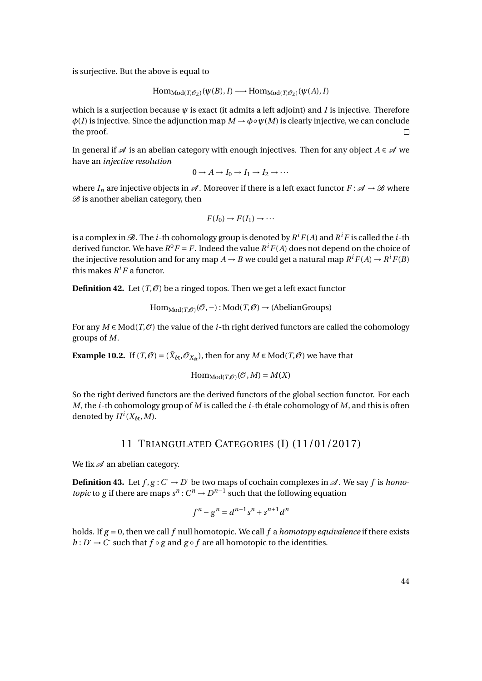is surjective. But the above is equal to

$$
\mathrm{Hom}_{\mathrm{Mod}(T,\mathcal{O}_{\mathbb{Z}})}(\psi(B), I) \longrightarrow \mathrm{Hom}_{\mathrm{Mod}(T,\mathcal{O}_{\mathbb{Z}})}(\psi(A), I)
$$

which is a surjection because  $\psi$  is exact (it admits a left adjoint) and *I* is injective. Therefore  $\phi(I)$  is injective. Since the adjunction map  $M \to \phi \circ \psi(M)$  is clearly injective, we can conclude the proof.  $\Box$ 

In general if  $\mathscr A$  is an abelian category with enough injectives. Then for any object  $A \in \mathscr A$  we have an *injective resolution*

$$
0 \to A \to I_0 \to I_1 \to I_2 \to \cdots
$$

where  $I_n$  are injective objects in  $\mathcal A$ . Moreover if there is a left exact functor  $F : \mathcal A \to \mathcal B$  where  $B$  is another abelian category, then

$$
F(I_0) \to F(I_1) \to \cdots
$$

is a complex in  $\mathscr{B}.$  The  $i$ -th cohomology group is denoted by  $R^iF(A)$  and  $R^iF$  is called the  $i$ -th derived functor. We have  $R^0F = F$ . Indeed the value  $R^iF(A)$  does not depend on the choice of the injective resolution and for any map  $A \rightarrow B$  we could get a natural map  $R^i F(A) \rightarrow R^i F(B)$ this makes  $R^i F$  a functor.

**Definition 42.** Let  $(T, \mathcal{O})$  be a ringed topos. Then we get a left exact functor

$$
\mathrm{Hom}_{\mathrm{Mod}(T, \mathcal{O})}(\mathcal{O}, -): \mathrm{Mod}(T, \mathcal{O}) \to (\mathrm{Abelian Groups})
$$

For any  $M \in Mod(T,\mathcal{O})$  the value of the *i*-th right derived functors are called the cohomology groups of *M*.

**Example 10.2.** If  $(T, \mathcal{O}) = (\tilde{X}_{\text{\'et}}, \mathcal{O}_{X_{\text{\'et}}})$ , then for any  $M \in Mod(T, \mathcal{O})$  we have that

$$
\mathrm{Hom}_{\mathrm{Mod}(T, \mathcal{O})}(\mathcal{O}, M) = M(X)
$$

So the right derived functors are the derived functors of the global section functor. For each *M*, the *i*-th cohomology group of *M* is called the *i*-th étale cohomology of *M*, and this is often denoted by  $H^i(X_{\text{\'et}},M)$ .

### 11 TRIANGULATED CATEGORIES (I) (11/01/2017)

We fix  $\mathcal A$  an abelian category.

**Definition 43.** Let  $f, g: C \to D$  be two maps of cochain complexes in  $\mathcal{A}$ . We say  $f$  is *homotopic* to *g* if there are maps  $s^n$  :  $C^n \to D^{n-1}$  such that the following equation

$$
f^{n} - g^{n} = d^{n-1} s^{n} + s^{n+1} d^{n}
$$

holds. If *g* = 0, then we call *f* null homotopic. We call *f* a *homotopy equivalence* if there exists *h* : *D* → *C* such that *f* ◦ *g* and *g* ◦ *f* are all homotopic to the identities.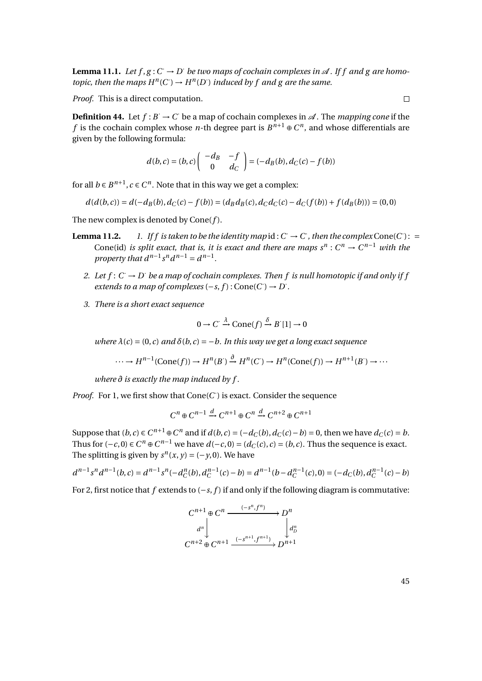**Lemma 11.1.** Let  $f, g: C \to D'$  be two maps of cochain complexes in  $\mathcal{A}$ . If f and g are homo*topic, then the maps*  $H^n(C) \to H^n(D)$  *induced by f and g are the same.* 

*Proof.* This is a direct computation.

**Definition 44.** Let  $f : B \to C$  be a map of cochain complexes in  $\mathcal{A}$ . The *mapping cone* if the *f* is the cochain complex whose *n*-th degree part is  $B^{n+1} \oplus C^n$ , and whose differentials are given by the following formula:

$$
d(b,c) = (b,c) \begin{pmatrix} -d_B & -f \\ 0 & d_C \end{pmatrix} = (-d_B(b), d_C(c) - f(b))
$$

for all  $b \in B^{n+1}$ ,  $c \in C^n$ . Note that in this way we get a complex:

$$
d(d(b, c)) = d(-d_B(b), d_C(c) - f(b)) = (d_B d_B(c), d_C d_C(c) - d_C(f(b)) + f(d_B(b))) = (0, 0)
$$

The new complex is denoted by Cone(*f* ).

- **Lemma 11.2.** *1. If f is taken to be the identity map*  $id: C \rightarrow C$ , *then the complex* Cone(*C*): = Cone(id) *is split exact, that is, it is exact and there are maps*  $s^n$  :  $C^n \to C^{n-1}$  *with the property that*  $d^{n-1} s^n d^{n-1} = d^{n-1}$ .
	- 2. Let  $f: C \to D$  be a map of cochain complexes. Then f is null homotopic if and only if j  $extends to a map of complexes (-s, f): Cone(C') \rightarrow D'.$
	- *3. There is a short exact sequence*

$$
0 \to C' \xrightarrow{\lambda} \text{Cone}(f) \xrightarrow{\delta} B'[1] \to 0
$$

*where*  $\lambda(c) = (0, c)$  *and*  $\delta(b, c) = -b$ . *In this way we get a long exact sequence* 

$$
\cdots \to H^{n-1}(\text{Cone}(f)) \to H^n(B^{\cdot}) \xrightarrow{\partial} H^n(C^{\cdot}) \to H^n(\text{Cone}(f)) \to H^{n+1}(B^{\cdot}) \to \cdots
$$

*where ∂ is exactly the map induced by f .*

*Proof.* For 1, we first show that  $Cone(C)$  is exact. Consider the sequence

$$
C^n\oplus C^{n-1}\xrightarrow{d} C^{n+1}\oplus C^n\xrightarrow{d} C^{n+2}\oplus C^{n+1}
$$

Suppose that  $(b, c) \in C^{n+1} \oplus C^n$  and if  $d(b, c) = (-d_C(b), d_C(c) - b) = 0$ , then we have  $d_C(c) = b$ . Thus for  $(-c, 0) \in C^n \oplus C^{n-1}$  we have  $d(-c, 0) = (d_C(c), c) = (b, c)$ . Thus the sequence is exact. The splitting is given by  $s^n(x, y) = (-y, 0)$ . We have

$$
d^{n-1} s^n d^{n-1}(b,c) = d^{n-1} s^n (-d_C^n(b), d_C^{n-1}(c) - b) = d^{n-1}(b - d_C^{n-1}(c), 0) = (-d_C(b), d_C^{n-1}(c) - b)
$$

For 2, first notice that *f* extends to (−*s*, *f* ) if and only if the following diagram is commutative:

$$
C^{n+1} \oplus C^n \xrightarrow{(-s^n, f^n)} D^n
$$
  

$$
d^n \downarrow \qquad d^n
$$
  

$$
C^{n+2} \oplus C^{n+1} \xrightarrow{(-s^{n+1}, f^{n+1})} D^{n+1}
$$

45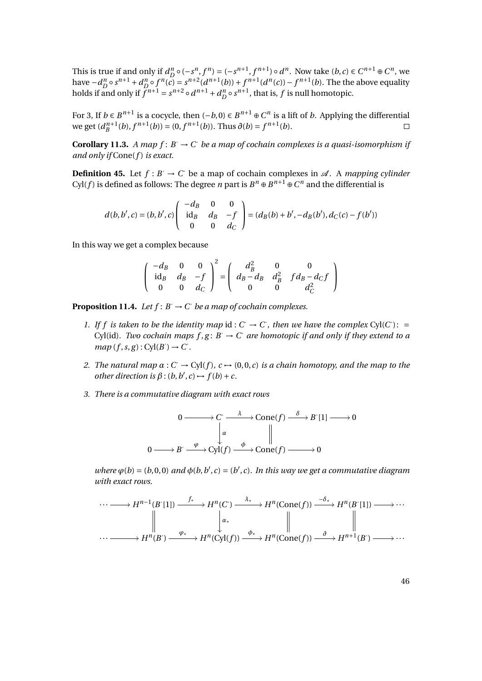This is true if and only if  $d_D^n \circ (-s^n, f^n) = (-s^{n+1}, f^{n+1}) \circ d^n$ . Now take  $(b, c) \in C^{n+1} \oplus C^n$ , we have  $-d_D^n \circ s^{n+1} + d_D^n \circ f^n(c) = s^{n+2} (d^{n+1}(b)) + f^{n+1}(d^n(c)) - f^{n+1}(b)$ . The the above equality holds if and only if  $f^{n+1} = s^{n+2} \circ d^{n+1} + d_D^n \circ s^{n+1}$ , that is, f is null homotopic.

For 3, If *b* ∈  $B^{n+1}$  is a cocycle, then  $(-b, 0) \in B^{n+1} \oplus C^n$  is a lift of *b*. Applying the differential we get  $(d_B^{n+1}(b), f^{n+1}(b)) = (0, f^{n+1}(b))$ . Thus  $\partial(b) = f^{n+1}(b)$ .  $\Box$ 

**Corollary 11.3.** *A map f* :  $B \to C$  *be a map of cochain complexes is a quasi-isomorphism if and only if* Cone(*f* ) *is exact.*

**Definition 45.** Let  $f : B \to C$  be a map of cochain complexes in  $\mathcal{A}$ . A *mapping cylinder* Cyl(*f*) is defined as follows: The degree *n* part is  $B^n \oplus B^{n+1} \oplus C^n$  and the differential is

$$
d(b, b', c) = (b, b', c) \begin{pmatrix} -d_B & 0 & 0 \\ id_B & d_B & -f \\ 0 & 0 & d_C \end{pmatrix} = (d_B(b) + b', -d_B(b'), d_C(c) - f(b'))
$$

In this way we get a complex because

$$
\begin{pmatrix} -d_B & 0 & 0 \\ id_B & d_B & -f \\ 0 & 0 & d_C \end{pmatrix}^2 = \begin{pmatrix} d_B^2 & 0 & 0 \\ d_B - d_B & d_B^2 & f d_B - d_C f \\ 0 & 0 & d_C^2 \end{pmatrix}
$$

<span id="page-45-0"></span>**Proposition 11.4.** Let  $f: B \to C$  be a map of cochain complexes.

- *1.* If f is taken to be the identity map id:  $C \rightarrow C$ , then we have the complex Cyl(C): = Cyl(id). Two cochain maps  $f, g: B \to C$  are homotopic if and only if they extend to a  $map(f, s, g) : Cyl(B') \rightarrow C'.$
- *2. The natural map*  $\alpha$  :  $C \rightarrow Cyl(f)$ ,  $c \rightarrow (0, 0, c)$  *is a chain homotopy, and the map to the other direction is*  $\beta$  :  $(b, b', c) \rightarrow f(b) + c$ .
- *3. There is a commutative diagram with exact rows*

$$
0 \longrightarrow C \xrightarrow{\lambda} \text{Cone}(f) \xrightarrow{\delta} B'[1] \longrightarrow 0
$$
  

$$
0 \longrightarrow B \xrightarrow{\varphi} \text{Cyl}(f) \xrightarrow{\phi} \text{Cone}(f) \longrightarrow 0
$$

 $where \varphi(b) = (b, 0, 0)$  *and*  $\varphi(b, b', c) = (b', c)$ . In this way we get a commutative diagram *with exact rows.*

$$
\cdots \longrightarrow H^{n-1}(B^{r}[1]) \xrightarrow{f_{*}} H^{n}(C^{r}) \xrightarrow{\lambda_{*}} H^{n}(\text{Cone}(f)) \xrightarrow{-\delta_{*}} H^{n}(B^{r}[1]) \longrightarrow \cdots
$$
  

$$
\downarrow \qquad \qquad \downarrow a_{*} \qquad \qquad \downarrow \qquad \qquad \downarrow a_{*}
$$
  

$$
\cdots \longrightarrow H^{n}(B^{r}) \xrightarrow{\varphi_{*}} H^{n}(\text{Cyl}(f)) \xrightarrow{\varphi_{*}} H^{n}(\text{Cone}(f)) \xrightarrow{\partial} H^{n+1}(B^{r}) \longrightarrow \cdots
$$

46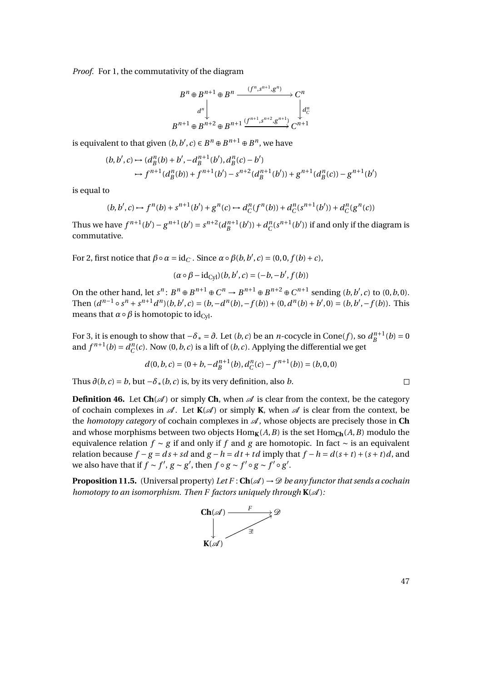*Proof.* For 1, the commutativity of the diagram

$$
B^n \oplus B^{n+1} \oplus B^n \xrightarrow{(f^n, s^{n+1}, g^n)} C^n
$$
  

$$
d^n \downarrow \qquad d^n
$$
  

$$
B^{n+1} \oplus B^{n+2} \oplus B^{n+1} \xrightarrow{(f^{n+1}, s^{n+2}, g^{n+1})} C^{n+1}
$$

is equivalent to that given  $(b, b', c) \in B^n \oplus B^{n+1} \oplus B^n$ , we have

$$
(b, b', c) \mapsto (d_B^n(b) + b', -d_B^{n+1}(b'), d_B^n(c) - b')
$$
  
\n
$$
\mapsto f^{n+1}(d_B^n(b)) + f^{n+1}(b') - s^{n+2}(d_B^{n+1}(b')) + g^{n+1}(d_B^n(c)) - g^{n+1}(b')
$$

is equal to

$$
(b, b', c) \mapsto f^{n}(b) + s^{n+1}(b') + g^{n}(c) \mapsto d_{C}^{n}(f^{n}(b)) + d_{C}^{n}(s^{n+1}(b')) + d_{C}^{n}(g^{n}(c))
$$

Thus we have  $f^{n+1}(b') - g^{n+1}(b') = s^{n+2}(d_B^{n+1}(b')) + d_C^n(s^{n+1}(b'))$  if and only if the diagram is commutative.

For 2, first notice that  $\beta \circ \alpha = \text{id}_C$ . Since  $\alpha \circ \beta(b, b', c) = (0, 0, f(b) + c)$ ,

$$
(\alpha \circ \beta - \mathrm{id}_{\mathrm{Cyl}})(b, b', c) = (-b, -b', f(b))
$$

On the other hand, let  $s^n$ :  $B^n \oplus B^{n+1} \oplus C^n \to B^{n+1} \oplus B^{n+2} \oplus C^{n+1}$  sending  $(b, b', c)$  to  $(0, b, 0)$ . Then  $(d^{n-1} \circ s^n + s^{n+1}d^n)(b, b', c) = (b, -d^n(b), -f(b)) + (0, d^n(b) + b', 0) = (b, b', -f(b)).$  This means that  $\alpha \circ \beta$  is homotopic to id<sub>Cyl</sub>.

For 3, it is enough to show that  $-\delta_* = \partial$ . Let  $(b, c)$  be an *n*-cocycle in Cone(f), so  $d_B^{n+1}(b) = 0$ and  $f^{n+1}(b) = d_C^n(c)$ . Now  $(0, b, c)$  is a lift of  $(b, c)$ . Applying the differential we get

$$
d(0, b, c) = (0 + b, -d_B^{n+1}(b), d_C^n(c) - f^{n+1}(b)) = (b, 0, 0)
$$

Thus  $\partial(b, c) = b$ , but  $-\delta_*(b, c)$  is, by its very definition, also *b*.

**Definition 46.** Let  $\text{Ch}(\mathscr{A})$  or simply Ch, when  $\mathscr{A}$  is clear from the context, be the category of cochain complexes in  $\mathcal{A}$ . Let  $K(\mathcal{A})$  or simply **K**, when  $\mathcal{A}$  is clear from the context, be the *homotopy category* of cochain complexes in A , whose objects are precisely those in **Ch** and whose morphisms between two objects  $\text{Hom}_{\mathbf{K}}(A, B)$  is the set  $\text{Hom}_{\mathbf{Ch}}(A, B)$  modulo the equivalence relation *f* ∼ *g* if and only if *f* and *g* are homotopic. In fact ∼ is an equivalent relation because  $f - g = ds + sd$  and  $g - h = dt + td$  imply that  $f - h = d(s + t) + (s + t)d$ , and we also have that if  $f \sim f'$ ,  $g \sim g'$ , then  $f \circ g \sim f' \circ g \sim f' \circ g'$ .

<span id="page-46-0"></span>**Proposition 11.5.** (Universal property) Let  $F : \mathbf{Ch}(\mathcal{A}) \to \mathcal{D}$  be any functor that sends a cochain *homotopy to an isomorphism. Then F factors uniquely through*  $K(\mathcal{A})$ :

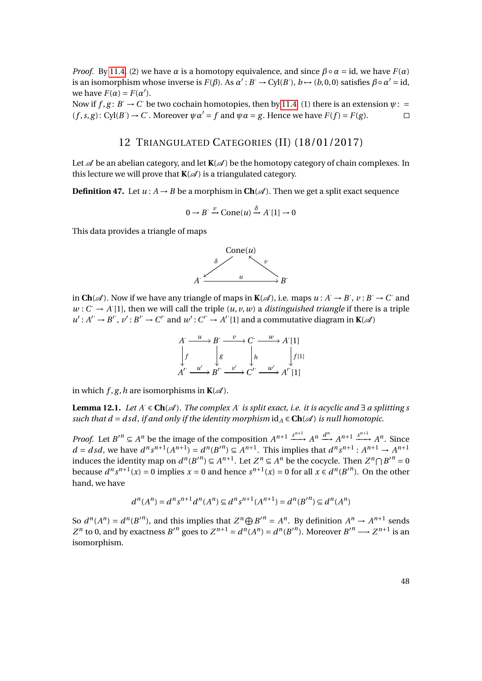*Proof.* By [11.4,](#page-45-0) (2) we have  $\alpha$  is a homotopy equivalence, and since  $\beta \circ \alpha = id$ , we have  $F(\alpha)$ is an isomorphism whose inverse is  $F(\beta)$ . As  $\alpha' : B \to Cyl(B)$ ,  $b \mapsto (b, 0, 0)$  satisfies  $\beta \circ \alpha' = id$ , we have  $F(\alpha) = F(\alpha')$ .

Now if  $f, g: B \to C$  be two cochain homotopies, then by [11.4,](#page-45-0) (1) there is an extension  $\psi$ :  $(f, s, g)$ : Cyl $(B') \to C$ . Moreover  $\psi \alpha' = f$  and  $\psi \alpha = g$ . Hence we have  $F(f) = F(g)$ .  $\Box$ 

# 12 TRIANGULATED CATEGORIES (II) (18/01/2017)

Let  $\mathcal A$  be an abelian category, and let  $K(\mathcal A)$  be the homotopy category of chain complexes. In this lecture we will prove that  $K(\mathcal{A})$  is a triangulated category.

**Definition 47.** Let  $u : A \rightarrow B$  be a morphism in  $\text{Ch}(\mathcal{A})$ . Then we get a split exact sequence

$$
0 \to B' \xrightarrow{\nu} \text{Cone}(u) \xrightarrow{\delta} A'[1] \to 0
$$

This data provides a triangle of maps



in  $\text{Ch}(\mathscr{A})$ . Now if we have any triangle of maps in  $\mathbf{K}(\mathscr{A})$ , i.e. maps  $u : A \to B$ ,  $v : B \to C$  and  $w: C \to A[1]$ , then we will call the triple  $(u, v, w)$  a *distinguished triangle* if there is a triple  $u': A' \rightarrow B'$ ,  $v': B' \rightarrow C'$  and  $w': C' \rightarrow A'$  [1] and a commutative diagram in **K**( $\mathscr A$ )



in which  $f$ ,  $g$ ,  $h$  are isomorphisms in  $K(\mathcal{A})$ .

<span id="page-47-0"></span>**Lemma 12.1.** *Let A*· ∈ **Ch**(A )*. The complex A*· *is split exact, i.e. it is acyclic and* ∃ *a splitting s such that d* = *dsd, if and only if the identity morphism*  $id_A \in \text{Ch}(\mathcal{A})$  *is null homotopic.* 

*Proof.* Let  $B'' \subseteq A^n$  be the image of the composition  $A^{n+1} \xrightarrow{s^{n+1}} A^n \xrightarrow{d^n} A^{n+1} \xrightarrow{s^{n+1}} A^n$ . Since  $d = dsd$ , we have  $d^n s^{n+1}(A^{n+1}) = d^n (B'^n) \subseteq A^{n+1}$ . This implies that  $d^n s^{n+1} : A^{n+1} \to A^{n+1}$ induces the identity map on  $d^n(B'^n) \subseteq A^{n+1}$ . Let  $Z^n \subseteq A^n$  be the cocycle. Then  $Z^n \cap B'^n = 0$ because  $d^n s^{n+1}(x) = 0$  implies  $x = 0$  and hence  $s^{n+1}(x) = 0$  for all  $x \in d^n(B'^n)$ . On the other hand, we have

$$
d^{n}(A^{n}) = d^{n}s^{n+1}d^{n}(A^{n}) \subseteq d^{n}s^{n+1}(A^{n+1}) = d^{n}(B^{n}) \subseteq d^{n}(A^{n})
$$

So  $d^n(A^n) = d^n(B'^n)$ , and this implies that  $Z^n \oplus B'^n = A^n$ . By definition  $A^n \to A^{n+1}$  sends  $Z^n$  to 0, and by exactness  $B'^n$  goes to  $Z^{n+1} = d^n(A^n) = d^n(B'^n)$ . Moreover  $B'^n \longrightarrow Z^{n+1}$  is an isomorphism.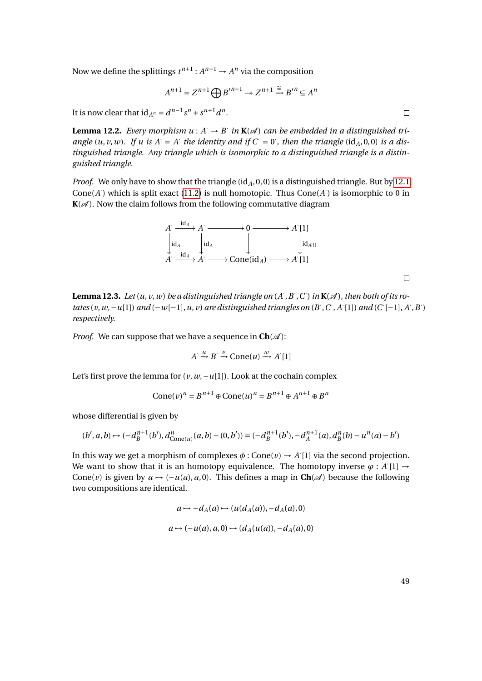Now we define the splittings  $t^{n+1}: A^{n+1} \to A^n$  via the composition

$$
A^{n+1} = Z^{n+1} \bigoplus B'^{n+1} \twoheadrightarrow Z^{n+1} \stackrel{\cong}{\longrightarrow} B'^n \subseteq A^n
$$

It is now clear that  $id_{A^n} = d^{n-1} s^n + s^{n+1} d^n$ .

<span id="page-48-0"></span>**Lemma 12.2.** *Every morphism*  $u : A \to B$  *in*  $\mathbf{K}(\mathcal{A})$  *can be embedded in a distinguished tri*angle  $(u, v, w)$ . If u is  $A = A$  the identity and if  $C = 0$ , then the triangle  $(id_A, 0, 0)$  is a dis*tinguished triangle. Any triangle which is isomorphic to a distinguished triangle is a distinguished triangle.*

*Proof.* We only have to show that the triangle  $(id_A, 0, 0)$  is a distinguished triangle. But by [12.1](#page-47-0) Cone( $A$ ) which is split exact [\(11.2\)](#page-0-0) is null homotopic. Thus  $Cone(A)$  is isomorphic to 0 in  $K(\mathcal{A})$ . Now the claim follows from the following commutative diagram



<span id="page-48-1"></span>**Lemma 12.3.** Let  $(u, v, w)$  be a distinguished triangle on  $(A, B, C)$  in  $K(\mathcal{A})$ , then both of its ro*tates*(*v*,*w*,−*u*[1]) *and*(−*w*[−1],*u*,*v*) *are distinguished triangles on* (*B*, *C*, *A* [1]) *and* (*C*[−1], *A*, *B*) *respectively.*

*Proof.* We can suppose that we have a sequence in  $\text{Ch}(\mathcal{A})$ :

$$
A \xrightarrow{u} B \xrightarrow{v} \text{Cone}(u) \xrightarrow{w} A'[1]
$$

Let's first prove the lemma for  $(v, w, -u[1])$ . Look at the cochain complex

$$
Cone(v)^n = B^{n+1} \oplus Cone(u)^n = B^{n+1} \oplus A^{n+1} \oplus B^n
$$

whose differential is given by

$$
(b', a, b) \mapsto (-d_B^{n+1}(b'), d_{\text{Cone}(u)}^n(a, b) - (0, b')) = (-d_B^{n+1}(b'), -d_A^{n+1}(a), d_B^n(b) - u^n(a) - b')
$$

In this way we get a morphism of complexes  $\phi$  : Cone( $v$ )  $\rightarrow$  *A* [1] via the second projection. We want to show that it is an homotopy equivalence. The homotopy inverse  $\varphi$  : *A* [1]  $\rightarrow$ Cone(*v*) is given by  $a \mapsto (-u(a), a, 0)$ . This defines a map in  $\text{Ch}(\mathscr{A})$  because the following two compositions are identical.

$$
a \mapsto -d_A(a) \mapsto (u(d_A(a)), -d_A(a), 0)
$$
  

$$
a \mapsto (-u(a), a, 0) \mapsto (d_A(u(a)), -d_A(a), 0)
$$

49

 $\Box$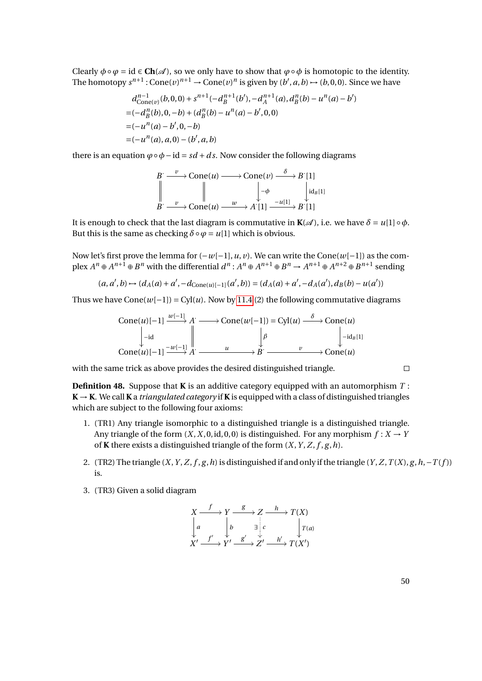Clearly  $\phi \circ \varphi = id \in \mathbf{Ch}(\mathcal{A})$ , so we only have to show that  $\varphi \circ \varphi$  is homotopic to the identity. The homotopy  $s^{n+1}$ : Cone $(v)^{n+1}$   $\rightarrow$  Cone $(v)^n$  is given by  $(b', a, b)$   $\rightarrow$   $(b, 0, 0)$ . Since we have

$$
d_{\text{Cone}(v)}^{n-1}(b,0,0) + s^{n+1}(-d_B^{n+1}(b'), -d_A^{n+1}(a), d_B^n(b) - u^n(a) - b')
$$
  
=  $(-d_B^n(b), 0, -b) + (d_B^n(b) - u^n(a) - b', 0, 0)$   
=  $(-u^n(a) - b', 0, -b)$   
=  $(-u^n(a), a, 0) - (b', a, b)$ 

there is an equation  $\varphi \circ \varphi - id = sd + ds$ . Now consider the following diagrams

$$
B \xrightarrow{v} \text{Cone}(u) \longrightarrow \text{Cone}(v) \xrightarrow{\delta} B'[1]
$$
  

$$
\parallel \qquad \qquad \downarrow \rightarrow \text{Cone}(u) \xrightarrow{w} A'[1] \xrightarrow{-u[1]} B'[1]
$$

It is enough to check that the last diagram is commutative in  $\mathbf{K}(\mathcal{A})$ , i.e. we have  $\delta = u[1] \circ \phi$ . But this is the same as checking  $\delta \circ \varphi = u[1]$  which is obvious.

Now let's first prove the lemma for (−*w*[−1],*u*, *v*). We can write the Cone(*w*[−1]) as the complex  $A^n \oplus A^{n+1} \oplus B^n$  with the differential  $d^n$ :  $A^n \oplus A^{n+1} \oplus B^n \to A^{n+1} \oplus A^{n+2} \oplus B^{n+1}$  sending

$$
(a, a', b) \mapsto (d_A(a) + a', -d_{\text{Cone}(u)[-1]}(a', b)) = (d_A(a) + a', -d_A(a'), d_B(b) - u(a'))
$$

Thus we have  $Cone(w[-1]) = Cyl(u)$ . Now by [11.4](#page-45-0) (2) the following commutative diagrams

$$
\text{Cone}(u)[-1] \xrightarrow{w[-1]} A' \longrightarrow \text{Cone}(w[-1]) = \text{Cyl}(u) \xrightarrow{\delta} \text{Cone}(u)
$$
\n
$$
\downarrow \text{-id} \qquad \qquad \downarrow \text{Cone}(u)[-1] \xrightarrow{-w[-1]} A' \xrightarrow{u} B' \xrightarrow{v} \text{Cone}(u)
$$

with the same trick as above provides the desired distinguished triangle.

**Definition 48.** Suppose that **K** is an additive category equipped with an automorphism *T* :  $K \rightarrow K$ . We call **K** a *triangulated category* if **K** is equipped with a class of distinguished triangles which are subject to the following four axioms:

- 1. (TR1) Any triangle isomorphic to a distinguished triangle is a distinguished triangle. Any triangle of the form  $(X, X, 0, id, 0, 0)$  is distinguished. For any morphism  $f: X \rightarrow Y$ of **K** there exists a distinguished triangle of the form  $(X, Y, Z, f, g, h)$ .
- 2. (TR2) The triangle  $(X, Y, Z, f, g, h)$  is distinguished if and only if the triangle  $(Y, Z, T(X), g, h, -T(f))$ is.
- 3. (TR3) Given a solid diagram

$$
X \xrightarrow{f} Y \xrightarrow{g} Z \xrightarrow{h} T(X)
$$
  
\n
$$
\downarrow a \qquad \qquad \downarrow b \qquad \exists \downarrow c \qquad \qquad \downarrow T(a)
$$
  
\n
$$
X' \xrightarrow{f'} Y' \xrightarrow{g'} Z' \xrightarrow{h'} T(X')
$$

50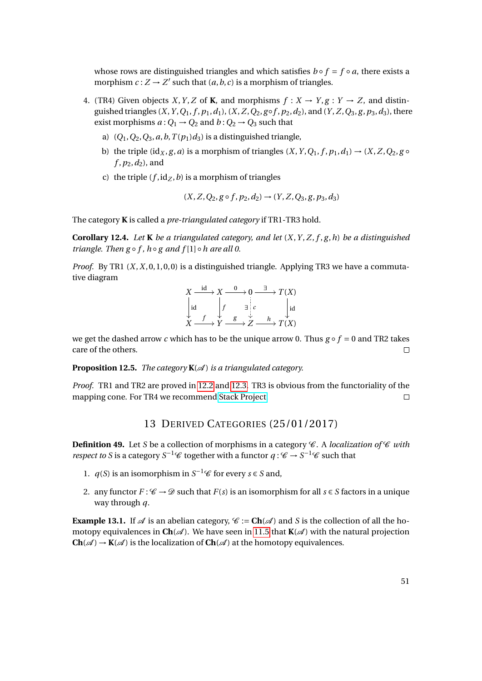whose rows are distinguished triangles and which satisfies  $b \circ f = f \circ a$ , there exists a morphism  $c: Z \to Z'$  such that  $(a, b, c)$  is a morphism of triangles.

- 4. (TR4) Given objects *X*, *Y*, *Z* of **K**, and morphisms  $f : X \rightarrow Y$ ,  $g : Y \rightarrow Z$ , and distinguished triangles  $(X, Y, Q_1, f, p_1, d_1)$ ,  $(X, Z, Q_2, g \circ f, p_2, d_2)$ , and  $(Y, Z, Q_3, g, p_3, d_3)$ , there exist morphisms  $a: Q_1 \rightarrow Q_2$  and  $b: Q_2 \rightarrow Q_3$  such that
	- a)  $(Q_1, Q_2, Q_3, a, b, T(p_1)d_3)$  is a distinguished triangle,
	- b) the triple ( $\text{id}_X$ , *g*, *a*) is a morphism of triangles (*X*, *Y*, *Q*<sub>1</sub>, *f*, *p*<sub>1</sub>, *d*<sub>1</sub>)  $\rightarrow$  (*X*, *Z*, *Q*<sub>2</sub>, *g f* ,*p*2,*d*2), and
	- c) the triple  $(f, id_Z, b)$  is a morphism of triangles

$$
(X, Z, Q_2, g \circ f, p_2, d_2) \rightarrow (Y, Z, Q_3, g, p_3, d_3)
$$

The category **K** is called a *pre-triangulated category* if TR1-TR3 hold.

**Corollary 12.4.** *Let* **K** *be a triangulated category, and let*  $(X, Y, Z, f, g, h)$  *be a distinguished triangle. Then g*  $\circ$  *f*,  $h \circ g$  *and*  $f[1] \circ h$  *are all 0.* 

*Proof.* By TR1 (*X*,*X*, 0, 1, 0, 0) is a distinguished triangle. Applying TR3 we have a commutative diagram

$$
X \xrightarrow{\text{id}} X \xrightarrow{0} 0 \xrightarrow{\exists} T(X)
$$
  
\n
$$
\downarrow id \qquad \qquad \downarrow f \qquad \qquad \downarrow i c \qquad \qquad \downarrow id
$$
  
\n
$$
X \xrightarrow{f} Y \xrightarrow{g} Z \xrightarrow{h} T(X)
$$

we get the dashed arrow *c* which has to be the unique arrow 0. Thus  $g \circ f = 0$  and TR2 takes care of the others.  $\Box$ 

**Proposition 12.5.** *The category*  $K(\mathcal{A})$  *is a triangulated category.* 

*Proof.* TR1 and TR2 are proved in [12.2](#page-48-0) and [12.3.](#page-48-1) TR3 is obvious from the functoriality of the mapping cone. For TR4 we recommend [Stack Project.](http://stacks.math.columbia.edu/download/derived.pdf)  $\Box$ 

### 13 DERIVED CATEGORIES (25/01/2017)

**Definition 49.** Let *S* be a collection of morphisms in a category  $\mathscr C$ . A *localization of*  $\mathscr C$  *with respect to S* is a category  $S^{-1}$ C together with a functor  $q: \mathcal{C} \to S^{-1}\mathcal{C}$  such that

- 1. *q*(*S*) is an isomorphism in *S*<sup>-1</sup> $\mathcal{C}$  for every *s*  $\in$  *S* and,
- 2. any functor  $F: \mathscr{C} \to \mathscr{D}$  such that  $F(s)$  is an isomorphism for all  $s \in S$  factors in a unique way through *q*.

**Example 13.1.** If  $\mathcal A$  is an abelian category,  $\mathcal C := \mathbf{Ch}(\mathcal A)$  and *S* is the collection of all the homotopy equivalences in  $\text{Ch}(\mathcal{A})$ . We have seen in [11.5](#page-46-0) that **K**( $\mathcal{A}$ ) with the natural projection **Ch**( $\mathcal{A}$ ) → **K**( $\mathcal{A}$ ) is the localization of **Ch**( $\mathcal{A}$ ) at the homotopy equivalences.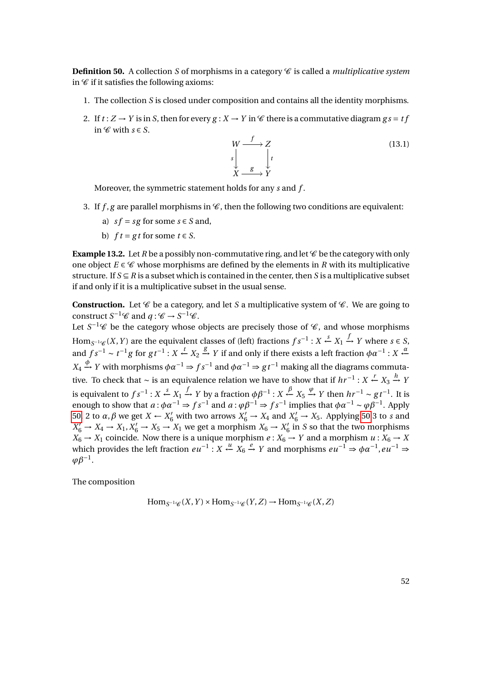<span id="page-51-0"></span>**Definition 50.** A collection *S* of morphisms in a category  $\mathscr C$  is called a *multiplicative system* in  $\mathscr C$  if it satisfies the following axioms:

- 1. The collection *S* is closed under composition and contains all the identity morphisms.
- 2. If  $t: Z \to Y$  is in S, then for every  $g: X \to Y$  in  $\mathscr C$  there is a commutative diagram  $gs = tf$ in  $\mathscr C$  with  $s \in S$ .



Moreover, the symmetric statement holds for any *s* and *f* .

- 3. If  $f, g$  are parallel morphisms in  $\mathcal C$ , then the following two conditions are equivalent:
	- a)  $sf = sg$  for some  $s \in S$  and,
	- b)  $ft = gt$  for some  $t \in S$ .

**Example 13.2.** Let *R* be a possibly non-commutative ring, and let  $\mathscr C$  be the category with only one object  $E \in \mathscr{C}$  whose morphisms are defined by the elements in *R* with its multiplicative structure. If  $S \subseteq R$  is a subset which is contained in the center, then *S* is a multiplicative subset if and only if it is a multiplicative subset in the usual sense.

**Construction.** Let  $\mathscr C$  be a category, and let *S* a multiplicative system of  $\mathscr C$ . We are going to construct  $S^{-1}\mathscr{C}$  and  $q: \mathscr{C} \to S^{-1}\mathscr{C}$ .

Let  $S^{-1}\mathscr{C}$  be the category whose objects are precisely those of  $\mathscr{C}$ , and whose morphisms Hom<sub>*S*<sup>-1</sup>'€</sub> (*X*, *Y*) are the equivalent classes of (left) fractions  $fs^{-1}: X \xleftarrow{s} X_1 \xrightarrow{f} Y$  where  $s \in S$ , and  $fs^{-1} \sim t^{-1}g$  for  $gt^{-1}: X \xleftarrow{t} X_2 \xrightarrow{g} Y$  if and only if there exists a left fraction  $\phi \alpha^{-1}: X \xleftarrow{\alpha} Y_2$  $X_4 \xrightarrow{\phi} Y$  with morphisms  $\phi \alpha^{-1} \Rightarrow fs^{-1}$  and  $\phi \alpha^{-1} \Rightarrow gt^{-1}$  making all the diagrams commutative. To check that ~ is an equivalence relation we have to show that if  $hr^{-1}$  :  $X \xleftarrow{r} X_3 \xrightarrow{h} Y$ is equivalent to  $fs^{-1}$  :  $X \xleftarrow{s} X_1 \xrightarrow{f} Y$  by a fraction  $\phi \beta^{-1}$  :  $X \xleftarrow{\beta} X_5 \xrightarrow{\phi} Y$  then  $hr^{-1} \sim gt^{-1}$ . It is enough to show that  $a : \phi \alpha^{-1} \Rightarrow fs^{-1}$  and  $a : \phi \beta^{-1} \Rightarrow fs^{-1}$  implies that  $\phi \alpha^{-1} \sim \phi \beta^{-1}$ . Apply [50,](#page-51-0) 2 to  $\alpha$ ,  $\beta$  we get  $X \leftarrow X'_6$  with two arrows  $X'_6 \rightarrow X_4$  and  $X'_6 \rightarrow X_5$ . Applying [50](#page-51-0) 3 to *s* and  $X'_6 \to X_4 \to X_1, X'_6 \to X_5 \to X_1$  we get a morphism  $X_6 \to X'_6$  $\frac{7}{6}$  in *S* so that the two morphisms  $X_6 \rightarrow X_1$  coincide. Now there is a unique morphism  $e : X_6 \rightarrow Y$  and a morphism  $u : X_6 \rightarrow X_7$ which provides the left fraction  $eu^{-1}: X \stackrel{u}{\leftarrow} X_6 \stackrel{e}{\rightarrow} Y$  and morphisms  $eu^{-1} \Rightarrow \phi \alpha^{-1}, eu^{-1} \Rightarrow$  $\varphi\beta^{-1}$ .

The composition

 $\text{Hom}_{S^{-1}\mathscr{C}}(X, Y) \times \text{Hom}_{S^{-1}\mathscr{C}}(Y, Z) \to \text{Hom}_{S^{-1}\mathscr{C}}(X, Z)$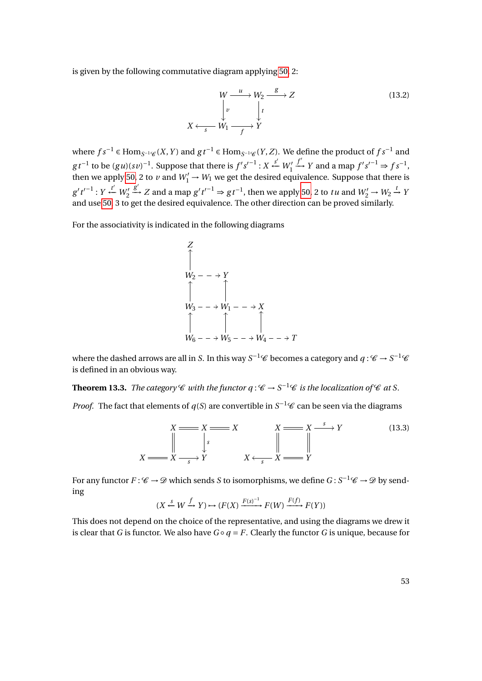is given by the following commutative diagram applying [50,](#page-51-0) 2:

$$
W \xrightarrow{u} W_2 \xrightarrow{g} Z
$$
  
\n
$$
\downarrow v \qquad \qquad \downarrow t
$$
  
\n
$$
X \xleftarrow{s} W_1 \xrightarrow{f} Y
$$
 (13.2)

where  $fs^{-1}$  ∈ Hom $_{S^{-1}\mathscr{C}}(X,Y)$  and  $gt^{-1}$  ∈ Hom $_{S^{-1}\mathscr{C}}(Y,Z)$ . We define the product of  $fs^{-1}$  and *g*t<sup>-1</sup> to be  $(gu)(sv)^{-1}$ . Suppose that there is  $f's'^{-1}$  :  $X \xleftarrow{s'} W'_1$  $f'$  *Y* and a map  $f's'^{-1} \Rightarrow fs^{-1}$ , then we apply [50,](#page-51-0) 2 to *v* and  $W'_1 \rightarrow W_1$  we get the desired equivalence. Suppose that there is  $g' t'^{-1} : Y \stackrel{t'}{\leftarrow} W_2'$  $g'$  *z* and a map  $g' t'^{-1} \Rightarrow gt^{-1}$ , then we apply [50,](#page-51-0) 2 to *tu* and  $W'_2 \to W_2 \xrightarrow{t} Y$ and use [50,](#page-51-0) 3 to get the desired equivalence. The other direction can be proved similarly.

For the associativity is indicated in the following diagrams

$$
Z
$$
\n
$$
W_2 - \rightarrow Y
$$
\n
$$
W_3 - \rightarrow W_1 - \rightarrow X
$$
\n
$$
W_6 - \rightarrow W_5 - \rightarrow W_4 - \rightarrow T
$$

where the dashed arrows are all in *S*. In this way  $S^{-1}\mathscr{C}$  becomes a category and  $q:\mathscr{C}\to S^{-1}\mathscr{C}$ is defined in an obvious way.

**Theorem 13.3.** *The category*  $\mathscr C$  *with the functor*  $q : \mathscr C \to S^{-1} \mathscr C$  *is the localization of*  $\mathscr C$  *at* S.

*Proof.* The fact that elements of  $q(S)$  are convertible in  $S^{-1}\mathscr{C}$  can be seen via the diagrams

*X X s X X X <sup>s</sup>* /*Y X X s* /*Y X X <sup>s</sup>* o *Y* (13.3)

For any functor  $F: \mathscr{C} \to \mathscr{D}$  which sends *S* to isomorphisms, we define  $G: S^{-1}\mathscr{C} \to \mathscr{D}$  by sending

$$
(X \xleftarrow {s} W \xrightarrow {f} Y) \mapsto (F(X) \xrightarrow {F(s)^{-1}} F(W) \xrightarrow {F(f)} F(Y))
$$

This does not depend on the choice of the representative, and using the diagrams we drew it is clear that *G* is functor. We also have  $G \circ q = F$ . Clearly the functor *G* is unique, because for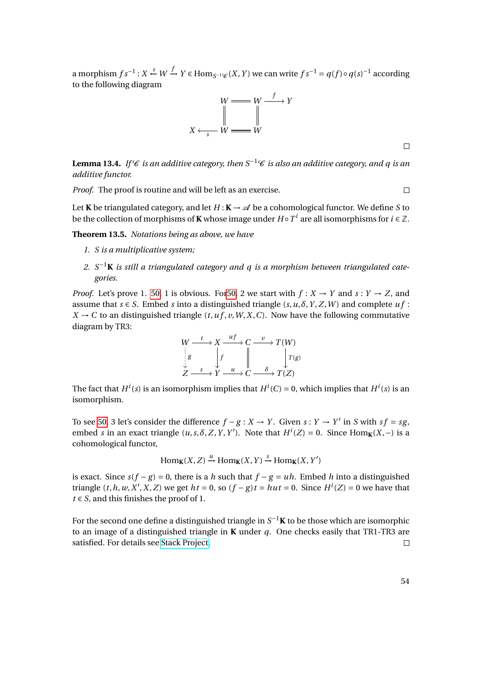a morphism  $fs^{-1}$  :  $X \xleftarrow{s} W \xrightarrow{f} Y \in \text{Hom}_{S^{-1}\\\mathscr{C}}(X, Y)$  we can write  $fs^{-1} = q(f) \circ q(s)^{-1}$  according to the following diagram



**Lemma 13.4.** *If* C *is an additive category, then*  $S^{-1}$ C *is also an additive category, and a is an additive functor.*

*Proof.* The proof is routine and will be left as an exercise.

Let **K** be triangulated category, and let  $H: K \to \mathcal{A}$  be a cohomological functor. We define *S* to be the collection of morphisms of **K** whose image under  $H \circ T^i$  are all isomorphisms for  $i \in \mathbb{Z}$ .

**Theorem 13.5.** *Notations being as above, we have*

- *1. S is a multiplicative system;*
- 2.  $S^{-1}$ **K** is still a triangulated category and q is a morphism between triangulated cate*gories.*

*Proof.* Let's prove 1. [50,](#page-51-0) 1 is obvious. For 50, 2 we start with  $f: X \rightarrow Y$  and  $s: Y \rightarrow Z$ , and assume that  $s \in S$ . Embed *s* into a distinguished triangle  $(s, u, \delta, Y, Z, W)$  and complete  $uf$ :  $X \rightarrow C$  to an distinguished triangle (*t*, *u* f, *v*, *W*, *X*, *C*). Now have the following commutative diagram by TR3:



The fact that  $H^i(s)$  is an isomorphism implies that  $H^i(C) = 0$ , which implies that  $H^i(s)$  is an isomorphism.

To see [50,](#page-51-0) 3 let's consider the difference  $f - g : X \to Y$ . Given  $s : Y \to Y'$  in *S* with  $sf = sg$ , embed *s* in an exact triangle  $(u, s, \delta, Z, Y, Y')$ . Note that  $H^i(Z) = 0$ . Since Hom<sub>K</sub>(*X*,−) is a cohomological functor,

 $\text{Hom}_{\mathbf{K}}(X, Z) \xrightarrow{u} \text{Hom}_{\mathbf{K}}(X, Y) \xrightarrow{s} \text{Hom}_{\mathbf{K}}(X, Y')$ 

is exact. Since  $s(f - g) = 0$ , there is a *h* such that  $f - g = uh$ . Embed *h* into a distinguished triangle  $(t, h, w, X', X, Z)$  we get  $ht = 0$ , so  $(f - g)t = hut = 0$ . Since  $H^i(Z) = 0$  we have that  $t \in S$ , and this finishes the proof of 1.

For the second one define a distinguished triangle in  $S^{-1}$ **K** to be those which are isomorphic to an image of a distinguished triangle in **K** under *q*. One checks easily that TR1-TR3 are satisfied. For details see [Stack Project.](http://stacks.math.columbia.edu/download/derived.pdf)  $\Box$ 

 $\Box$